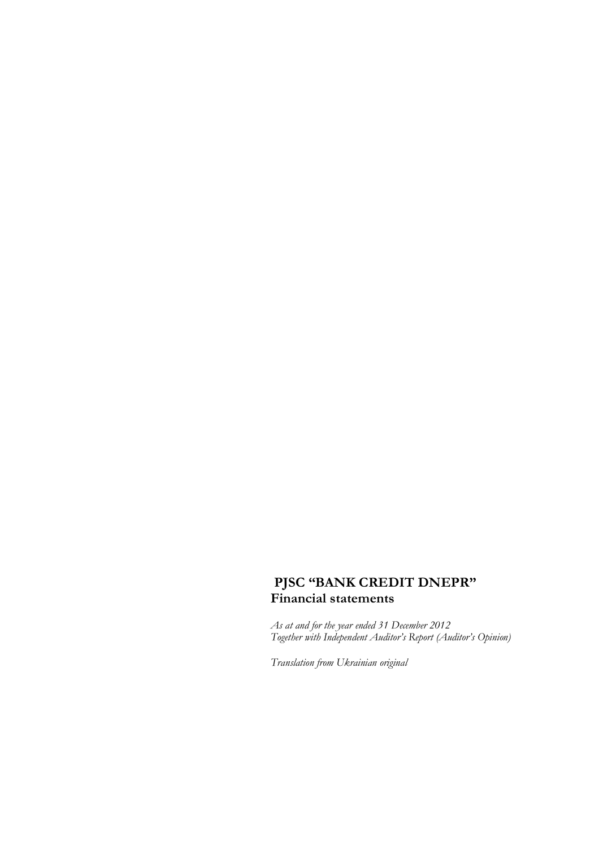# **PJSC "BANK CREDIT DNEPR" Financial statements**

*As at and for the year ended 31 December 2012 Together with Independent Auditor's Report (Auditor's Opinion)* 

*Translation from Ukrainian original*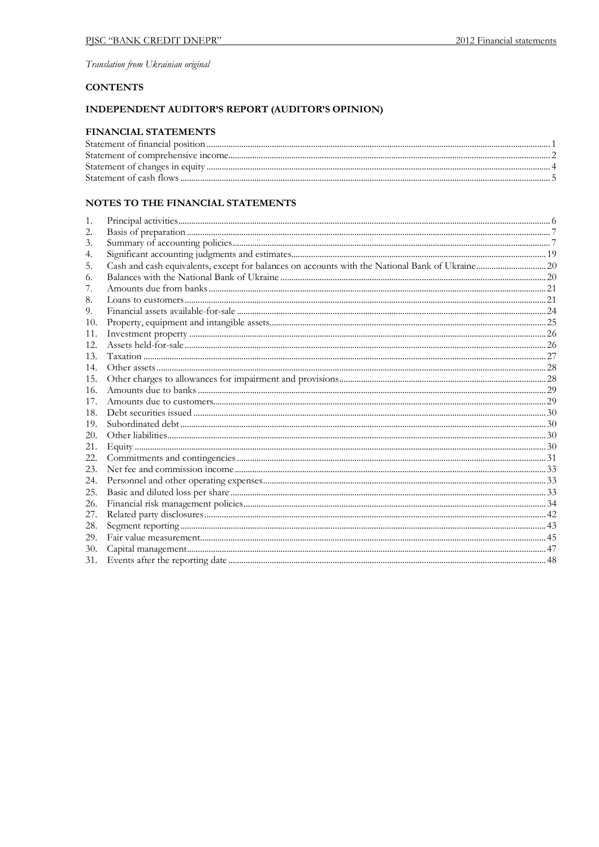# **CONTENTS**

# INDEPENDENT AUDITOR'S REPORT (AUDITOR'S OPINION)

# FINANCIAL STATEMENTS

## NOTES TO THE FINANCIAL STATEMENTS

| 1.  |  |
|-----|--|
| 2.  |  |
| 3.  |  |
| 4.  |  |
| 5.  |  |
| 6.  |  |
| 7.  |  |
| 8.  |  |
| 9.  |  |
| 10. |  |
| 11. |  |
| 12. |  |
| 13. |  |
| 14. |  |
| 15. |  |
| 16. |  |
| 17. |  |
| 18. |  |
| 19. |  |
| 20. |  |
| 21. |  |
| 22. |  |
| 23. |  |
| 24. |  |
| 25. |  |
| 26. |  |
| 27. |  |
| 28. |  |
| 29. |  |
| 30. |  |
| 31. |  |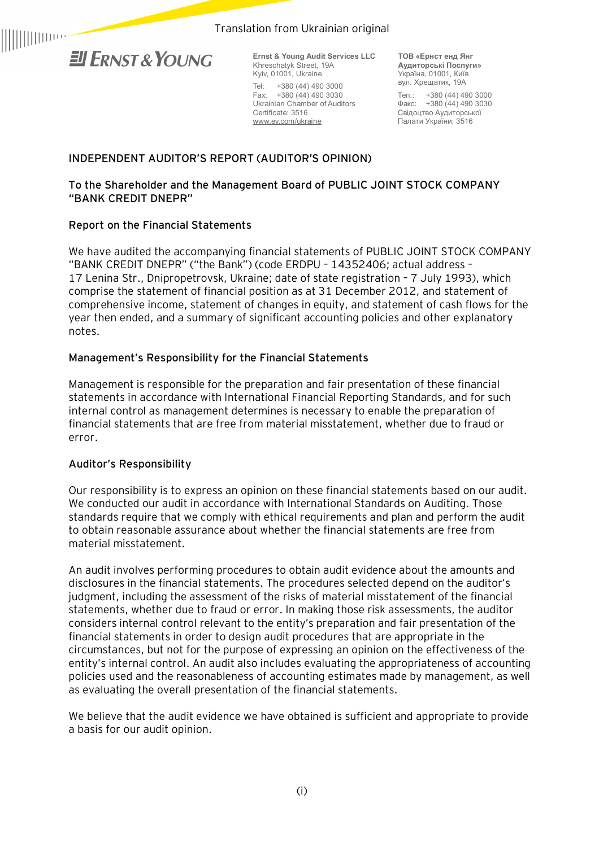

**Ell ERNST & YOUNG** 

**Ernst & Young Audit Services LLC** Khreschatyk Street, 19A Kyiv, 01001, Ukraine Tel: +380 (44) 490 3000 Fax: +380 (44) 490 3030 Ukrainian Chamber of Auditors Certificate: 3516 [www.ey.com/ukraine](http://www.ey.com/ukraine)

**ТОВ «Ернст енд Янг Аудиторськi Послуги»**  Украïна, 01001, Киïв вул. Хрещатик, 19А

Тел.: +380 (44) 490 3000 Факс: +380 (44) 490 3030 Свiдоцтво Аудиторськоï Палати Украïни: 3516

# **INDEPENDENT AUDITOR'S REPORT (AUDITOR'S OPINION)**

**To the Shareholder and the Management Board of PUBLIC JOINT STOCK COMPANY "BANK CREDIT DNEPR"** 

# **Report on the Financial Statements**

We have audited the accompanying financial statements of PUBLIC JOINT STOCK COMPANY "BANK CREDIT DNEPR" ("the Bank") (code ERDPU – 14352406; actual address – 17 Lenina Str., Dnipropetrovsk, Ukraine; date of state registration – 7 July 1993), which comprise the statement of financial position as at 31 December 2012, and statement of comprehensive income, statement of changes in equity, and statement of cash flows for the year then ended, and a summary of significant accounting policies and other explanatory notes.

# **Management's Responsibility for the Financial Statements**

Management is responsible for the preparation and fair presentation of these financial statements in accordance with International Financial Reporting Standards, and for such internal control as management determines is necessary to enable the preparation of financial statements that are free from material misstatement, whether due to fraud or error.

# **Auditor's Responsibility**

Our responsibility is to express an opinion on these financial statements based on our audit. We conducted our audit in accordance with International Standards on Auditing. Those standards require that we comply with ethical requirements and plan and perform the audit to obtain reasonable assurance about whether the financial statements are free from material misstatement.

An audit involves performing procedures to obtain audit evidence about the amounts and disclosures in the financial statements. The procedures selected depend on the auditor's judgment, including the assessment of the risks of material misstatement of the financial statements, whether due to fraud or error. In making those risk assessments, the auditor considers internal control relevant to the entity's preparation and fair presentation of the financial statements in order to design audit procedures that are appropriate in the circumstances, but not for the purpose of expressing an opinion on the effectiveness of the entity's internal control. An audit also includes evaluating the appropriateness of accounting policies used and the reasonableness of accounting estimates made by management, as well as evaluating the overall presentation of the financial statements.

We believe that the audit evidence we have obtained is sufficient and appropriate to provide a basis for our audit opinion.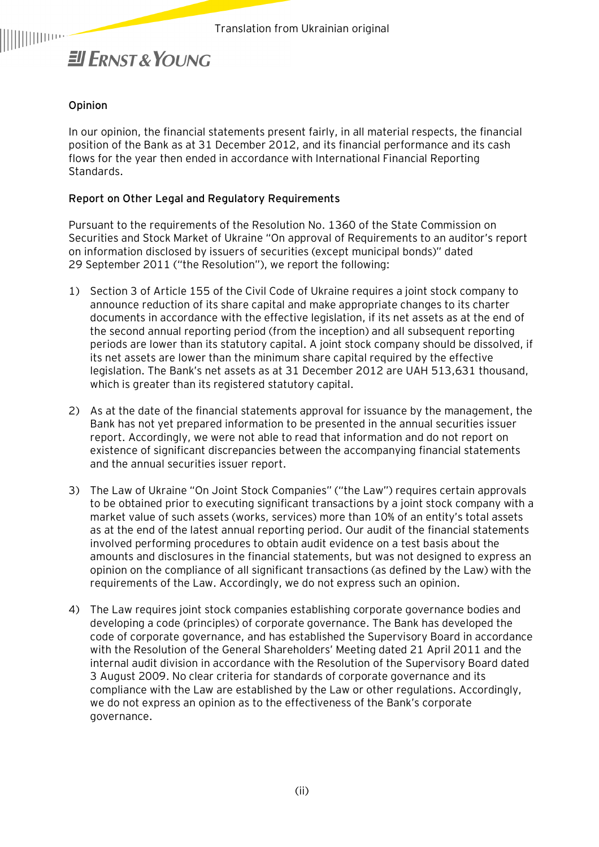# **ELERNST & YOUNG**

# **Opinion**

||||||||<sup>||</sup>

In our opinion, the financial statements present fairly, in all material respects, the financial position of the Bank as at 31 December 2012, and its financial performance and its cash flows for the year then ended in accordance with International Financial Reporting Standards.

# **Report on Other Legal and Regulatory Requirements**

Pursuant to the requirements of the Resolution No. 1360 of the State Commission on Securities and Stock Market of Ukraine "On approval of Requirements to an auditor's report on information disclosed by issuers of securities (except municipal bonds)" dated 29 September 2011 ("the Resolution"), we report the following:

- 1) Section 3 of Article 155 of the Civil Code of Ukraine requires a joint stock company to announce reduction of its share capital and make appropriate changes to its charter documents in accordance with the effective legislation, if its net assets as at the end of the second annual reporting period (from the inception) and all subsequent reporting periods are lower than its statutory capital. A joint stock company should be dissolved, if its net assets are lower than the minimum share capital required by the effective legislation. The Bank's net assets as at 31 December 2012 are UAH 513,631 thousand, which is greater than its registered statutory capital.
- 2) As at the date of the financial statements approval for issuance by the management, the Bank has not yet prepared information to be presented in the annual securities issuer report. Accordingly, we were not able to read that information and do not report on existence of significant discrepancies between the accompanying financial statements and the annual securities issuer report.
- 3) The Law of Ukraine "On Joint Stock Companies" ("the Law") requires certain approvals to be obtained prior to executing significant transactions by a joint stock company with a market value of such assets (works, services) more than 10% of an entity's total assets as at the end of the latest annual reporting period. Our audit of the financial statements involved performing procedures to obtain audit evidence on a test basis about the amounts and disclosures in the financial statements, but was not designed to express an opinion on the compliance of all significant transactions (as defined by the Law) with the requirements of the Law. Accordingly, we do not express such an opinion.
- 4) The Law requires joint stock companies establishing corporate governance bodies and developing a code (principles) of corporate governance. The Bank has developed the code of corporate governance, and has established the Supervisory Board in accordance with the Resolution of the General Shareholders' Meeting dated 21 April 2011 and the internal audit division in accordance with the Resolution of the Supervisory Board dated 3 August 2009. No clear criteria for standards of corporate governance and its compliance with the Law are established by the Law or other regulations. Accordingly, we do not express an opinion as to the effectiveness of the Bank's corporate governance.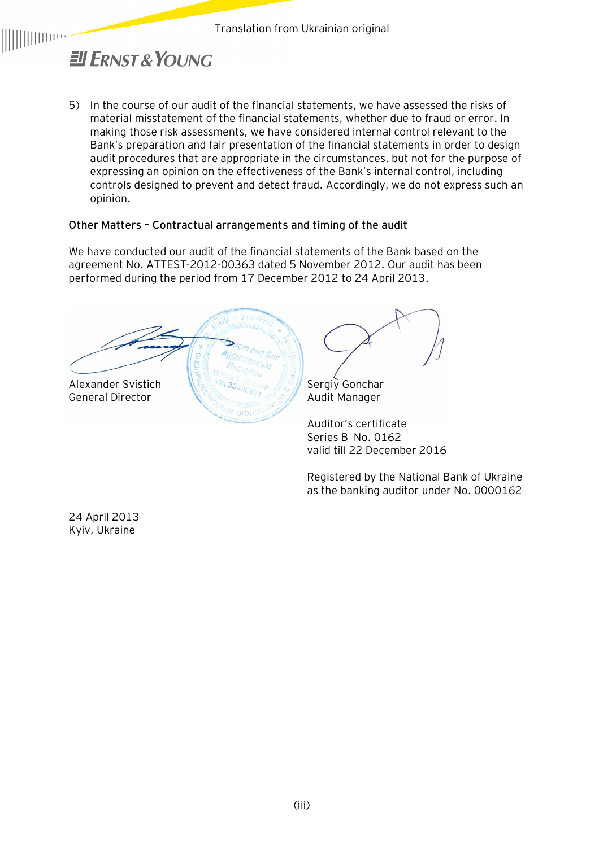# **El ERNST & YOUNG**

5) In the course of our audit of the financial statements, we have assessed the risks of material misstatement of the financial statements, whether due to fraud or error. In making those risk assessments, we have considered internal control relevant to the Bank's preparation and fair presentation of the financial statements in order to design audit procedures that are appropriate in the circumstances, but not for the purpose of expressing an opinion on the effectiveness of the Bank's internal control, including controls designed to prevent and detect fraud. Accordingly, we do not express such an opinion.

# **Other Matters – Contractual arrangements and timing of the audit**

We have conducted our audit of the financial statements of the Bank based on the agreement No. ATTEST-2012-00363 dated 5 November 2012. Our audit has been performed during the period from 17 December 2012 to 24 April 2013.

Alexander Svistich General Director Sergiy Gonchar Audit Manager Auditor's certificate Series B No. 0162

valid till 22 December 2016

Registered by the National Bank of Ukraine as the banking auditor under No. 0000162

24 April 2013 Kyiv, Ukraine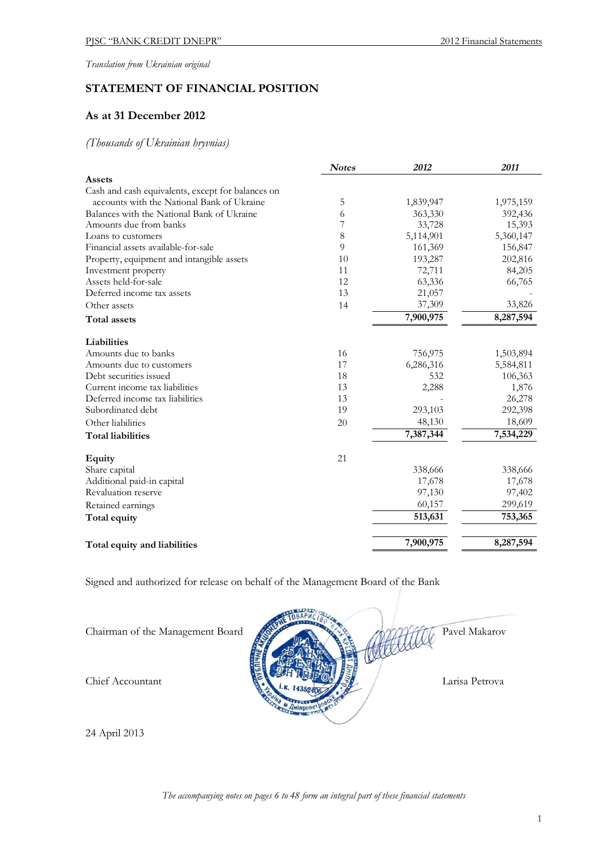# **STATEMENT OF FINANCIAL POSITION**

# **As at 31 December 2012**

*(Thousands of Ukrainian hryvnias)* 

|                                                   | <b>Notes</b> | 2012      | 2011      |
|---------------------------------------------------|--------------|-----------|-----------|
| Assets                                            |              |           |           |
| Cash and cash equivalents, except for balances on |              |           |           |
| accounts with the National Bank of Ukraine        | 5            | 1,839,947 | 1,975,159 |
| Balances with the National Bank of Ukraine        | 6            | 363,330   | 392,436   |
| Amounts due from banks                            | 7            | 33,728    | 15,393    |
| Loans to customers                                | 8            | 5,114,901 | 5,360,147 |
| Financial assets available-for-sale               | 9            | 161,369   | 156,847   |
| Property, equipment and intangible assets         | 10           | 193,287   | 202,816   |
| Investment property                               | 11           | 72,711    | 84,205    |
| Assets held-for-sale                              | 12           | 63,336    | 66,765    |
| Deferred income tax assets                        | 13           | 21,057    |           |
| Other assets                                      | 14           | 37,309    | 33,826    |
| Total assets                                      |              | 7,900,975 | 8,287,594 |
| Liabilities                                       |              |           |           |
| Amounts due to banks                              | 16           | 756,975   | 1,503,894 |
| Amounts due to customers                          | 17           | 6,286,316 | 5,584,811 |
| Debt securities issued                            | 18           | 532       | 106,363   |
| Current income tax liabilities                    | 13           | 2,288     | 1,876     |
| Deferred income tax liabilities                   | 13           |           | 26,278    |
| Subordinated debt                                 | 19           | 293,103   | 292,398   |
| Other liabilities                                 | 20           | 48,130    | 18,609    |
| <b>Total liabilities</b>                          |              | 7,387,344 | 7,534,229 |
| Equity                                            | 21           |           |           |
| Share capital                                     |              | 338,666   | 338,666   |
| Additional paid-in capital                        |              | 17,678    | 17,678    |
| Revaluation reserve                               |              | 97,130    | 97,402    |
| Retained earnings                                 |              | 60,157    | 299,619   |
| Total equity                                      |              | 513,631   | 753,365   |
| Total equity and liabilities                      |              | 7,900,975 | 8,287,594 |

Signed and authorized for release on behalf of the Management Board of the Bank



24 April 2013

*The accompanying notes on pages 6 to 48 form an integral part of these financial statements*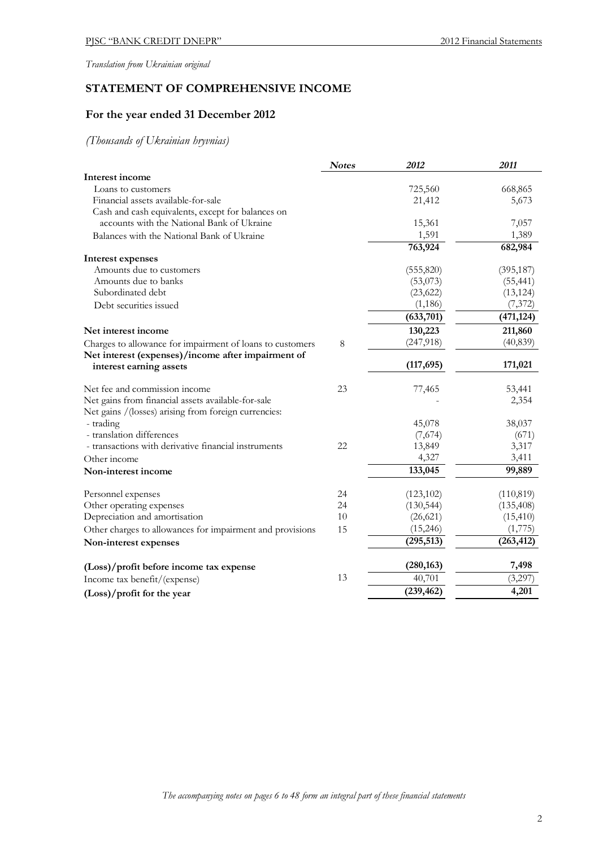# **STATEMENT OF COMPREHENSIVE INCOME**

# **For the year ended 31 December 2012**

# *(Thousands of Ukrainian hryvnias)*

|                                                           | <b>Notes</b> | 2012       | 2011       |
|-----------------------------------------------------------|--------------|------------|------------|
| Interest income                                           |              |            |            |
| Loans to customers                                        |              | 725,560    | 668,865    |
| Financial assets available-for-sale                       |              | 21,412     | 5,673      |
| Cash and cash equivalents, except for balances on         |              |            |            |
| accounts with the National Bank of Ukraine                |              | 15,361     | 7,057      |
| Balances with the National Bank of Ukraine                |              | 1,591      | 1,389      |
|                                                           |              | 763,924    | 682,984    |
| Interest expenses                                         |              |            |            |
| Amounts due to customers                                  |              | (555, 820) | (395, 187) |
| Amounts due to banks                                      |              | (53,073)   | (55, 441)  |
| Subordinated debt                                         |              | (23, 622)  | (13, 124)  |
| Debt securities issued                                    |              | (1, 186)   | (7, 372)   |
|                                                           |              | (633,701)  | (471, 124) |
| Net interest income                                       |              | 130,223    | 211,860    |
| Charges to allowance for impairment of loans to customers | 8            | (247, 918) | (40, 839)  |
| Net interest (expenses)/income after impairment of        |              |            |            |
| interest earning assets                                   |              | (117, 695) | 171,021    |
| Net fee and commission income                             | 23           | 77,465     | 53,441     |
| Net gains from financial assets available-for-sale        |              |            | 2,354      |
| Net gains / (losses) arising from foreign currencies:     |              |            |            |
| - trading                                                 |              | 45,078     | 38,037     |
| - translation differences                                 |              | (7,674)    | (671)      |
| - transactions with derivative financial instruments      | 22           | 13,849     | 3,317      |
| Other income                                              |              | 4,327      | 3,411      |
| Non-interest income                                       |              | 133,045    | 99,889     |
| Personnel expenses                                        | 24           | (123, 102) | (110, 819) |
| Other operating expenses                                  | 24           | (130, 544) | (135,408)  |
| Depreciation and amortisation                             | 10           | (26, 621)  | (15, 410)  |
| Other charges to allowances for impairment and provisions | 15           | (15,246)   | (1,775)    |
| Non-interest expenses                                     |              | (295, 513) | (263, 412) |
| (Loss)/profit before income tax expense                   |              | (280, 163) | 7,498      |
| Income tax benefit/(expense)                              | 13           | 40,701     | (3,297)    |
| (Loss)/profit for the year                                |              | (239, 462) | 4,201      |
|                                                           |              |            |            |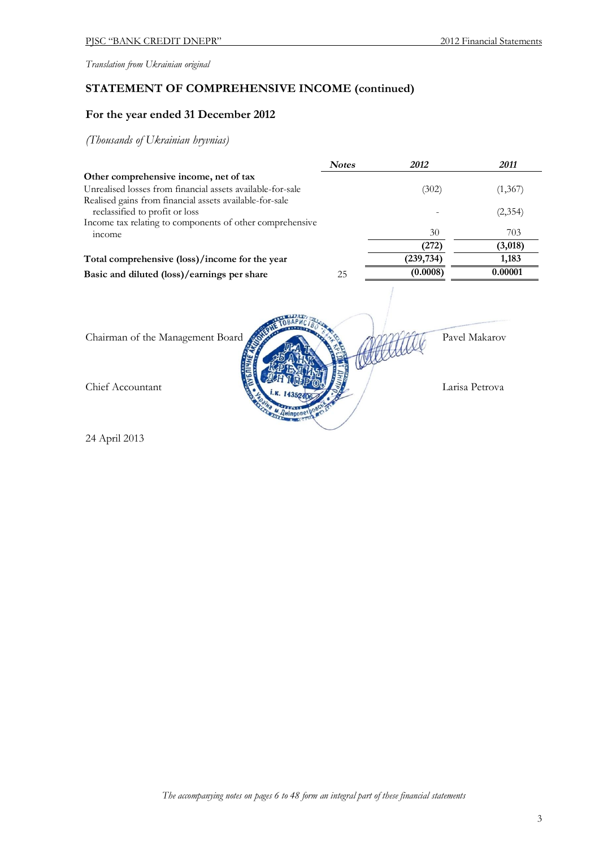# **STATEMENT OF COMPREHENSIVE INCOME (continued)**

# **For the year ended 31 December 2012**

*(Thousands of Ukrainian hryvnias)* 

| <b>Notes</b>                                             | 2012       | 2011          |
|----------------------------------------------------------|------------|---------------|
|                                                          |            |               |
|                                                          | (302)      | (1,367)       |
|                                                          |            | (2,354)       |
|                                                          |            |               |
|                                                          |            | 703           |
|                                                          | (272)      | (3,018)       |
|                                                          | (239, 734) | 1,183         |
|                                                          | (0.0008)   | 0.00001       |
|                                                          |            | Pavel Makarov |
| Income tax relating to components of other comprehensive | 25         | 30            |

24 April 2013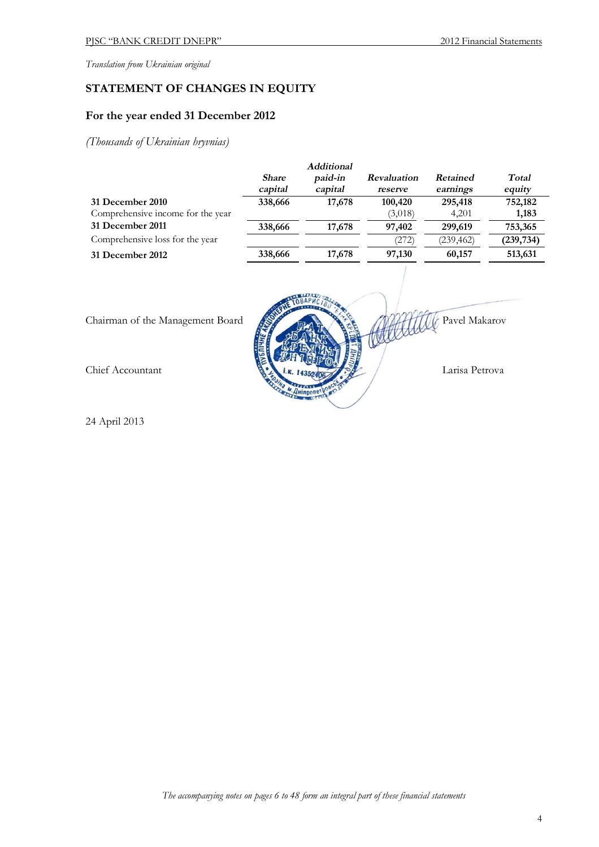# **STATEMENT OF CHANGES IN EQUITY**

# **For the year ended 31 December 2012**

*(Thousands of Ukrainian hryvnias)* 

|                                   | <b>Share</b><br>capital | <b>Additional</b><br>paid-in<br>capital | <b>Revaluation</b><br>reserve | <b>Retained</b><br>earnings | Total<br>equity |
|-----------------------------------|-------------------------|-----------------------------------------|-------------------------------|-----------------------------|-----------------|
| 31 December 2010                  | 338,666                 | 17,678                                  | 100,420                       | 295,418                     | 752,182         |
| Comprehensive income for the year |                         |                                         | (3,018)                       | 4,201                       | 1,183           |
| 31 December 2011                  | 338,666                 | 17,678                                  | 97,402                        | 299,619                     | 753,365         |
| Comprehensive loss for the year   |                         |                                         | (272)                         | (239, 462)                  | (239, 734)      |
| 31 December 2012                  | 338,666                 | 17,678                                  | 97,130                        | 60,157                      | 513,631         |

| Chairman of the Management Board | Pavel Makarov  |
|----------------------------------|----------------|
| Chief Accountant                 | Larisa Petrova |

24 April 2013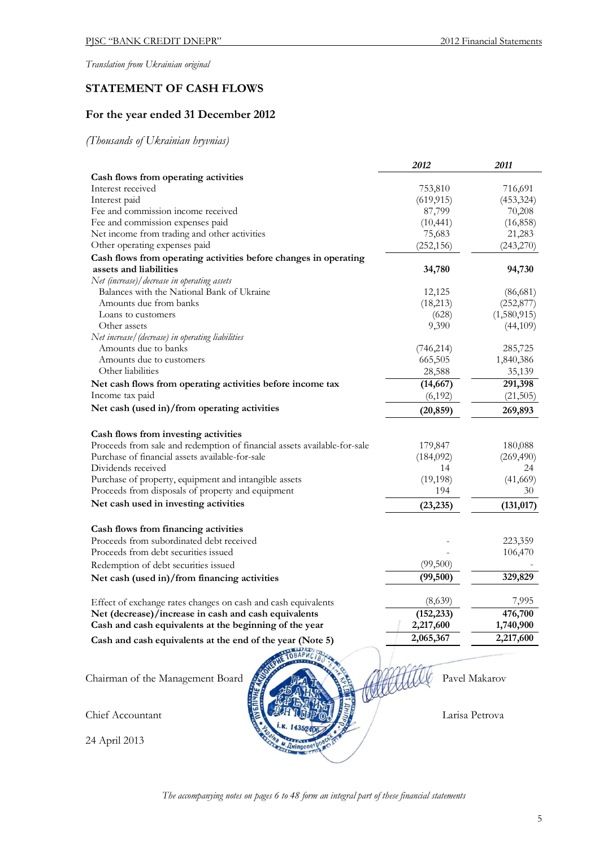# **STATEMENT OF CASH FLOWS**

# **For the year ended 31 December 2012**

*(Thousands of Ukrainian hryvnias)* 

|                                                                          | 2012           | 2011          |
|--------------------------------------------------------------------------|----------------|---------------|
| Cash flows from operating activities                                     |                |               |
| Interest received                                                        | 753,810        | 716,691       |
| Interest paid                                                            | (619, 915)     | (453, 324)    |
| Fee and commission income received                                       | 87,799         | 70,208        |
| Fee and commission expenses paid                                         | (10, 441)      | (16, 858)     |
| Net income from trading and other activities                             | 75,683         | 21,283        |
| Other operating expenses paid                                            | (252, 156)     | (243,270)     |
| Cash flows from operating activities before changes in operating         |                |               |
| assets and liabilities                                                   | 34,780         | 94,730        |
| Net (increase) / decrease in operating assets                            |                |               |
| Balances with the National Bank of Ukraine                               | 12,125         | (86,681)      |
| Amounts due from banks                                                   | (18, 213)      | (252, 877)    |
| Loans to customers                                                       | (628)          | (1,580,915)   |
| Other assets                                                             | 9,390          | (44,109)      |
| Net increase/ (decrease) in operating liabilities                        |                |               |
| Amounts due to banks                                                     | (746, 214)     | 285,725       |
| Amounts due to customers                                                 | 665,505        | 1,840,386     |
| Other liabilities                                                        | 28,588         | 35,139        |
| Net cash flows from operating activities before income tax               | (14, 667)      | 291,398       |
| Income tax paid                                                          | (6, 192)       | (21,505)      |
|                                                                          |                |               |
| Net cash (used in)/from operating activities                             | (20, 859)      | 269,893       |
|                                                                          |                |               |
| Cash flows from investing activities                                     |                |               |
| Proceeds from sale and redemption of financial assets available-for-sale | 179,847        | 180,088       |
| Purchase of financial assets available-for-sale                          | (184,092)      | (269, 490)    |
| Dividends received                                                       | 14             | 24            |
| Purchase of property, equipment and intangible assets                    | (19, 198)      | (41,669)      |
| Proceeds from disposals of property and equipment                        | 194            | 30            |
| Net cash used in investing activities                                    | (23, 235)      | (131, 017)    |
|                                                                          |                |               |
| Cash flows from financing activities                                     |                |               |
| Proceeds from subordinated debt received                                 |                | 223,359       |
| Proceeds from debt securities issued                                     |                | 106,470       |
| Redemption of debt securities issued                                     | (99,500)       |               |
| Net cash (used in)/from financing activities                             | (99, 500)      | 329,829       |
| Effect of exchange rates changes on cash and cash equivalents            | (8,639)        | 7,995         |
| Net (decrease)/increase in cash and cash equivalents                     | (152, 233)     | 476,700       |
| Cash and cash equivalents at the beginning of the year                   | 2,217,600      | 1,740,900     |
|                                                                          | 2,065,367      |               |
| Cash and cash equivalents at the end of the year (Note 5)                |                | 2,217,600     |
|                                                                          |                |               |
| Chairman of the Management Board<br>Chief Accountant                     | Larisa Petrova | Pavel Makarov |
|                                                                          |                |               |
| 24 April 2013                                                            |                |               |

*The accompanying notes on pages 6 to 48 form an integral part of these financial statements*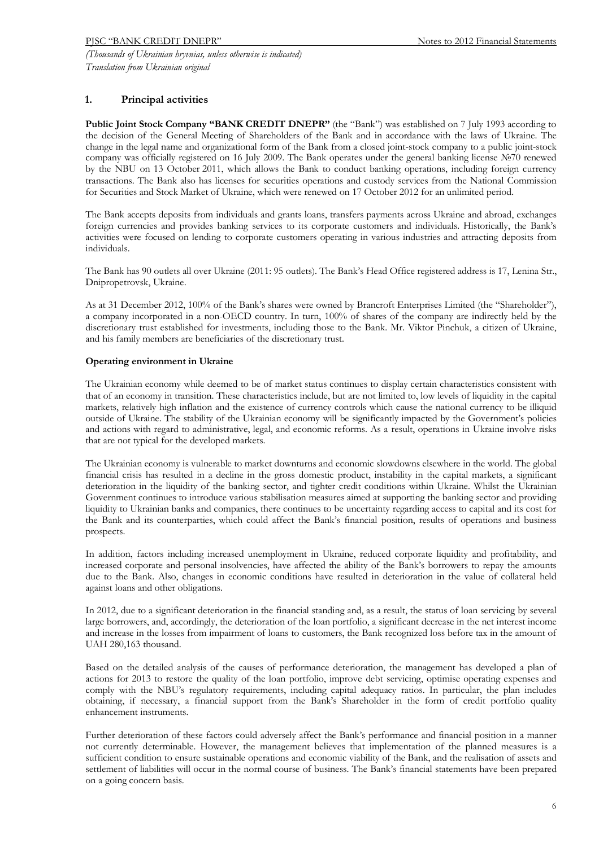## **1. Principal activities**

**Public Joint Stock Company "BANK CREDIT DNEPR"** (the "Bank") was established on 7 July 1993 according to the decision of the General Meeting of Shareholders of the Bank and in accordance with the laws of Ukraine. The change in the legal name and organizational form of the Bank from a closed joint-stock company to a public joint-stock company was officially registered on 16 July 2009. The Bank operates under the general banking license №70 renewed by the NBU on 13 October 2011, which allows the Bank to conduct banking operations, including foreign currency transactions. The Bank also has licenses for securities operations and custody services from the National Commission for Securities and Stock Market of Ukraine, which were renewed on 17 October 2012 for an unlimited period.

The Bank accepts deposits from individuals and grants loans, transfers payments across Ukraine and abroad, exchanges foreign currencies and provides banking services to its corporate customers and individuals. Historically, the Bank's activities were focused on lending to corporate customers operating in various industries and attracting deposits from individuals.

The Bank has 90 outlets all over Ukraine (2011: 95 outlets). The Bank's Head Office registered address is 17, Lenina Str., Dnipropetrovsk, Ukraine.

As at 31 December 2012, 100% of the Bank's shares were owned by Brancroft Enterprises Limited (the "Shareholder"), a company incorporated in a non-OECD country. In turn, 100% of shares of the company are indirectly held by the discretionary trust established for investments, including those to the Bank. Mr. Viktor Pinchuk, a citizen of Ukraine, and his family members are beneficiaries of the discretionary trust.

#### **Operating environment in Ukraine**

The Ukrainian economy while deemed to be of market status continues to display certain characteristics consistent with that of an economy in transition. These characteristics include, but are not limited to, low levels of liquidity in the capital markets, relatively high inflation and the existence of currency controls which cause the national currency to be illiquid outside of Ukraine. The stability of the Ukrainian economy will be significantly impacted by the Government's policies and actions with regard to administrative, legal, and economic reforms. As a result, operations in Ukraine involve risks that are not typical for the developed markets.

The Ukrainian economy is vulnerable to market downturns and economic slowdowns elsewhere in the world. The global financial crisis has resulted in a decline in the gross domestic product, instability in the capital markets, a significant deterioration in the liquidity of the banking sector, and tighter credit conditions within Ukraine. Whilst the Ukrainian Government continues to introduce various stabilisation measures aimed at supporting the banking sector and providing liquidity to Ukrainian banks and companies, there continues to be uncertainty regarding access to capital and its cost for the Bank and its counterparties, which could affect the Bank's financial position, results of operations and business prospects.

In addition, factors including increased unemployment in Ukraine, reduced corporate liquidity and profitability, and increased corporate and personal insolvencies, have affected the ability of the Bank's borrowers to repay the amounts due to the Bank. Also, changes in economic conditions have resulted in deterioration in the value of collateral held against loans and other obligations.

In 2012, due to a significant deterioration in the financial standing and, as a result, the status of loan servicing by several large borrowers, and, accordingly, the deterioration of the loan portfolio, a significant decrease in the net interest income and increase in the losses from impairment of loans to customers, the Bank recognized loss before tax in the amount of UAH 280,163 thousand.

Based on the detailed analysis of the causes of performance deterioration, the management has developed a plan of actions for 2013 to restore the quality of the loan portfolio, improve debt servicing, optimise operating expenses and comply with the NBU's regulatory requirements, including capital adequacy ratios. In particular, the plan includes obtaining, if necessary, a financial support from the Bank's Shareholder in the form of credit portfolio quality enhancement instruments.

Further deterioration of these factors could adversely affect the Bank's performance and financial position in a manner not currently determinable. However, the management believes that implementation of the planned measures is a sufficient condition to ensure sustainable operations and economic viability of the Bank, and the realisation of assets and settlement of liabilities will occur in the normal course of business. The Bank's financial statements have been prepared on a going concern basis.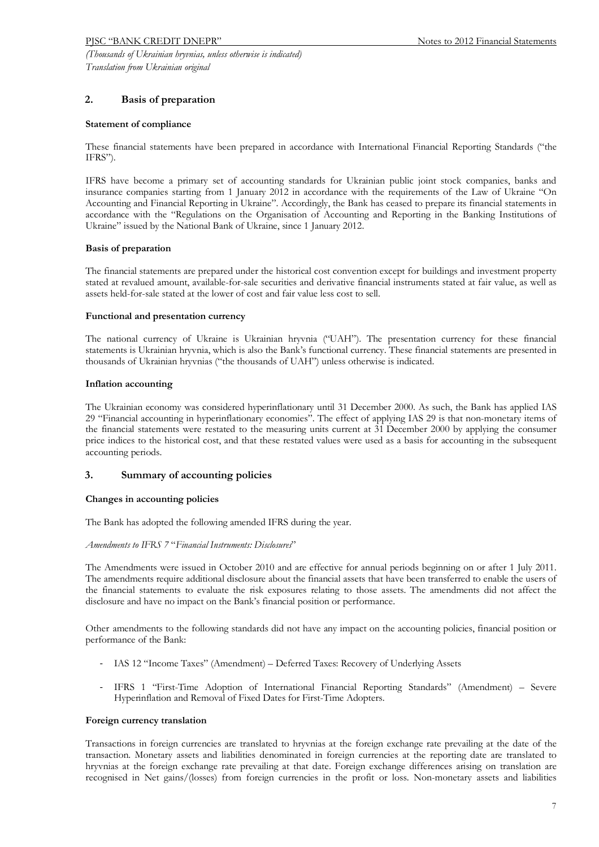## **2. Basis of preparation**

#### **Statement of compliance**

These financial statements have been prepared in accordance with International Financial Reporting Standards ("the IFRS").

IFRS have become a primary set of accounting standards for Ukrainian public joint stock companies, banks and insurance companies starting from 1 January 2012 in accordance with the requirements of the Law of Ukraine "On Accounting and Financial Reporting in Ukraine". Accordingly, the Bank has ceased to prepare its financial statements in accordance with the "Regulations on the Organisation of Accounting and Reporting in the Banking Institutions of Ukraine" issued by the National Bank of Ukraine, since 1 January 2012.

#### **Basis of preparation**

The financial statements are prepared under the historical cost convention except for buildings and investment property stated at revalued amount, available-for-sale securities and derivative financial instruments stated at fair value, as well as assets held-for-sale stated at the lower of cost and fair value less cost to sell.

#### **Functional and presentation currency**

The national currency of Ukraine is Ukrainian hryvnia ("UAH"). The presentation currency for these financial statements is Ukrainian hryvnia, which is also the Bank's functional currency. These financial statements are presented in thousands of Ukrainian hryvnias ("the thousands of UAH") unless otherwise is indicated.

#### **Inflation accounting**

The Ukrainian economy was considered hyperinflationary until 31 December 2000. As such, the Bank has applied IAS 29 "Financial accounting in hyperinflationary economies". The effect of applying IAS 29 is that non-monetary items of the financial statements were restated to the measuring units current at 31 December 2000 by applying the consumer price indices to the historical cost, and that these restated values were used as a basis for accounting in the subsequent accounting periods.

#### **3. Summary of accounting policies**

#### **Changes in accounting policies**

The Bank has adopted the following amended IFRS during the year.

#### *Amendments to IFRS 7* "*Financial Instruments: Disclosures*"

The Amendments were issued in October 2010 and are effective for annual periods beginning on or after 1 July 2011. The amendments require additional disclosure about the financial assets that have been transferred to enable the users of the financial statements to evaluate the risk exposures relating to those assets. The amendments did not affect the disclosure and have no impact on the Bank's financial position or performance.

Other amendments to the following standards did not have any impact on the accounting policies, financial position or performance of the Bank:

- IAS 12 "Income Taxes" (Amendment) Deferred Taxes: Recovery of Underlying Assets
- IFRS 1 "First-Time Adoption of International Financial Reporting Standards" (Amendment) Severe Hyperinflation and Removal of Fixed Dates for First-Time Adopters.

#### **Foreign currency translation**

Transactions in foreign currencies are translated to hryvnias at the foreign exchange rate prevailing at the date of the transaction. Monetary assets and liabilities denominated in foreign currencies at the reporting date are translated to hryvnias at the foreign exchange rate prevailing at that date. Foreign exchange differences arising on translation are recognised in Net gains/(losses) from foreign currencies in the profit or loss. Non-monetary assets and liabilities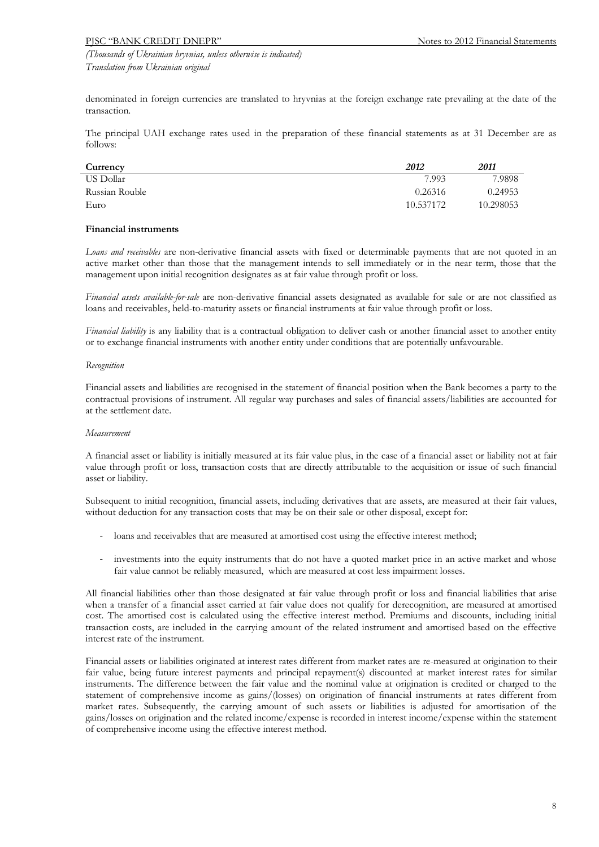*(Thousands of Ukrainian hryvnias, unless otherwise is indicated) Translation from Ukrainian original* 

denominated in foreign currencies are translated to hryvnias at the foreign exchange rate prevailing at the date of the transaction.

The principal UAH exchange rates used in the preparation of these financial statements as at 31 December are as follows:

| Currency       | 2012      | 2011      |
|----------------|-----------|-----------|
| US Dollar      | 7.993     | 7.9898    |
| Russian Rouble | 0.26316   | 0.24953   |
| Euro           | 10.537172 | 10.298053 |

#### **Financial instruments**

*Loans and receivables* are non-derivative financial assets with fixed or determinable payments that are not quoted in an active market other than those that the management intends to sell immediately or in the near term, those that the management upon initial recognition designates as at fair value through profit or loss.

*Financial assets available-for-sale* are non-derivative financial assets designated as available for sale or are not classified as loans and receivables, held-to-maturity assets or financial instruments at fair value through profit or loss.

*Financial liability* is any liability that is a contractual obligation to deliver cash or another financial asset to another entity or to exchange financial instruments with another entity under conditions that are potentially unfavourable.

#### *Recognition*

Financial assets and liabilities are recognised in the statement of financial position when the Bank becomes a party to the contractual provisions of instrument. All regular way purchases and sales of financial assets/liabilities are accounted for at the settlement date.

#### *Measurement*

A financial asset or liability is initially measured at its fair value plus, in the case of a financial asset or liability not at fair value through profit or loss, transaction costs that are directly attributable to the acquisition or issue of such financial asset or liability.

Subsequent to initial recognition, financial assets, including derivatives that are assets, are measured at their fair values, without deduction for any transaction costs that may be on their sale or other disposal, except for:

- loans and receivables that are measured at amortised cost using the effective interest method;
- investments into the equity instruments that do not have a quoted market price in an active market and whose fair value cannot be reliably measured, which are measured at cost less impairment losses.

All financial liabilities other than those designated at fair value through profit or loss and financial liabilities that arise when a transfer of a financial asset carried at fair value does not qualify for derecognition, are measured at amortised cost. The amortised cost is calculated using the effective interest method. Premiums and discounts, including initial transaction costs, are included in the carrying amount of the related instrument and amortised based on the effective interest rate of the instrument.

Financial assets or liabilities originated at interest rates different from market rates are re-measured at origination to their fair value, being future interest payments and principal repayment(s) discounted at market interest rates for similar instruments. The difference between the fair value and the nominal value at origination is credited or charged to the statement of comprehensive income as gains/(losses) on origination of financial instruments at rates different from market rates. Subsequently, the carrying amount of such assets or liabilities is adjusted for amortisation of the gains/losses on origination and the related income/expense is recorded in interest income/expense within the statement of comprehensive income using the effective interest method.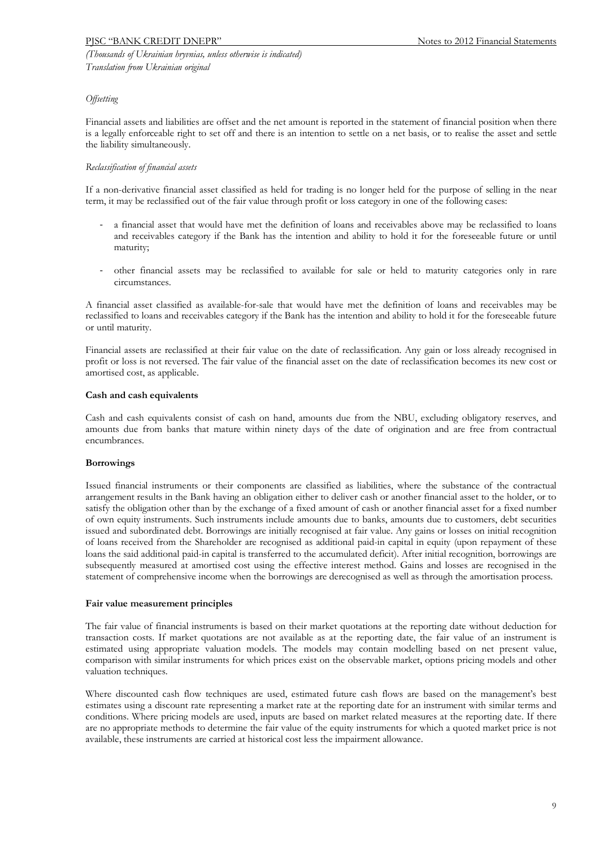#### *Offsetting*

Financial assets and liabilities are offset and the net amount is reported in the statement of financial position when there is a legally enforceable right to set off and there is an intention to settle on a net basis, or to realise the asset and settle the liability simultaneously.

#### *Reclassification of financial assets*

If a non-derivative financial asset classified as held for trading is no longer held for the purpose of selling in the near term, it may be reclassified out of the fair value through profit or loss category in one of the following cases:

- a financial asset that would have met the definition of loans and receivables above may be reclassified to loans and receivables category if the Bank has the intention and ability to hold it for the foreseeable future or until maturity;
- other financial assets may be reclassified to available for sale or held to maturity categories only in rare circumstances.

A financial asset classified as available-for-sale that would have met the definition of loans and receivables may be reclassified to loans and receivables category if the Bank has the intention and ability to hold it for the foreseeable future or until maturity.

Financial assets are reclassified at their fair value on the date of reclassification. Any gain or loss already recognised in profit or loss is not reversed. The fair value of the financial asset on the date of reclassification becomes its new cost or amortised cost, as applicable.

#### **Cash and cash equivalents**

Cash and cash equivalents consist of cash on hand, amounts due from the NBU, excluding obligatory reserves, and amounts due from banks that mature within ninety days of the date of origination and are free from contractual encumbrances.

#### **Borrowings**

Issued financial instruments or their components are classified as liabilities, where the substance of the contractual arrangement results in the Bank having an obligation either to deliver cash or another financial asset to the holder, or to satisfy the obligation other than by the exchange of a fixed amount of cash or another financial asset for a fixed number of own equity instruments. Such instruments include amounts due to banks, amounts due to customers, debt securities issued and subordinated debt. Borrowings are initially recognised at fair value. Any gains or losses on initial recognition of loans received from the Shareholder are recognised as additional paid-in capital in equity (upon repayment of these loans the said additional paid-in capital is transferred to the accumulated deficit). After initial recognition, borrowings are subsequently measured at amortised cost using the effective interest method. Gains and losses are recognised in the statement of comprehensive income when the borrowings are derecognised as well as through the amortisation process.

#### **Fair value measurement principles**

The fair value of financial instruments is based on their market quotations at the reporting date without deduction for transaction costs. If market quotations are not available as at the reporting date, the fair value of an instrument is estimated using appropriate valuation models. The models may contain modelling based on net present value, comparison with similar instruments for which prices exist on the observable market, options pricing models and other valuation techniques.

Where discounted cash flow techniques are used, estimated future cash flows are based on the management's best estimates using a discount rate representing a market rate at the reporting date for an instrument with similar terms and conditions. Where pricing models are used, inputs are based on market related measures at the reporting date. If there are no appropriate methods to determine the fair value of the equity instruments for which a quoted market price is not available, these instruments are carried at historical cost less the impairment allowance.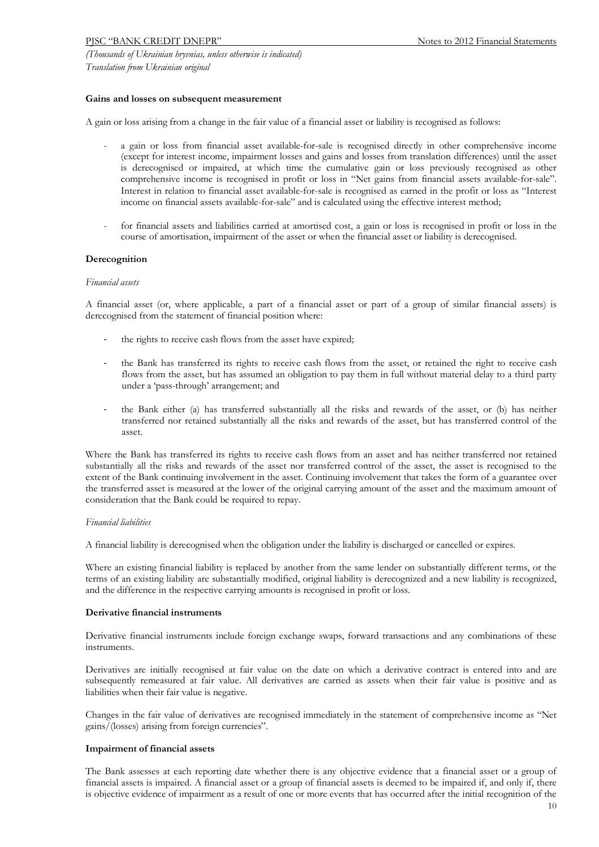#### **Gains and losses on subsequent measurement**

A gain or loss arising from a change in the fair value of a financial asset or liability is recognised as follows:

- a gain or loss from financial asset available-for-sale is recognised directly in other comprehensive income (except for interest income, impairment losses and gains and losses from translation differences) until the asset is derecognised or impaired, at which time the cumulative gain or loss previously recognised as other comprehensive income is recognised in profit or loss in "Net gains from financial assets available-for-sale". Interest in relation to financial asset available-for-sale is recognised as earned in the profit or loss as "Interest income on financial assets available-for-sale" and is calculated using the effective interest method;
- for financial assets and liabilities carried at amortised cost, a gain or loss is recognised in profit or loss in the course of amortisation, impairment of the asset or when the financial asset or liability is derecognised.

#### **Derecognition**

#### *Financial assets*

A financial asset (or, where applicable, a part of a financial asset or part of a group of similar financial assets) is derecognised from the statement of financial position where:

- the rights to receive cash flows from the asset have expired;
- the Bank has transferred its rights to receive cash flows from the asset, or retained the right to receive cash flows from the asset, but has assumed an obligation to pay them in full without material delay to a third party under a 'pass-through' arrangement; and
- the Bank either (a) has transferred substantially all the risks and rewards of the asset, or (b) has neither transferred nor retained substantially all the risks and rewards of the asset, but has transferred control of the asset.

Where the Bank has transferred its rights to receive cash flows from an asset and has neither transferred nor retained substantially all the risks and rewards of the asset nor transferred control of the asset, the asset is recognised to the extent of the Bank continuing involvement in the asset. Continuing involvement that takes the form of a guarantee over the transferred asset is measured at the lower of the original carrying amount of the asset and the maximum amount of consideration that the Bank could be required to repay.

#### *Financial liabilities*

A financial liability is derecognised when the obligation under the liability is discharged or cancelled or expires.

Where an existing financial liability is replaced by another from the same lender on substantially different terms, or the terms of an existing liability are substantially modified, original liability is derecognized and a new liability is recognized, and the difference in the respective carrying amounts is recognised in profit or loss.

#### **Derivative financial instruments**

Derivative financial instruments include foreign exchange swaps, forward transactions and any combinations of these instruments.

Derivatives are initially recognised at fair value on the date on which a derivative contract is entered into and are subsequently remeasured at fair value. All derivatives are carried as assets when their fair value is positive and as liabilities when their fair value is negative.

Changes in the fair value of derivatives are recognised immediately in the statement of comprehensive income as "Net gains/(losses) arising from foreign currencies".

#### **Impairment of financial assets**

The Bank assesses at each reporting date whether there is any objective evidence that a financial asset or a group of financial assets is impaired. A financial asset or a group of financial assets is deemed to be impaired if, and only if, there is objective evidence of impairment as a result of one or more events that has occurred after the initial recognition of the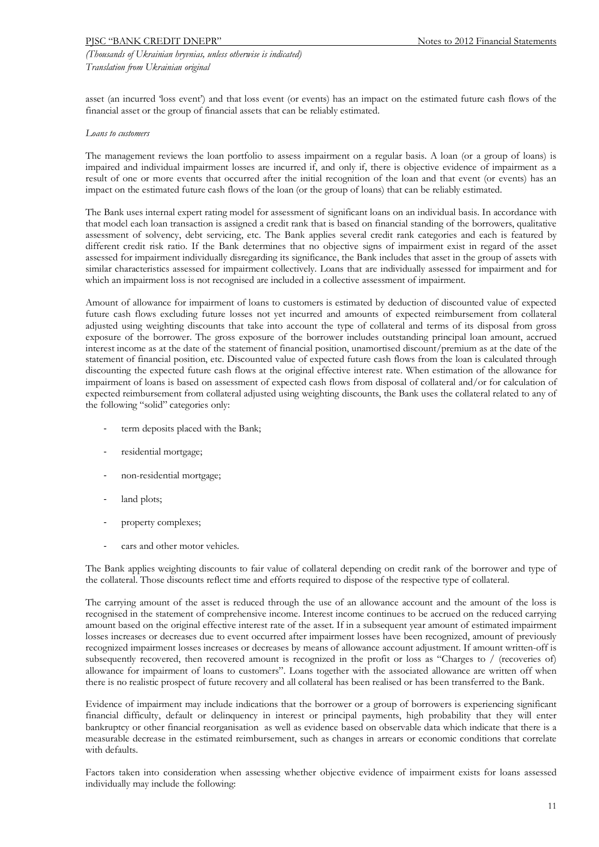asset (an incurred 'loss event') and that loss event (or events) has an impact on the estimated future cash flows of the financial asset or the group of financial assets that can be reliably estimated.

#### *Loans to customers*

The management reviews the loan portfolio to assess impairment on a regular basis. A loan (or a group of loans) is impaired and individual impairment losses are incurred if, and only if, there is objective evidence of impairment as a result of one or more events that occurred after the initial recognition of the loan and that event (or events) has an impact on the estimated future cash flows of the loan (or the group of loans) that can be reliably estimated.

The Bank uses internal expert rating model for assessment of significant loans on an individual basis. In accordance with that model each loan transaction is assigned a credit rank that is based on financial standing of the borrowers, qualitative assessment of solvency, debt servicing, etc. The Bank applies several credit rank categories and each is featured by different credit risk ratio. If the Bank determines that no objective signs of impairment exist in regard of the asset assessed for impairment individually disregarding its significance, the Bank includes that asset in the group of assets with similar characteristics assessed for impairment collectively. Loans that are individually assessed for impairment and for which an impairment loss is not recognised are included in a collective assessment of impairment.

Amount of allowance for impairment of loans to customers is estimated by deduction of discounted value of expected future cash flows excluding future losses not yet incurred and amounts of expected reimbursement from collateral adjusted using weighting discounts that take into account the type of collateral and terms of its disposal from gross exposure of the borrower. The gross exposure of the borrower includes outstanding principal loan amount, accrued interest income as at the date of the statement of financial position, unamortised discount/premium as at the date of the statement of financial position, etc. Discounted value of expected future cash flows from the loan is calculated through discounting the expected future cash flows at the original effective interest rate. When estimation of the allowance for impairment of loans is based on assessment of expected cash flows from disposal of collateral and/or for calculation of expected reimbursement from collateral adjusted using weighting discounts, the Bank uses the collateral related to any of the following "solid" categories only:

- term deposits placed with the Bank;
- residential mortgage;
- non-residential mortgage;
- land plots;
- property complexes;
- cars and other motor vehicles.

The Bank applies weighting discounts to fair value of collateral depending on credit rank of the borrower and type of the collateral. Those discounts reflect time and efforts required to dispose of the respective type of collateral.

The carrying amount of the asset is reduced through the use of an allowance account and the amount of the loss is recognised in the statement of comprehensive income. Interest income continues to be accrued on the reduced carrying amount based on the original effective interest rate of the asset. If in a subsequent year amount of estimated impairment losses increases or decreases due to event occurred after impairment losses have been recognized, amount of previously recognized impairment losses increases or decreases by means of allowance account adjustment. If amount written-off is subsequently recovered, then recovered amount is recognized in the profit or loss as "Charges to / (recoveries of) allowance for impairment of loans to customers". Loans together with the associated allowance are written off when there is no realistic prospect of future recovery and all collateral has been realised or has been transferred to the Bank.

Evidence of impairment may include indications that the borrower or a group of borrowers is experiencing significant financial difficulty, default or delinquency in interest or principal payments, high probability that they will enter bankruptcy or other financial reorganisation as well as evidence based on observable data which indicate that there is a measurable decrease in the estimated reimbursement, such as changes in arrears or economic conditions that correlate with defaults.

Factors taken into consideration when assessing whether objective evidence of impairment exists for loans assessed individually may include the following: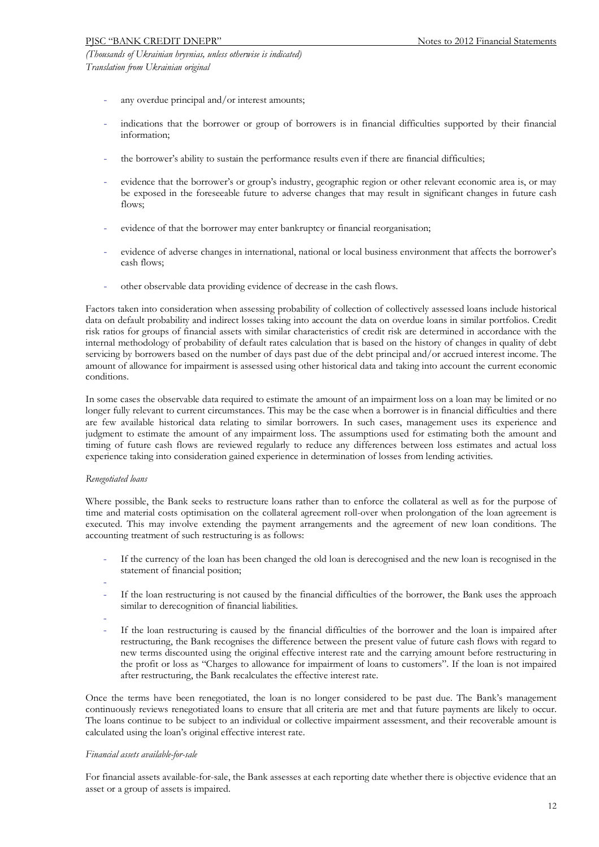- any overdue principal and/or interest amounts;
- indications that the borrower or group of borrowers is in financial difficulties supported by their financial information;
- the borrower's ability to sustain the performance results even if there are financial difficulties;
- evidence that the borrower's or group's industry, geographic region or other relevant economic area is, or may be exposed in the foreseeable future to adverse changes that may result in significant changes in future cash flows;
- evidence of that the borrower may enter bankruptcy or financial reorganisation;
- evidence of adverse changes in international, national or local business environment that affects the borrower's cash flows;
- other observable data providing evidence of decrease in the cash flows.

Factors taken into consideration when assessing probability of collection of collectively assessed loans include historical data on default probability and indirect losses taking into account the data on overdue loans in similar portfolios. Credit risk ratios for groups of financial assets with similar characteristics of credit risk are determined in accordance with the internal methodology of probability of default rates calculation that is based on the history of changes in quality of debt servicing by borrowers based on the number of days past due of the debt principal and/or accrued interest income. The amount of allowance for impairment is assessed using other historical data and taking into account the current economic conditions.

In some cases the observable data required to estimate the amount of an impairment loss on a loan may be limited or no longer fully relevant to current circumstances. This may be the case when a borrower is in financial difficulties and there are few available historical data relating to similar borrowers. In such cases, management uses its experience and judgment to estimate the amount of any impairment loss. The assumptions used for estimating both the amount and timing of future cash flows are reviewed regularly to reduce any differences between loss estimates and actual loss experience taking into consideration gained experience in determination of losses from lending activities.

#### *Renegotiated loans*

Where possible, the Bank seeks to restructure loans rather than to enforce the collateral as well as for the purpose of time and material costs optimisation on the collateral agreement roll-over when prolongation of the loan agreement is executed. This may involve extending the payment arrangements and the agreement of new loan conditions. The accounting treatment of such restructuring is as follows:

- If the currency of the loan has been changed the old loan is derecognised and the new loan is recognised in the statement of financial position;
- -
- If the loan restructuring is not caused by the financial difficulties of the borrower, the Bank uses the approach similar to derecognition of financial liabilities.
- - If the loan restructuring is caused by the financial difficulties of the borrower and the loan is impaired after restructuring, the Bank recognises the difference between the present value of future cash flows with regard to new terms discounted using the original effective interest rate and the carrying amount before restructuring in the profit or loss as "Charges to allowance for impairment of loans to customers". If the loan is not impaired after restructuring, the Bank recalculates the effective interest rate.

Once the terms have been renegotiated, the loan is no longer considered to be past due. The Bank's management continuously reviews renegotiated loans to ensure that all criteria are met and that future payments are likely to occur. The loans continue to be subject to an individual or collective impairment assessment, and their recoverable amount is calculated using the loan's original effective interest rate.

#### *Financial assets available-for-sale*

For financial assets available-for-sale, the Bank assesses at each reporting date whether there is objective evidence that an asset or a group of assets is impaired.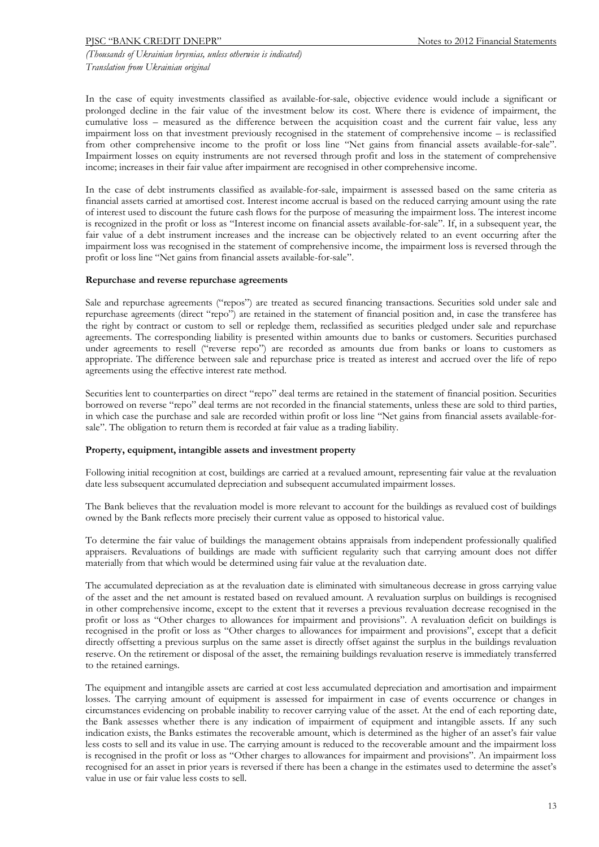In the case of equity investments classified as available-for-sale, objective evidence would include a significant or prolonged decline in the fair value of the investment below its cost. Where there is evidence of impairment, the cumulative loss – measured as the difference between the acquisition coast and the current fair value, less any impairment loss on that investment previously recognised in the statement of comprehensive income – is reclassified from other comprehensive income to the profit or loss line "Net gains from financial assets available-for-sale". Impairment losses on equity instruments are not reversed through profit and loss in the statement of comprehensive income; increases in their fair value after impairment are recognised in other comprehensive income.

In the case of debt instruments classified as available-for-sale, impairment is assessed based on the same criteria as financial assets carried at amortised cost. Interest income accrual is based on the reduced carrying amount using the rate of interest used to discount the future cash flows for the purpose of measuring the impairment loss. The interest income is recognized in the profit or loss as "Interest income on financial assets available-for-sale". If, in a subsequent year, the fair value of a debt instrument increases and the increase can be objectively related to an event occurring after the impairment loss was recognised in the statement of comprehensive income, the impairment loss is reversed through the profit or loss line "Net gains from financial assets available-for-sale".

#### **Repurchase and reverse repurchase agreements**

Sale and repurchase agreements ("repos") are treated as secured financing transactions. Securities sold under sale and repurchase agreements (direct "repo") are retained in the statement of financial position and, in case the transferee has the right by contract or custom to sell or repledge them, reclassified as securities pledged under sale and repurchase agreements. The corresponding liability is presented within amounts due to banks or customers. Securities purchased under agreements to resell ("reverse repo") are recorded as amounts due from banks or loans to customers as appropriate. The difference between sale and repurchase price is treated as interest and accrued over the life of repo agreements using the effective interest rate method.

Securities lent to counterparties on direct "repo" deal terms are retained in the statement of financial position. Securities borrowed on reverse "repo" deal terms are not recorded in the financial statements, unless these are sold to third parties, in which case the purchase and sale are recorded within profit or loss line "Net gains from financial assets available-forsale". The obligation to return them is recorded at fair value as a trading liability.

#### **Property, equipment, intangible assets and investment property**

Following initial recognition at cost, buildings are carried at a revalued amount, representing fair value at the revaluation date less subsequent accumulated depreciation and subsequent accumulated impairment losses.

The Bank believes that the revaluation model is more relevant to account for the buildings as revalued cost of buildings owned by the Bank reflects more precisely their current value as opposed to historical value.

To determine the fair value of buildings the management obtains appraisals from independent professionally qualified appraisers. Revaluations of buildings are made with sufficient regularity such that carrying amount does not differ materially from that which would be determined using fair value at the revaluation date.

The accumulated depreciation as at the revaluation date is eliminated with simultaneous decrease in gross carrying value of the asset and the net amount is restated based on revalued amount. A revaluation surplus on buildings is recognised in other comprehensive income, except to the extent that it reverses a previous revaluation decrease recognised in the profit or loss as "Other charges to allowances for impairment and provisions". A revaluation deficit on buildings is recognised in the profit or loss as "Other charges to allowances for impairment and provisions", except that a deficit directly offsetting a previous surplus on the same asset is directly offset against the surplus in the buildings revaluation reserve. On the retirement or disposal of the asset, the remaining buildings revaluation reserve is immediately transferred to the retained earnings.

The equipment and intangible assets are carried at cost less accumulated depreciation and amortisation and impairment losses. The carrying amount of equipment is assessed for impairment in case of events occurrence or changes in circumstances evidencing on probable inability to recover carrying value of the asset. At the end of each reporting date, the Bank assesses whether there is any indication of impairment of equipment and intangible assets. If any such indication exists, the Banks estimates the recoverable amount, which is determined as the higher of an asset's fair value less costs to sell and its value in use. The carrying amount is reduced to the recoverable amount and the impairment loss is recognised in the profit or loss as "Other charges to allowances for impairment and provisions". An impairment loss recognised for an asset in prior years is reversed if there has been a change in the estimates used to determine the asset's value in use or fair value less costs to sell.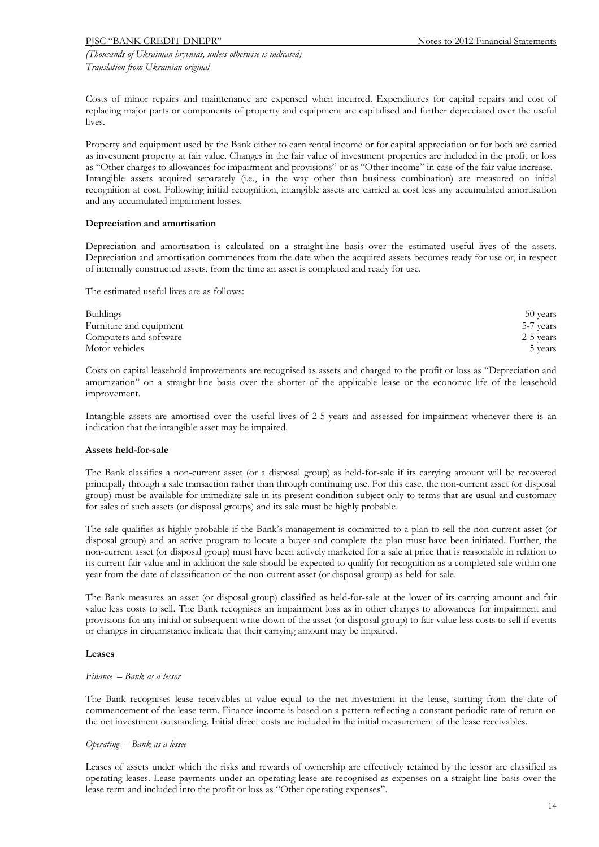Costs of minor repairs and maintenance are expensed when incurred. Expenditures for capital repairs and cost of replacing major parts or components of property and equipment are capitalised and further depreciated over the useful lives.

Property and equipment used by the Bank either to earn rental income or for capital appreciation or for both are carried as investment property at fair value. Changes in the fair value of investment properties are included in the profit or loss as "Other charges to allowances for impairment and provisions" or as "Other income" in case of the fair value increase. Intangible assets acquired separately (i.e., in the way other than business combination) are measured on initial recognition at cost. Following initial recognition, intangible assets are carried at cost less any accumulated amortisation and any accumulated impairment losses.

#### **Depreciation and amortisation**

Depreciation and amortisation is calculated on a straight-line basis over the estimated useful lives of the assets. Depreciation and amortisation commences from the date when the acquired assets becomes ready for use or, in respect of internally constructed assets, from the time an asset is completed and ready for use.

The estimated useful lives are as follows:

| <b>Buildings</b>        | 50 years  |
|-------------------------|-----------|
| Furniture and equipment | 5-7 years |
| Computers and software  | 2-5 years |
| Motor vehicles          | 5 years   |

Costs on capital leasehold improvements are recognised as assets and charged to the profit or loss as "Depreciation and amortization" on a straight-line basis over the shorter of the applicable lease or the economic life of the leasehold improvement.

Intangible assets are amortised over the useful lives of 2-5 years and assessed for impairment whenever there is an indication that the intangible asset may be impaired.

#### **Assets held-for-sale**

The Bank classifies a non-current asset (or a disposal group) as held-for-sale if its carrying amount will be recovered principally through a sale transaction rather than through continuing use. For this case, the non-current asset (or disposal group) must be available for immediate sale in its present condition subject only to terms that are usual and customary for sales of such assets (or disposal groups) and its sale must be highly probable.

The sale qualifies as highly probable if the Bank's management is committed to a plan to sell the non-current asset (or disposal group) and an active program to locate a buyer and complete the plan must have been initiated. Further, the non-current asset (or disposal group) must have been actively marketed for a sale at price that is reasonable in relation to its current fair value and in addition the sale should be expected to qualify for recognition as a completed sale within one year from the date of classification of the non-current asset (or disposal group) as held-for-sale.

The Bank measures an asset (or disposal group) classified as held-for-sale at the lower of its carrying amount and fair value less costs to sell. The Bank recognises an impairment loss as in other charges to allowances for impairment and provisions for any initial or subsequent write-down of the asset (or disposal group) to fair value less costs to sell if events or changes in circumstance indicate that their carrying amount may be impaired.

#### **Leases**

#### *Finance – Bank as a lessor*

The Bank recognises lease receivables at value equal to the net investment in the lease, starting from the date of commencement of the lease term. Finance income is based on a pattern reflecting a constant periodic rate of return on the net investment outstanding. Initial direct costs are included in the initial measurement of the lease receivables.

#### *Operating – Bank as a lessee*

Leases of assets under which the risks and rewards of ownership are effectively retained by the lessor are classified as operating leases. Lease payments under an operating lease are recognised as expenses on a straight-line basis over the lease term and included into the profit or loss as "Other operating expenses".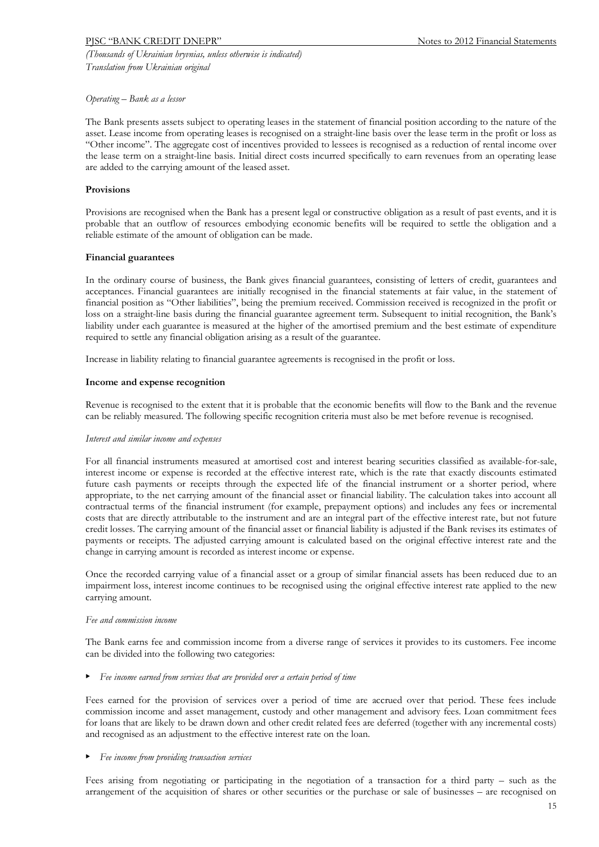#### *Operating – Bank as a lessor*

The Bank presents assets subject to operating leases in the statement of financial position according to the nature of the asset. Lease income from operating leases is recognised on a straight-line basis over the lease term in the profit or loss as "Other income". The aggregate cost of incentives provided to lessees is recognised as a reduction of rental income over the lease term on a straight-line basis. Initial direct costs incurred specifically to earn revenues from an operating lease are added to the carrying amount of the leased asset.

#### **Provisions**

Provisions are recognised when the Bank has a present legal or constructive obligation as a result of past events, and it is probable that an outflow of resources embodying economic benefits will be required to settle the obligation and a reliable estimate of the amount of obligation can be made.

#### **Financial guarantees**

In the ordinary course of business, the Bank gives financial guarantees, consisting of letters of credit, guarantees and acceptances. Financial guarantees are initially recognised in the financial statements at fair value, in the statement of financial position as "Other liabilities", being the premium received. Commission received is recognized in the profit or loss on a straight-line basis during the financial guarantee agreement term. Subsequent to initial recognition, the Bank's liability under each guarantee is measured at the higher of the amortised premium and the best estimate of expenditure required to settle any financial obligation arising as a result of the guarantee.

Increase in liability relating to financial guarantee agreements is recognised in the profit or loss.

#### **Income and expense recognition**

Revenue is recognised to the extent that it is probable that the economic benefits will flow to the Bank and the revenue can be reliably measured. The following specific recognition criteria must also be met before revenue is recognised.

#### *Interest and similar income and expenses*

For all financial instruments measured at amortised cost and interest bearing securities classified as available-for-sale, interest income or expense is recorded at the effective interest rate, which is the rate that exactly discounts estimated future cash payments or receipts through the expected life of the financial instrument or a shorter period, where appropriate, to the net carrying amount of the financial asset or financial liability. The calculation takes into account all contractual terms of the financial instrument (for example, prepayment options) and includes any fees or incremental costs that are directly attributable to the instrument and are an integral part of the effective interest rate, but not future credit losses. The carrying amount of the financial asset or financial liability is adjusted if the Bank revises its estimates of payments or receipts. The adjusted carrying amount is calculated based on the original effective interest rate and the change in carrying amount is recorded as interest income or expense.

Once the recorded carrying value of a financial asset or a group of similar financial assets has been reduced due to an impairment loss, interest income continues to be recognised using the original effective interest rate applied to the new carrying amount.

#### *Fee and commission income*

The Bank earns fee and commission income from a diverse range of services it provides to its customers. Fee income can be divided into the following two categories:

• *Fee income earned from services that are provided over a certain period of time*

Fees earned for the provision of services over a period of time are accrued over that period. These fees include commission income and asset management, custody and other management and advisory fees. Loan commitment fees for loans that are likely to be drawn down and other credit related fees are deferred (together with any incremental costs) and recognised as an adjustment to the effective interest rate on the loan.

#### • *Fee income from providing transaction services*

Fees arising from negotiating or participating in the negotiation of a transaction for a third party – such as the arrangement of the acquisition of shares or other securities or the purchase or sale of businesses – are recognised on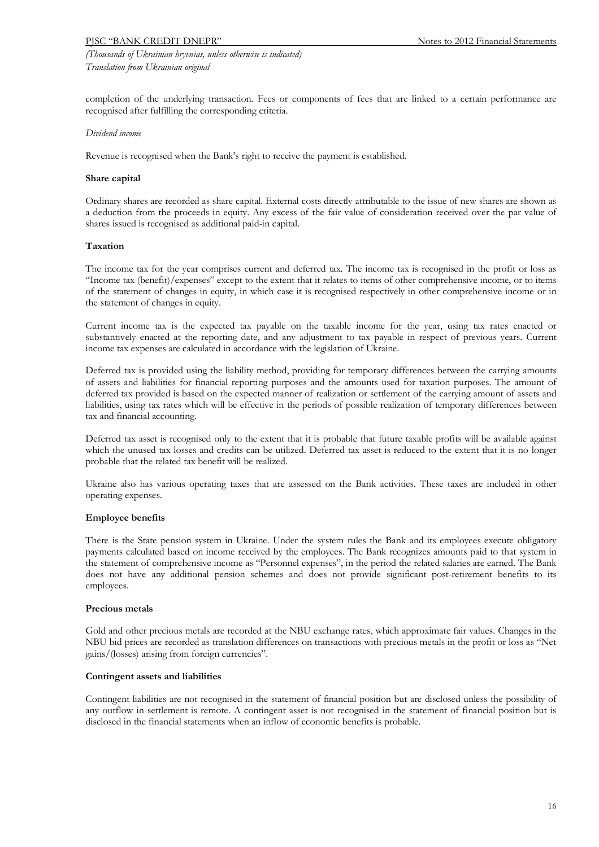completion of the underlying transaction. Fees or components of fees that are linked to a certain performance are recognised after fulfilling the corresponding criteria.

#### *Dividend income*

Revenue is recognised when the Bank's right to receive the payment is established.

#### **Share capital**

Ordinary shares are recorded as share capital. External costs directly attributable to the issue of new shares are shown as a deduction from the proceeds in equity. Any excess of the fair value of consideration received over the par value of shares issued is recognised as additional paid-in capital.

#### **Taxation**

The income tax for the year comprises current and deferred tax. The income tax is recognised in the profit or loss as "Income tax (benefit)/expenses" except to the extent that it relates to items of other comprehensive income, or to items of the statement of changes in equity, in which case it is recognised respectively in other comprehensive income or in the statement of changes in equity.

Current income tax is the expected tax payable on the taxable income for the year, using tax rates enacted or substantively enacted at the reporting date, and any adjustment to tax payable in respect of previous years. Current income tax expenses are calculated in accordance with the legislation of Ukraine.

Deferred tax is provided using the liability method, providing for temporary differences between the carrying amounts of assets and liabilities for financial reporting purposes and the amounts used for taxation purposes. The amount of deferred tax provided is based on the expected manner of realization or settlement of the carrying amount of assets and liabilities, using tax rates which will be effective in the periods of possible realization of temporary differences between tax and financial accounting.

Deferred tax asset is recognised only to the extent that it is probable that future taxable profits will be available against which the unused tax losses and credits can be utilized. Deferred tax asset is reduced to the extent that it is no longer probable that the related tax benefit will be realized.

Ukraine also has various operating taxes that are assessed on the Bank activities. These taxes are included in other operating expenses.

#### **Employee benefits**

There is the State pension system in Ukraine. Under the system rules the Bank and its employees execute obligatory payments calculated based on income received by the employees. The Bank recognizes amounts paid to that system in the statement of comprehensive income as "Personnel expenses", in the period the related salaries are earned. The Bank does not have any additional pension schemes and does not provide significant post-retirement benefits to its employees.

#### **Precious metals**

Gold and other precious metals are recorded at the NBU exchange rates, which approximate fair values. Changes in the NBU bid prices are recorded as translation differences on transactions with precious metals in the profit or loss as "Net gains/(losses) arising from foreign currencies".

#### **Contingent assets and liabilities**

Contingent liabilities are not recognised in the statement of financial position but are disclosed unless the possibility of any outflow in settlement is remote. A contingent asset is not recognised in the statement of financial position but is disclosed in the financial statements when an inflow of economic benefits is probable.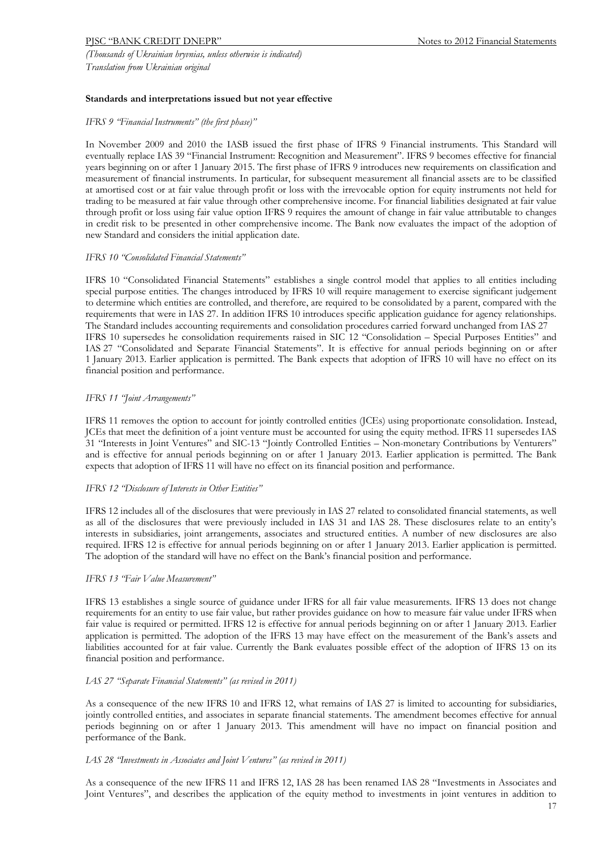#### **Standards and interpretations issued but not year effective**

#### *IFRS 9 "Financial Instruments" (the first phase)"*

In November 2009 and 2010 the IASB issued the first phase of IFRS 9 Financial instruments. This Standard will eventually replace IAS 39 "Financial Instrument: Recognition and Measurement". IFRS 9 becomes effective for financial years beginning on or after 1 January 2015. The first phase of IFRS 9 introduces new requirements on classification and measurement of financial instruments. In particular, for subsequent measurement all financial assets are to be classified at amortised cost or at fair value through profit or loss with the irrevocable option for equity instruments not held for trading to be measured at fair value through other comprehensive income. For financial liabilities designated at fair value through profit or loss using fair value option IFRS 9 requires the amount of change in fair value attributable to changes in credit risk to be presented in other comprehensive income. The Bank now evaluates the impact of the adoption of new Standard and considers the initial application date.

#### *IFRS 10 "Consolidated Financial Statements"*

IFRS 10 "Consolidated Financial Statements" establishes a single control model that applies to all entities including special purpose entities. The changes introduced by IFRS 10 will require management to exercise significant judgement to determine which entities are controlled, and therefore, are required to be consolidated by a parent, compared with the requirements that were in IAS 27. In addition IFRS 10 introduces specific application guidance for agency relationships. The Standard includes accounting requirements and consolidation procedures carried forward unchanged from IAS 27 IFRS 10 supersedes he consolidation requirements raised in SIC 12 "Consolidation – Special Purposes Entities" and IAS 27 "Consolidated and Separate Financial Statements". It is effective for annual periods beginning on or after 1 January 2013. Earlier application is permitted. The Bank expects that adoption of IFRS 10 will have no effect on its financial position and performance.

#### *IFRS 11 "Joint Arrangements"*

IFRS 11 removes the option to account for jointly controlled entities (JCEs) using proportionate consolidation. Instead, JCEs that meet the definition of a joint venture must be accounted for using the equity method. IFRS 11 supersedes IAS 31 "Interests in Joint Ventures" and SIC-13 "Jointly Controlled Entities – Non-monetary Contributions by Venturers" and is effective for annual periods beginning on or after 1 January 2013. Earlier application is permitted. The Bank expects that adoption of IFRS 11 will have no effect on its financial position and performance.

#### *IFRS 12 "Disclosure of Interests in Other Entities"*

IFRS 12 includes all of the disclosures that were previously in IAS 27 related to consolidated financial statements, as well as all of the disclosures that were previously included in IAS 31 and IAS 28. These disclosures relate to an entity's interests in subsidiaries, joint arrangements, associates and structured entities. A number of new disclosures are also required. IFRS 12 is effective for annual periods beginning on or after 1 January 2013. Earlier application is permitted. The adoption of the standard will have no effect on the Bank's financial position and performance.

#### *IFRS 13 "Fair Value Measurement"*

IFRS 13 establishes a single source of guidance under IFRS for all fair value measurements. IFRS 13 does not change requirements for an entity to use fair value, but rather provides guidance on how to measure fair value under IFRS when fair value is required or permitted. IFRS 12 is effective for annual periods beginning on or after 1 January 2013. Earlier application is permitted. The adoption of the IFRS 13 may have effect on the measurement of the Bank's assets and liabilities accounted for at fair value. Currently the Bank evaluates possible effect of the adoption of IFRS 13 on its financial position and performance.

#### *IAS 27 "Separate Financial Statements" (as revised in 2011)*

As a consequence of the new IFRS 10 and IFRS 12, what remains of IAS 27 is limited to accounting for subsidiaries, jointly controlled entities, and associates in separate financial statements. The amendment becomes effective for annual periods beginning on or after 1 January 2013. This amendment will have no impact on financial position and performance of the Bank.

#### *IAS 28 "Investments in Associates and Joint Ventures" (as revised in 2011)*

As a consequence of the new IFRS 11 and IFRS 12, IAS 28 has been renamed IAS 28 "Investments in Associates and Joint Ventures", and describes the application of the equity method to investments in joint ventures in addition to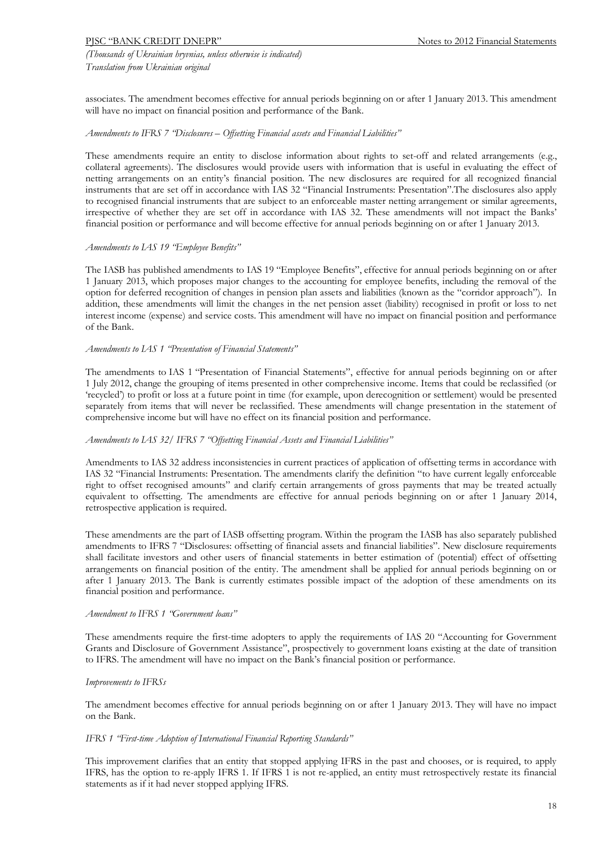associates. The amendment becomes effective for annual periods beginning on or after 1 January 2013. This amendment will have no impact on financial position and performance of the Bank.

#### *Amendments to IFRS 7 "Disclosures – Offsetting Financial assets and Financial Liabilities"*

These amendments require an entity to disclose information about rights to set-off and related arrangements (e.g., collateral agreements). The disclosures would provide users with information that is useful in evaluating the effect of netting arrangements on an entity's financial position. The new disclosures are required for all recognized financial instruments that are set off in accordance with IAS 32 "Financial Instruments: Presentation".The disclosures also apply to recognised financial instruments that are subject to an enforceable master netting arrangement or similar agreements, irrespective of whether they are set off in accordance with IAS 32. These amendments will not impact the Banks' financial position or performance and will become effective for annual periods beginning on or after 1 January 2013.

#### *Amendments to IAS 19 "Employee Benefits"*

The IASB has published amendments to IAS 19 "Employee Benefits", effective for annual periods beginning on or after 1 January 2013, which proposes major changes to the accounting for employee benefits, including the removal of the option for deferred recognition of changes in pension plan assets and liabilities (known as the "corridor approach"). In addition, these amendments will limit the changes in the net pension asset (liability) recognised in profit or loss to net interest income (expense) and service costs. This amendment will have no impact on financial position and performance of the Bank.

#### *Amendments to IAS 1 "Presentation of Financial Statements"*

The amendments to IAS 1 "Presentation of Financial Statements", effective for annual periods beginning on or after 1 July 2012, change the grouping of items presented in other comprehensive income. Items that could be reclassified (or 'recycled') to profit or loss at a future point in time (for example, upon derecognition or settlement) would be presented separately from items that will never be reclassified. These amendments will change presentation in the statement of comprehensive income but will have no effect on its financial position and performance.

#### *Amendments to IAS 32/ IFRS 7 "Offsetting Financial Assets and Financial Liabilities"*

Amendments to IAS 32 address inconsistencies in current practices of application of offsetting terms in accordance with IAS 32 "Financial Instruments: Presentation. The amendments clarify the definition "to have current legally enforceable right to offset recognised amounts" and clarify certain arrangements of gross payments that may be treated actually equivalent to offsetting. The amendments are effective for annual periods beginning on or after 1 January 2014, retrospective application is required.

These amendments are the part of IASB offsetting program. Within the program the IASB has also separately published amendments to IFRS 7 "Disclosures: offsetting of financial assets and financial liabilities". New disclosure requirements shall facilitate investors and other users of financial statements in better estimation of (potential) effect of offsetting arrangements on financial position of the entity. The amendment shall be applied for annual periods beginning on or after 1 January 2013. The Bank is currently estimates possible impact of the adoption of these amendments on its financial position and performance.

#### *Amendment to IFRS 1 "Government loans"*

These amendments require the first-time adopters to apply the requirements of IAS 20 "Accounting for Government Grants and Disclosure of Government Assistance", prospectively to government loans existing at the date of transition to IFRS. The amendment will have no impact on the Bank's financial position or performance.

#### *Improvements to IFRSs*

The amendment becomes effective for annual periods beginning on or after 1 January 2013. They will have no impact on the Bank.

#### *IFRS 1 "First-time Adoption of International Financial Reporting Standards"*

This improvement clarifies that an entity that stopped applying IFRS in the past and chooses, or is required, to apply IFRS, has the option to re-apply IFRS 1. If IFRS 1 is not re-applied, an entity must retrospectively restate its financial statements as if it had never stopped applying IFRS.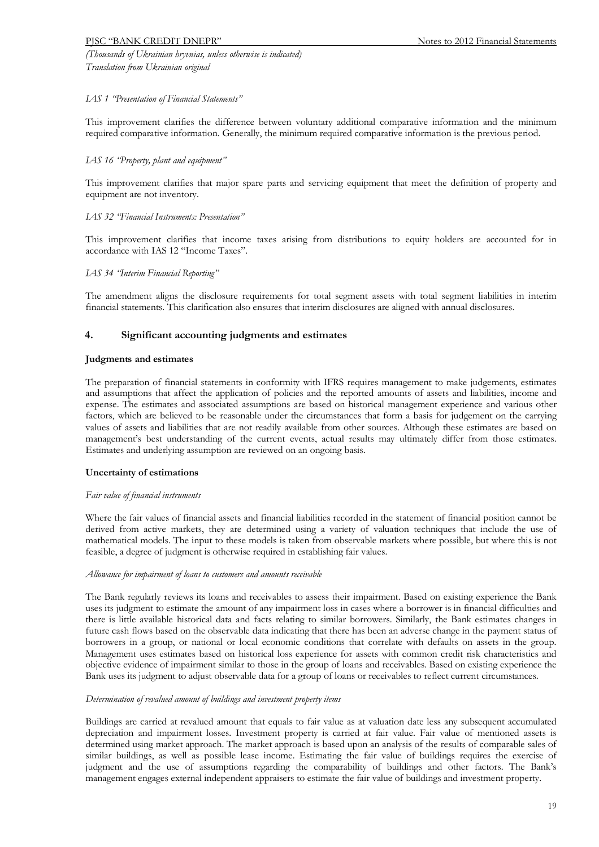#### *IAS 1 "Presentation of Financial Statements"*

This improvement clarifies the difference between voluntary additional comparative information and the minimum required comparative information. Generally, the minimum required comparative information is the previous period.

#### *IAS 16 "Property, plant and equipment"*

This improvement clarifies that major spare parts and servicing equipment that meet the definition of property and equipment are not inventory.

#### *IAS 32 "Financial Instruments: Presentation"*

This improvement clarifies that income taxes arising from distributions to equity holders are accounted for in accordance with IAS 12 "Income Taxes".

#### *IAS 34 "Interim Financial Reporting"*

The amendment aligns the disclosure requirements for total segment assets with total segment liabilities in interim financial statements. This clarification also ensures that interim disclosures are aligned with annual disclosures.

#### **4. Significant accounting judgments and estimates**

#### **Judgments and estimates**

The preparation of financial statements in conformity with IFRS requires management to make judgements, estimates and assumptions that affect the application of policies and the reported amounts of assets and liabilities, income and expense. The estimates and associated assumptions are based on historical management experience and various other factors, which are believed to be reasonable under the circumstances that form a basis for judgement on the carrying values of assets and liabilities that are not readily available from other sources. Although these estimates are based on management's best understanding of the current events, actual results may ultimately differ from those estimates. Estimates and underlying assumption are reviewed on an ongoing basis.

#### **Uncertainty of estimations**

#### *Fair value of financial instruments*

Where the fair values of financial assets and financial liabilities recorded in the statement of financial position cannot be derived from active markets, they are determined using a variety of valuation techniques that include the use of mathematical models. The input to these models is taken from observable markets where possible, but where this is not feasible, a degree of judgment is otherwise required in establishing fair values.

#### *Allowance for impairment of loans to customers and amounts receivable*

The Bank regularly reviews its loans and receivables to assess their impairment. Based on existing experience the Bank uses its judgment to estimate the amount of any impairment loss in cases where a borrower is in financial difficulties and there is little available historical data and facts relating to similar borrowers. Similarly, the Bank estimates changes in future cash flows based on the observable data indicating that there has been an adverse change in the payment status of borrowers in a group, or national or local economic conditions that correlate with defaults on assets in the group. Management uses estimates based on historical loss experience for assets with common credit risk characteristics and objective evidence of impairment similar to those in the group of loans and receivables. Based on existing experience the Bank uses its judgment to adjust observable data for a group of loans or receivables to reflect current circumstances.

#### *Determination of revalued amount of buildings and investment property items*

Buildings are carried at revalued amount that equals to fair value as at valuation date less any subsequent accumulated depreciation and impairment losses. Investment property is carried at fair value. Fair value of mentioned assets is determined using market approach. The market approach is based upon an analysis of the results of comparable sales of similar buildings, as well as possible lease income. Estimating the fair value of buildings requires the exercise of judgment and the use of assumptions regarding the comparability of buildings and other factors. The Bank's management engages external independent appraisers to estimate the fair value of buildings and investment property.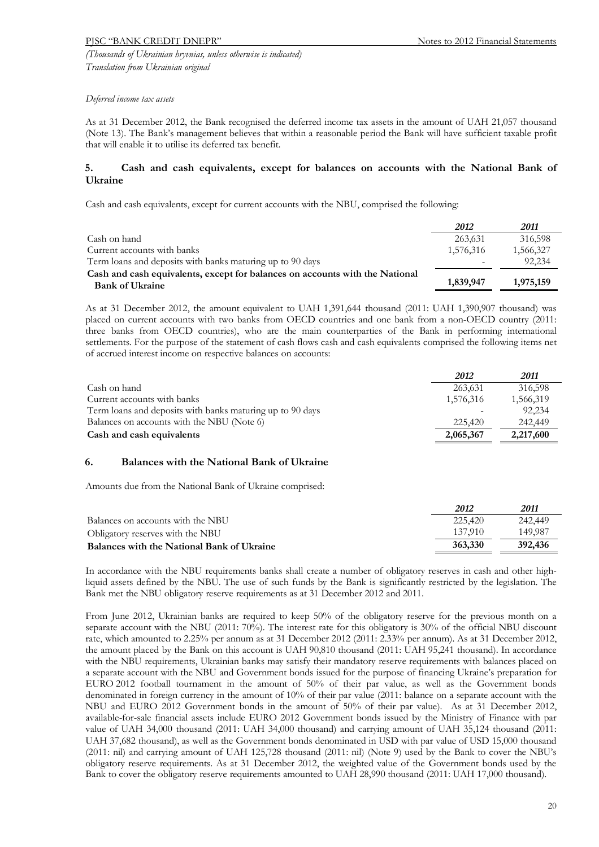#### *Deferred income tax assets*

As at 31 December 2012, the Bank recognised the deferred income tax assets in the amount of UAH 21,057 thousand (Note 13). The Bank's management believes that within a reasonable period the Bank will have sufficient taxable profit that will enable it to utilise its deferred tax benefit.

#### **5. Cash and cash equivalents, except for balances on accounts with the National Bank of Ukraine**

Cash and cash equivalents, except for current accounts with the NBU, comprised the following:

|                                                                                                        | 2012                     | 2011      |
|--------------------------------------------------------------------------------------------------------|--------------------------|-----------|
| Cash on hand                                                                                           | 263,631                  | 316,598   |
| Current accounts with banks                                                                            | 1,576,316                | 1,566,327 |
| Term loans and deposits with banks maturing up to 90 days                                              | $\overline{\phantom{m}}$ | 92.234    |
| Cash and cash equivalents, except for balances on accounts with the National<br><b>Bank of Ukraine</b> | 1,839,947                | 1,975,159 |

As at 31 December 2012, the amount equivalent to UAH 1,391,644 thousand (2011: UAH 1,390,907 thousand) was placed on current accounts with two banks from OECD countries and one bank from a non-OECD country (2011: three banks from OECD countries), who are the main counterparties of the Bank in performing international settlements. For the purpose of the statement of cash flows cash and cash equivalents comprised the following items net of accrued interest income on respective balances on accounts:

|                                                           | 2012                     | 2011      |
|-----------------------------------------------------------|--------------------------|-----------|
| Cash on hand                                              | 263,631                  | 316,598   |
| Current accounts with banks                               | 1,576,316                | 1,566,319 |
| Term loans and deposits with banks maturing up to 90 days | $\overline{\phantom{0}}$ | 92.234    |
| Balances on accounts with the NBU (Note 6)                | 225,420                  | 242,449   |
| Cash and cash equivalents                                 | 2,065,367                | 2,217,600 |

#### **6. Balances with the National Bank of Ukraine**

Amounts due from the National Bank of Ukraine comprised:

|                                            | 2012    | 2011    |
|--------------------------------------------|---------|---------|
| Balances on accounts with the NBU          | 225,420 | 242,449 |
| Obligatory reserves with the NBU           | 137.910 | 149.987 |
| Balances with the National Bank of Ukraine | 363,330 | 392,436 |

In accordance with the NBU requirements banks shall create a number of obligatory reserves in cash and other highliquid assets defined by the NBU. The use of such funds by the Bank is significantly restricted by the legislation. The Bank met the NBU obligatory reserve requirements as at 31 December 2012 and 2011.

From June 2012, Ukrainian banks are required to keep 50% of the obligatory reserve for the previous month on a separate account with the NBU (2011: 70%). The interest rate for this obligatory is 30% of the official NBU discount rate, which amounted to 2.25% per annum as at 31 December 2012 (2011: 2.33% per annum). As at 31 December 2012, the amount placed by the Bank on this account is UAH 90,810 thousand (2011: UAH 95,241 thousand). In accordance with the NBU requirements, Ukrainian banks may satisfy their mandatory reserve requirements with balances placed on a separate account with the NBU and Government bonds issued for the purpose of financing Ukraine's preparation for EURO 2012 football tournament in the amount of 50% of their par value, as well as the Government bonds denominated in foreign currency in the amount of 10% of their par value (2011: balance on a separate account with the NBU and EURO 2012 Government bonds in the amount of 50% of their par value). As at 31 December 2012, available-for-sale financial assets include EURO 2012 Government bonds issued by the Ministry of Finance with par value of UAH 34,000 thousand (2011: UAH 34,000 thousand) and carrying amount of UAH 35,124 thousand (2011: UAH 37,682 thousand), as well as the Government bonds denominated in USD with par value of USD 15,000 thousand (2011: nil) and carrying amount of UAH 125,728 thousand (2011: nil) (Note 9) used by the Bank to cover the NBU's obligatory reserve requirements. As at 31 December 2012, the weighted value of the Government bonds used by the Bank to cover the obligatory reserve requirements amounted to UAH 28,990 thousand (2011: UAH 17,000 thousand).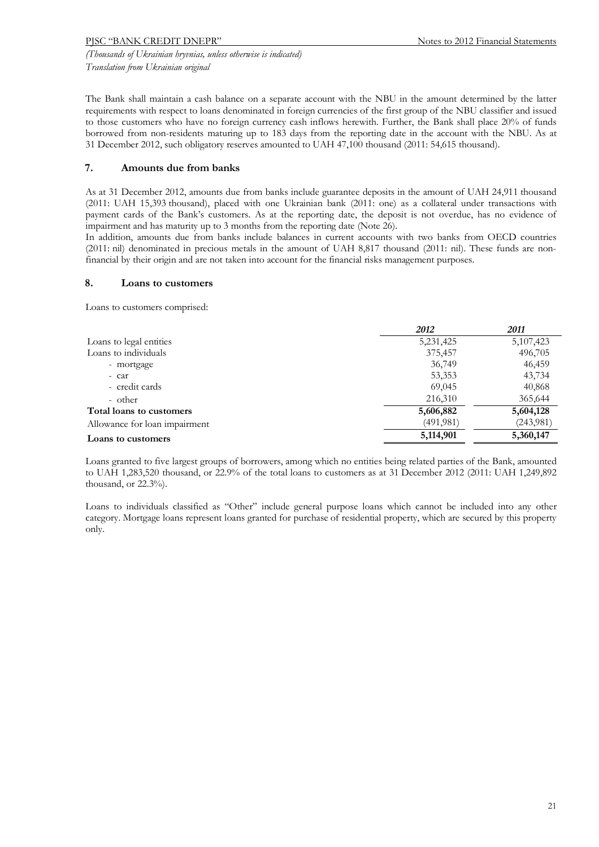The Bank shall maintain a cash balance on a separate account with the NBU in the amount determined by the latter requirements with respect to loans denominated in foreign currencies of the first group of the NBU classifier and issued to those customers who have no foreign currency cash inflows herewith. Further, the Bank shall place 20% of funds borrowed from non-residents maturing up to 183 days from the reporting date in the account with the NBU. As at 31 December 2012, such obligatory reserves amounted to UAH 47,100 thousand (2011: 54,615 thousand).

#### **7. Amounts due from banks**

As at 31 December 2012, amounts due from banks include guarantee deposits in the amount of UAH 24,911 thousand (2011: UAH 15,393 thousand), placed with one Ukrainian bank (2011: one) as a collateral under transactions with payment cards of the Bank's customers. As at the reporting date, the deposit is not overdue, has no evidence of impairment and has maturity up to 3 months from the reporting date (Note 26).

In addition, amounts due from banks include balances in current accounts with two banks from OECD countries (2011: nil) denominated in precious metals in the amount of UAH 8,817 thousand (2011: nil). These funds are nonfinancial by their origin and are not taken into account for the financial risks management purposes.

#### **8. Loans to customers**

Loans to customers comprised:

|                               | 2012        | 2011      |
|-------------------------------|-------------|-----------|
| Loans to legal entities       | 5, 231, 425 | 5,107,423 |
| Loans to individuals          | 375,457     | 496,705   |
| - mortgage                    | 36,749      | 46,459    |
| - car                         | 53,353      | 43,734    |
| - credit cards                | 69,045      | 40,868    |
| - other                       | 216,310     | 365,644   |
| Total loans to customers      | 5,606,882   | 5,604,128 |
| Allowance for loan impairment | (491, 981)  | (243,981) |
| Loans to customers            | 5,114,901   | 5,360,147 |

Loans granted to five largest groups of borrowers, among which no entities being related parties of the Bank, amounted to UAH 1,283,520 thousand, or 22.9% of the total loans to customers as at 31 December 2012 (2011: UAH 1,249,892 thousand, or 22.3%).

Loans to individuals classified as "Other" include general purpose loans which cannot be included into any other category. Mortgage loans represent loans granted for purchase of residential property, which are secured by this property only.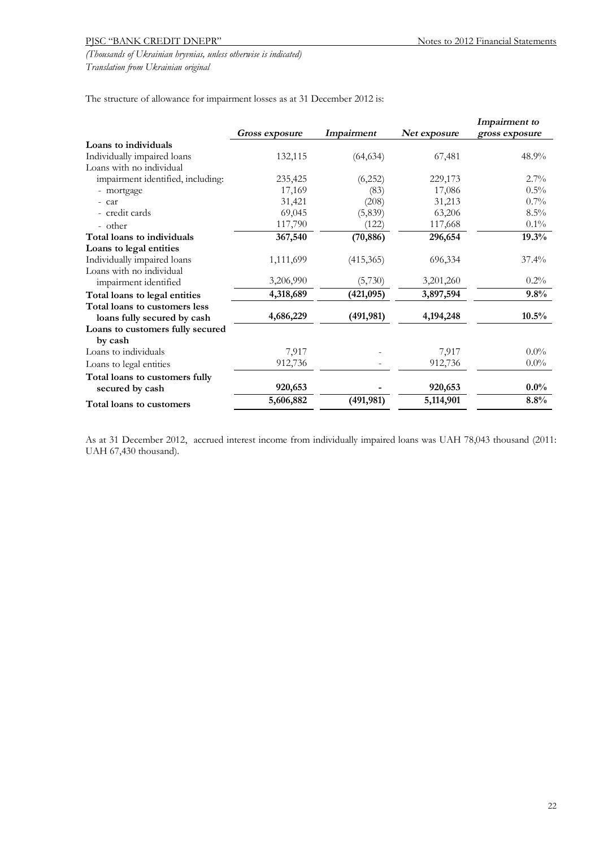*(Thousands of Ukrainian hryvnias, unless otherwise is indicated) Translation from Ukrainian original* 

|                                   |                |            |              | Impairment to  |
|-----------------------------------|----------------|------------|--------------|----------------|
|                                   | Gross exposure | Impairment | Net exposure | gross exposure |
| Loans to individuals              |                |            |              |                |
| Individually impaired loans       | 132,115        | (64, 634)  | 67,481       | 48.9%          |
| Loans with no individual          |                |            |              |                |
| impairment identified, including: | 235,425        | (6,252)    | 229,173      | $2.7\%$        |
| - mortgage                        | 17,169         | (83)       | 17,086       | $0.5\%$        |
| - car                             | 31,421         | (208)      | 31,213       | $0.7\%$        |
| - credit cards                    | 69,045         | (5,839)    | 63,206       | $8.5\%$        |
| - other                           | 117,790        | (122)      | 117,668      | $0.1\%$        |
| Total loans to individuals        | 367,540        | (70, 886)  | 296,654      | 19.3%          |
| Loans to legal entities           |                |            |              |                |
| Individually impaired loans       | 1,111,699      | (415,365)  | 696,334      | $37.4\%$       |
| Loans with no individual          |                |            |              |                |
| impairment identified             | 3,206,990      | (5,730)    | 3,201,260    | $0.2\%$        |
| Total loans to legal entities     | 4,318,689      | (421,095)  | 3,897,594    | 9.8%           |
| Total loans to customers less     |                |            |              |                |
| loans fully secured by cash       | 4,686,229      | (491, 981) | 4,194,248    | $10.5\%$       |
| Loans to customers fully secured  |                |            |              |                |
| by cash                           |                |            |              |                |
| Loans to individuals              | 7,917          |            | 7,917        | $0.0\%$        |
| Loans to legal entities           | 912,736        |            | 912,736      | $0.0\%$        |
| Total loans to customers fully    |                |            |              |                |
| secured by cash                   | 920,653        |            | 920,653      | $0.0\%$        |
| Total loans to customers          | 5,606,882      | (491, 981) | 5,114,901    | 8.8%           |

The structure of allowance for impairment losses as at 31 December 2012 is:

As at 31 December 2012, accrued interest income from individually impaired loans was UAH 78,043 thousand (2011: UAH 67,430 thousand).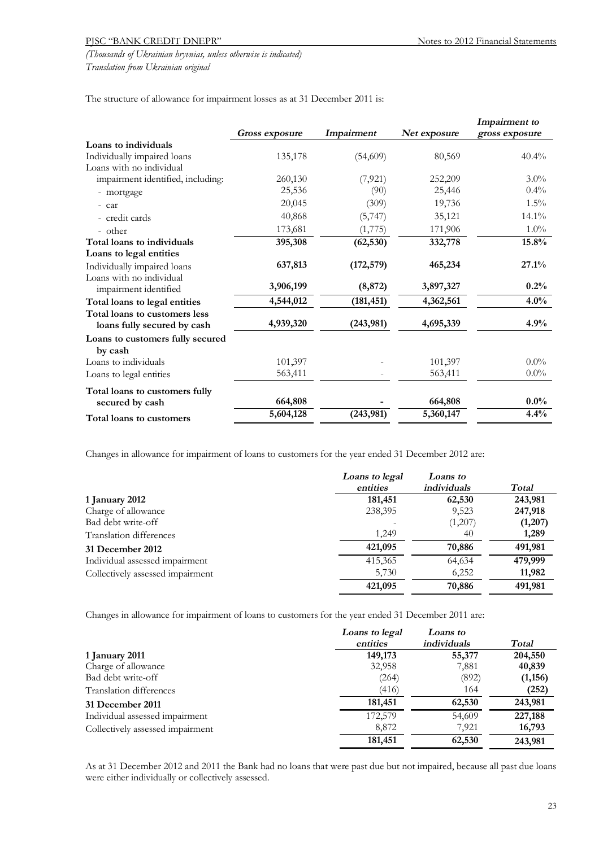*(Thousands of Ukrainian hryvnias, unless otherwise is indicated) Translation from Ukrainian original* 

|                                   |                |            |              | Impairment to  |
|-----------------------------------|----------------|------------|--------------|----------------|
|                                   | Gross exposure | Impairment | Net exposure | gross exposure |
| Loans to individuals              |                |            |              |                |
| Individually impaired loans       | 135,178        | (54,609)   | 80,569       | $40.4\%$       |
| Loans with no individual          |                |            |              |                |
| impairment identified, including: | 260,130        | (7, 921)   | 252,209      | $3.0\%$        |
| - mortgage                        | 25,536         | (90)       | 25,446       | 0.4%           |
| - car                             | 20,045         | (309)      | 19,736       | $1.5\%$        |
| - credit cards                    | 40,868         | (5,747)    | 35,121       | 14.1%          |
| - other                           | 173,681        | (1,775)    | 171,906      | $1.0\%$        |
| Total loans to individuals        | 395,308        | (62, 530)  | 332,778      | 15.8%          |
| Loans to legal entities           |                |            |              |                |
| Individually impaired loans       | 637,813        | (172, 579) | 465,234      | 27.1%          |
| Loans with no individual          |                |            |              |                |
| impairment identified             | 3,906,199      | (8, 872)   | 3,897,327    | $0.2\%$        |
| Total loans to legal entities     | 4,544,012      | (181, 451) | 4,362,561    | 4.0%           |
| Total loans to customers less     |                |            |              |                |
| loans fully secured by cash       | 4,939,320      | (243,981)  | 4,695,339    | 4.9%           |
| Loans to customers fully secured  |                |            |              |                |
| by cash                           |                |            |              |                |
| Loans to individuals              | 101,397        |            | 101,397      | $0.0\%$        |
| Loans to legal entities           | 563,411        |            | 563,411      | $0.0\%$        |
| Total loans to customers fully    |                |            |              |                |
| secured by cash                   | 664,808        |            | 664,808      | $0.0\%$        |
| Total loans to customers          | 5,604,128      | (243, 981) | 5,360,147    | 4.4%           |

The structure of allowance for impairment losses as at 31 December 2011 is:

Changes in allowance for impairment of loans to customers for the year ended 31 December 2012 are:

|                                  | Loans to legal<br>entities | Loans to<br>individuals | Total   |
|----------------------------------|----------------------------|-------------------------|---------|
| 1 January 2012                   | 181,451                    | 62,530                  | 243,981 |
| Charge of allowance              | 238,395                    | 9,523                   | 247,918 |
| Bad debt write-off               |                            | (1,207)                 | (1,207) |
| Translation differences          | 1,249                      | 40                      | 1,289   |
| 31 December 2012                 | 421,095                    | 70,886                  | 491,981 |
| Individual assessed impairment   | 415,365                    | 64,634                  | 479,999 |
| Collectively assessed impairment | 5,730                      | 6,252                   | 11,982  |
|                                  | 421,095                    | 70,886                  | 491,981 |

Changes in allowance for impairment of loans to customers for the year ended 31 December 2011 are:

|                                  | Loans to legal<br>entities | Loans to<br>individuals | Total    |
|----------------------------------|----------------------------|-------------------------|----------|
| 1 January 2011                   | 149,173                    | 55,377                  | 204,550  |
| Charge of allowance              | 32,958                     | 7,881                   | 40,839   |
| Bad debt write-off               | (264)                      | (892)                   | (1, 156) |
| Translation differences          | (416)                      | 164                     | (252)    |
| 31 December 2011                 | 181,451                    | 62,530                  | 243,981  |
| Individual assessed impairment   | 172,579                    | 54,609                  | 227,188  |
| Collectively assessed impairment | 8,872                      | 7,921                   | 16,793   |
|                                  | 181,451                    | 62,530                  | 243,981  |

As at 31 December 2012 and 2011 the Bank had no loans that were past due but not impaired, because all past due loans were either individually or collectively assessed.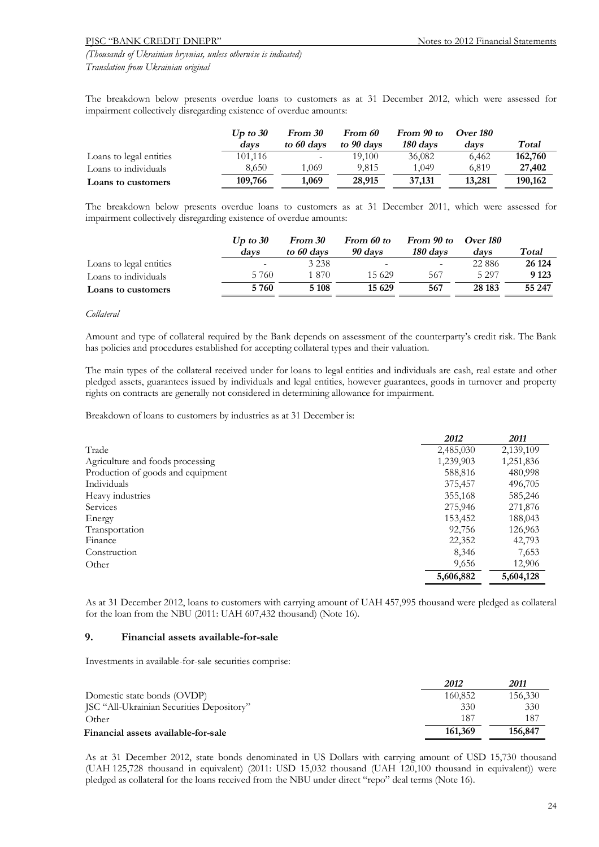*(Thousands of Ukrainian hryvnias, unless otherwise is indicated) Translation from Ukrainian original* 

The breakdown below presents overdue loans to customers as at 31 December 2012, which were assessed for impairment collectively disregarding existence of overdue amounts:

|                         | Up to $30$ | From 30                  | From 60    | From 90 to | <b>Over 180</b> |         |
|-------------------------|------------|--------------------------|------------|------------|-----------------|---------|
|                         | davs       | to 60 days               | to 90 days | 180 days   | davs            | Total   |
| Loans to legal entities | 101,116    | $\overline{\phantom{a}}$ | 19.100     | 36,082     | 6.462           | 162,760 |
| Loans to individuals    | 8.650      | 1.069                    | 9.815      | 1.049      | 6.819           | 27,402  |
| Loans to customers      | 109,766    | 1.069                    | 28,915     | 37,131     | 13,281          | 190,162 |

The breakdown below presents overdue loans to customers as at 31 December 2011, which were assessed for impairment collectively disregarding existence of overdue amounts:

|                         | Up to $30$<br>davs       | From 30<br>to 60 days | From 60 to<br>90 days    | From 90 to<br>180 days   | <b>Over 180</b><br>davs | <b>Total</b> |
|-------------------------|--------------------------|-----------------------|--------------------------|--------------------------|-------------------------|--------------|
| Loans to legal entities | $\overline{\phantom{a}}$ | 3 2 3 8               | $\overline{\phantom{0}}$ | $\overline{\phantom{a}}$ | 22 8 8 6                | 26 124       |
| Loans to individuals    | 5 760                    | 870                   | 15629                    | 567                      | 5 2 9 7                 | 9 1 23       |
| Loans to customers      | 5 7 6 0                  | 5 1 0 8               | 15 629                   | 567                      | 28 183                  | 55 247       |

#### *Collateral*

Amount and type of collateral required by the Bank depends on assessment of the counterparty's credit risk. The Bank has policies and procedures established for accepting collateral types and their valuation.

The main types of the collateral received under for loans to legal entities and individuals are cash, real estate and other pledged assets, guarantees issued by individuals and legal entities, however guarantees, goods in turnover and property rights on contracts are generally not considered in determining allowance for impairment.

Breakdown of loans to customers by industries as at 31 December is:

|                                   | 2012      | 2011      |
|-----------------------------------|-----------|-----------|
| Trade                             | 2,485,030 | 2,139,109 |
| Agriculture and foods processing  | 1,239,903 | 1,251,836 |
| Production of goods and equipment | 588,816   | 480,998   |
| Individuals                       | 375,457   | 496,705   |
| Heavy industries                  | 355,168   | 585,246   |
| Services                          | 275,946   | 271,876   |
| Energy                            | 153,452   | 188,043   |
| Transportation                    | 92,756    | 126,963   |
| Finance                           | 22,352    | 42,793    |
| Construction                      | 8,346     | 7,653     |
| Other                             | 9,656     | 12,906    |
|                                   | 5,606,882 | 5,604,128 |

As at 31 December 2012, loans to customers with carrying amount of UAH 457,995 thousand were pledged as collateral for the loan from the NBU (2011: UAH 607,432 thousand) (Note 16).

#### **9. Financial assets available-for-sale**

Investments in available-for-sale securities comprise:

|                                           | 2012    | 2011    |
|-------------------------------------------|---------|---------|
| Domestic state bonds (OVDP)               | 160.852 | 156,330 |
| JSC "All-Ukrainian Securities Depository" | 330     | 330     |
| Other                                     | 187     | -187    |
| Financial assets available-for-sale       | 161,369 | 156,847 |

As at 31 December 2012, state bonds denominated in US Dollars with carrying amount of USD 15,730 thousand (UAH 125,728 thousand in equivalent) (2011: USD 15,032 thousand (UAH 120,100 thousand in equivalent)) were pledged as collateral for the loans received from the NBU under direct "repo" deal terms (Note 16).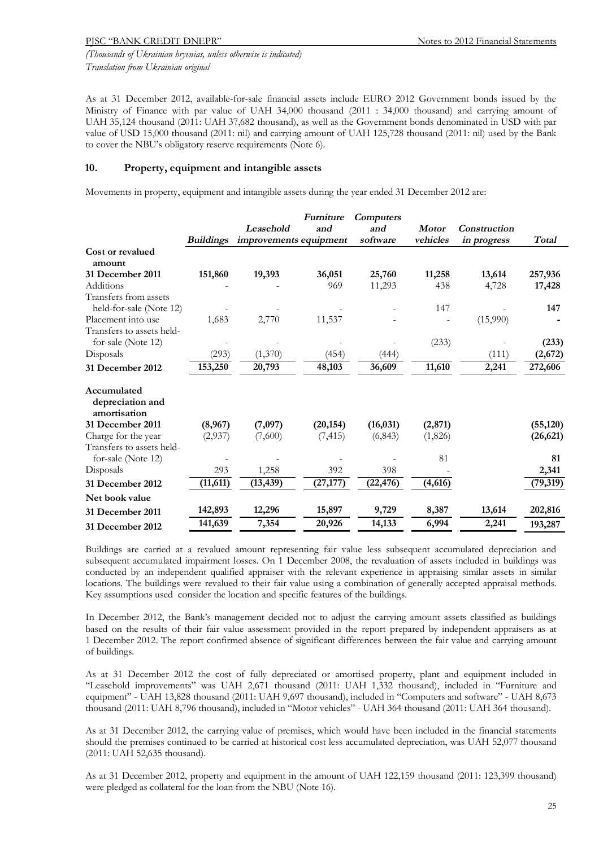As at 31 December 2012, available-for-sale financial assets include EURO 2012 Government bonds issued by the Ministry of Finance with par value of UAH 34,000 thousand (2011 : 34,000 thousand) and carrying amount of UAH 35,124 thousand (2011: UAH 37,682 thousand), as well as the Government bonds denominated in USD with par value of USD 15,000 thousand (2011: nil) and carrying amount of UAH 125,728 thousand (2011: nil) used by the Bank to cover the NBU's obligatory reserve requirements (Note 6).

#### **10. Property, equipment and intangible assets**

Movements in property, equipment and intangible assets during the year ended 31 December 2012 are:

|                                                 |                  |                               | Furniture | <b>Computers</b> |              |              |           |
|-------------------------------------------------|------------------|-------------------------------|-----------|------------------|--------------|--------------|-----------|
|                                                 |                  | Leasehold                     | and       | and              | <b>Motor</b> | Construction |           |
|                                                 | <b>Buildings</b> | <i>improvements equipment</i> |           | software         | vehicles     | in progress  | Total     |
| Cost or revalued                                |                  |                               |           |                  |              |              |           |
| amount                                          |                  |                               |           |                  |              |              |           |
| 31 December 2011                                | 151,860          | 19,393                        | 36,051    | 25,760           | 11,258       | 13,614       | 257,936   |
| Additions                                       |                  |                               | 969       | 11,293           | 438          | 4,728        | 17,428    |
| Transfers from assets                           |                  |                               |           |                  |              |              |           |
| held-for-sale (Note 12)                         |                  |                               |           |                  | 147          |              | 147       |
| Placement into use                              | 1,683            | 2,770                         | 11,537    |                  |              | (15,990)     |           |
| Transfers to assets held-                       |                  |                               |           |                  |              |              |           |
| for-sale (Note 12)                              |                  |                               |           |                  | (233)        |              | (233)     |
| Disposals                                       | (293)            | (1,370)                       | (454)     | (444)            |              | (111)        | (2,672)   |
| 31 December 2012                                | 153,250          | 20,793                        | 48,103    | 36,609           | 11,610       | 2,241        | 272,606   |
| Accumulated<br>depreciation and<br>amortisation |                  |                               |           |                  |              |              |           |
| 31 December 2011                                | (8,967)          | (7,097)                       | (20, 154) | (16, 031)        | (2, 871)     |              | (55, 120) |
| Charge for the year                             | (2,937)          | (7,600)                       | (7, 415)  | (6, 843)         | (1,826)      |              | (26, 621) |
| Transfers to assets held-                       |                  |                               |           |                  |              |              |           |
| for-sale (Note 12)                              |                  |                               |           |                  | 81           |              | 81        |
| Disposals                                       | 293              | 1,258                         | 392       | 398              |              |              | 2,341     |
| 31 December 2012                                | (11, 611)        | (13, 439)                     | (27, 177) | (22, 476)        | (4, 616)     |              | (79, 319) |
| Net book value                                  |                  |                               |           |                  |              |              |           |
| 31 December 2011                                | 142,893          | 12,296                        | 15,897    | 9,729            | 8,387        | 13,614       | 202,816   |
| 31 December 2012                                | 141,639          | 7,354                         | 20,926    | 14,133           | 6,994        | 2,241        | 193,287   |

Buildings are carried at a revalued amount representing fair value less subsequent accumulated depreciation and subsequent accumulated impairment losses. On 1 December 2008, the revaluation of assets included in buildings was conducted by an independent qualified appraiser with the relevant experience in appraising similar assets in similar locations. The buildings were revalued to their fair value using a combination of generally accepted appraisal methods. Key assumptions used consider the location and specific features of the buildings.

In December 2012, the Bank's management decided not to adjust the carrying amount assets classified as buildings based on the results of their fair value assessment provided in the report prepared by independent appraisers as at 1 December 2012. The report confirmed absence of significant differences between the fair value and carrying amount of buildings.

As at 31 December 2012 the cost of fully depreciated or amortised property, plant and equipment included in "Leasehold improvements" was UAH 2,671 thousand (2011: UAH 1,332 thousand), included in "Furniture and equipment" - UAH 13,828 thousand (2011: UAH 9,697 thousand), included in "Computers and software" - UAH 8,673 thousand (2011: UAH 8,796 thousand), included in "Motor vehicles" - UAH 364 thousand (2011: UAH 364 thousand).

As at 31 December 2012, the carrying value of premises, which would have been included in the financial statements should the premises continued to be carried at historical cost less accumulated depreciation, was UAH 52,077 thousand (2011: UAH 52,635 thousand).

As at 31 December 2012, property and equipment in the amount of UAH 122,159 thousand (2011: 123,399 thousand) were pledged as collateral for the loan from the NBU (Note 16).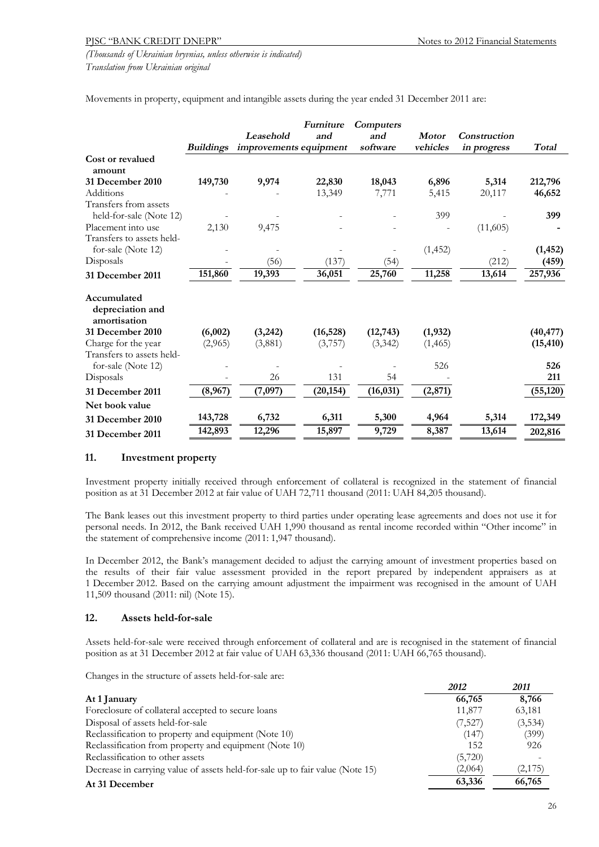Movements in property, equipment and intangible assets during the year ended 31 December 2011 are:

|                                                 |                  |                               | Furniture | <b>Computers</b> |              |              |           |
|-------------------------------------------------|------------------|-------------------------------|-----------|------------------|--------------|--------------|-----------|
|                                                 |                  | Leasehold                     | and       | and              | <b>Motor</b> | Construction |           |
|                                                 | <b>Buildings</b> | <i>improvements equipment</i> |           | software         | vehicles     | in progress  | Total     |
| Cost or revalued                                |                  |                               |           |                  |              |              |           |
| amount                                          |                  |                               |           |                  |              |              |           |
| 31 December 2010                                | 149,730          | 9,974                         | 22,830    | 18,043           | 6,896        | 5,314        | 212,796   |
| Additions                                       |                  |                               | 13,349    | 7,771            | 5,415        | 20,117       | 46,652    |
| Transfers from assets                           |                  |                               |           |                  |              |              |           |
| held-for-sale (Note 12)                         |                  |                               |           |                  | 399          |              | 399       |
| Placement into use                              | 2,130            | 9,475                         |           |                  |              | (11,605)     |           |
| Transfers to assets held-                       |                  |                               |           |                  |              |              |           |
| for-sale (Note 12)                              |                  |                               |           |                  | (1, 452)     |              | (1, 452)  |
| Disposals                                       |                  | (56)                          | (137)     | (54)             |              | (212)        | (459)     |
| 31 December 2011                                | 151,860          | 19,393                        | 36,051    | 25,760           | 11,258       | 13,614       | 257,936   |
| Accumulated<br>depreciation and<br>amortisation |                  |                               |           |                  |              |              |           |
| 31 December 2010                                | (6,002)          | (3,242)                       | (16, 528) | (12,743)         | (1, 932)     |              | (40, 477) |
| Charge for the year                             | (2,965)          | (3,881)                       | (3,757)   | (3,342)          | (1, 465)     |              | (15, 410) |
| Transfers to assets held-                       |                  |                               |           |                  |              |              |           |
| for-sale (Note 12)                              |                  |                               |           |                  | 526          |              | 526       |
| Disposals                                       |                  | 26                            | 131       | 54               |              |              | 211       |
| 31 December 2011                                | (8,967)          | (7,097)                       | (20, 154) | (16, 031)        | (2, 871)     |              | (55, 120) |
| Net book value                                  |                  |                               |           |                  |              |              |           |
| 31 December 2010                                | 143,728          | 6,732                         | 6,311     | 5,300            | 4,964        | 5,314        | 172,349   |
| 31 December 2011                                | 142,893          | 12,296                        | 15,897    | 9,729            | 8,387        | 13,614       | 202,816   |

#### **11. Investment property**

Investment property initially received through enforcement of collateral is recognized in the statement of financial position as at 31 December 2012 at fair value of UAH 72,711 thousand (2011: UAH 84,205 thousand).

The Bank leases out this investment property to third parties under operating lease agreements and does not use it for personal needs. In 2012, the Bank received UAH 1,990 thousand as rental income recorded within "Other income" in the statement of comprehensive income (2011: 1,947 thousand).

In December 2012, the Bank's management decided to adjust the carrying amount of investment properties based on the results of their fair value assessment provided in the report prepared by independent appraisers as at 1 December 2012. Based on the carrying amount adjustment the impairment was recognised in the amount of UAH 11,509 thousand (2011: nil) (Note 15).

#### **12. Assets held-for-sale**

Assets held-for-sale were received through enforcement of collateral and are is recognised in the statement of financial position as at 31 December 2012 at fair value of UAH 63,336 thousand (2011: UAH 66,765 thousand).

Changes in the structure of assets held-for-sale are:

|                                                                               | 2012    | 2011    |
|-------------------------------------------------------------------------------|---------|---------|
| At 1 January                                                                  | 66,765  | 8,766   |
| Foreclosure of collateral accepted to secure loans                            | 11,877  | 63,181  |
| Disposal of assets held-for-sale                                              | (7,527) | (3,534) |
| Reclassification to property and equipment (Note 10)                          | (147)   | (399)   |
| Reclassification from property and equipment (Note 10)                        | 152     | 926     |
| Reclassification to other assets                                              | (5,720) |         |
| Decrease in carrying value of assets held-for-sale up to fair value (Note 15) | (2,064) | (2,175) |
| At 31 December                                                                | 63,336  | 66,765  |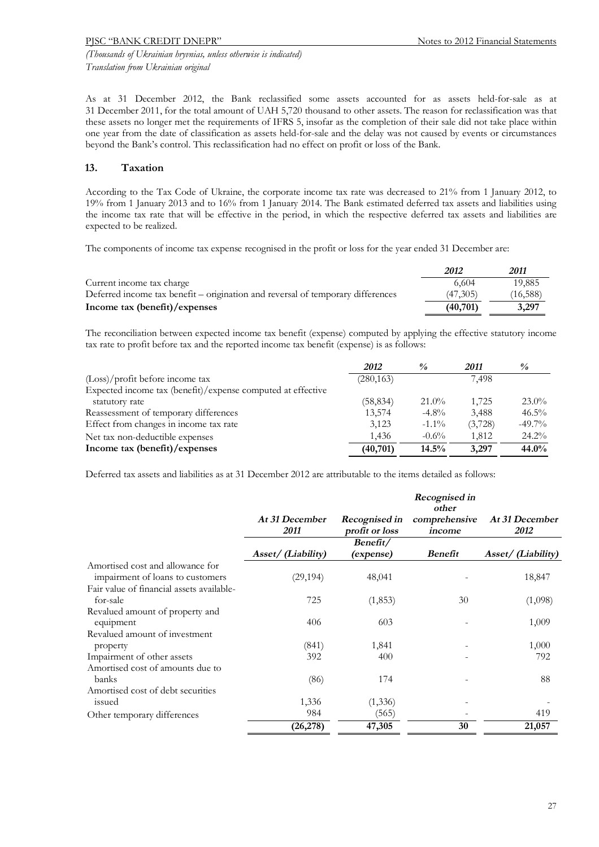As at 31 December 2012, the Bank reclassified some assets accounted for as assets held-for-sale as at 31 December 2011, for the total amount of UAH 5,720 thousand to other assets. The reason for reclassification was that these assets no longer met the requirements of IFRS 5, insofar as the completion of their sale did not take place within one year from the date of classification as assets held-for-sale and the delay was not caused by events or circumstances beyond the Bank's control. This reclassification had no effect on profit or loss of the Bank.

## **13. Taxation**

According to the Tax Code of Ukraine, the corporate income tax rate was decreased to 21% from 1 January 2012, to 19% from 1 January 2013 and to 16% from 1 January 2014. The Bank estimated deferred tax assets and liabilities using the income tax rate that will be effective in the period, in which the respective deferred tax assets and liabilities are expected to be realized.

The components of income tax expense recognised in the profit or loss for the year ended 31 December are:

|                                                                                 | 2012     | 2011     |
|---------------------------------------------------------------------------------|----------|----------|
| Current income tax charge                                                       | 6.604    | 19,885   |
| Deferred income tax benefit – origination and reversal of temporary differences | (47,305) | (16,588) |
| Income tax (benefit)/expenses                                                   | (40,701) | 3,297    |

The reconciliation between expected income tax benefit (expense) computed by applying the effective statutory income tax rate to profit before tax and the reported income tax benefit (expense) is as follows:

|                                                             | 2012      | $\frac{0}{0}$ | 2011    | $\frac{0}{0}$ |
|-------------------------------------------------------------|-----------|---------------|---------|---------------|
| (Loss)/profit before income tax                             | (280,163) |               | 7,498   |               |
| Expected income tax (benefit)/expense computed at effective |           |               |         |               |
| statutory rate                                              | (58,834)  | $21.0\%$      | 1,725   | $23.0\%$      |
| Reassessment of temporary differences                       | 13,574    | $-4.8\%$      | 3.488   | $46.5\%$      |
| Effect from changes in income tax rate                      | 3,123     | $-1.1\%$      | (3,728) | $-49.7\%$     |
| Net tax non-deductible expenses                             | 1,436     | $-0.6%$       | 1,812   | $24.2\%$      |
| Income tax (benefit)/expenses                               | (40,701)  | 14.5%         | 3.297   | 44.0%         |

Deferred tax assets and liabilities as at 31 December 2012 are attributable to the items detailed as follows:

|                                           |                        |                                 | Recognised in<br>other  |                        |
|-------------------------------------------|------------------------|---------------------------------|-------------------------|------------------------|
|                                           | At 31 December<br>2011 | Recognised in<br>profit or loss | comprehensive<br>income | At 31 December<br>2012 |
|                                           |                        | Benefit/                        |                         |                        |
|                                           | Asset/(Liability)      | (expense)                       | <b>Benefit</b>          | Asset/(Liability)      |
| Amortised cost and allowance for          |                        |                                 |                         |                        |
| impairment of loans to customers          | (29, 194)              | 48,041                          |                         | 18,847                 |
| Fair value of financial assets available- |                        |                                 |                         |                        |
| for-sale                                  | 725                    | (1,853)                         | 30                      | (1,098)                |
| Revalued amount of property and           |                        |                                 |                         |                        |
| equipment                                 | 406                    | 603                             |                         | 1,009                  |
| Revalued amount of investment             |                        |                                 |                         |                        |
| property                                  | (841)                  | 1,841                           |                         | 1,000                  |
| Impairment of other assets                | 392                    | 400                             |                         | 792                    |
| Amortised cost of amounts due to          |                        |                                 |                         |                        |
| banks                                     | (86)                   | 174                             |                         | 88                     |
| Amortised cost of debt securities         |                        |                                 |                         |                        |
| issued                                    | 1,336                  | (1,336)                         |                         |                        |
|                                           | 984                    | (565)                           |                         | 419                    |
| Other temporary differences               |                        |                                 |                         |                        |
|                                           | (26, 278)              | 47,305                          | 30                      | 21,057                 |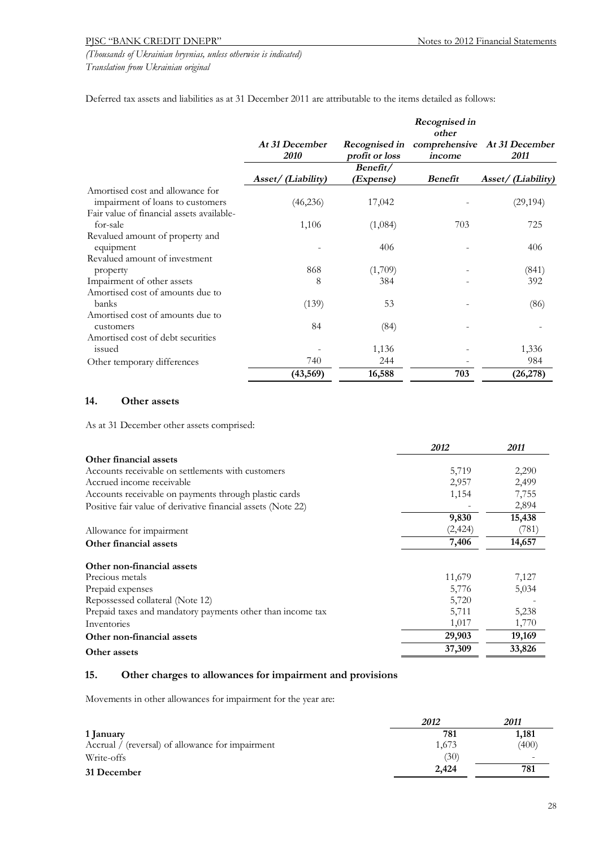Deferred tax assets and liabilities as at 31 December 2011 are attributable to the items detailed as follows:

|                                           |                        |                                 | Recognised in<br>other |                                      |
|-------------------------------------------|------------------------|---------------------------------|------------------------|--------------------------------------|
|                                           | At 31 December<br>2010 | Recognised in<br>profit or loss | income                 | comprehensive At 31 December<br>2011 |
|                                           |                        | Benefit/                        |                        |                                      |
|                                           | Asset/(Liability)      | (Expense)                       | <b>Benefit</b>         | Asset/(Liability)                    |
| Amortised cost and allowance for          |                        |                                 |                        |                                      |
| impairment of loans to customers          | (46,236)               | 17,042                          |                        | (29, 194)                            |
| Fair value of financial assets available- |                        |                                 |                        |                                      |
| for-sale                                  | 1,106                  | (1,084)                         | 703                    | 725                                  |
| Revalued amount of property and           |                        |                                 |                        |                                      |
| equipment                                 |                        | 406                             |                        | 406                                  |
| Revalued amount of investment             |                        |                                 |                        |                                      |
| property                                  | 868                    | (1,709)                         |                        | (841)                                |
| Impairment of other assets                | 8                      | 384                             |                        | 392                                  |
| Amortised cost of amounts due to          |                        |                                 |                        |                                      |
| banks                                     | (139)                  | 53                              |                        | (86)                                 |
| Amortised cost of amounts due to          |                        |                                 |                        |                                      |
| customers                                 | 84                     | (84)                            |                        |                                      |
| Amortised cost of debt securities         |                        |                                 |                        |                                      |
| issued                                    |                        | 1,136                           |                        | 1,336                                |
| Other temporary differences               | 740                    | 244                             |                        | 984                                  |
|                                           | (43,569)               | 16,588                          | 703                    | (26, 278)                            |

### **14. Other assets**

As at 31 December other assets comprised:

|                                                              | 2012     | 2011   |
|--------------------------------------------------------------|----------|--------|
| Other financial assets                                       |          |        |
| Accounts receivable on settlements with customers            | 5,719    | 2,290  |
| Accrued income receivable                                    | 2,957    | 2,499  |
| Accounts receivable on payments through plastic cards        | 1,154    | 7,755  |
| Positive fair value of derivative financial assets (Note 22) |          | 2,894  |
|                                                              | 9,830    | 15,438 |
| Allowance for impairment                                     | (2, 424) | (781)  |
| Other financial assets                                       | 7,406    | 14,657 |
| Other non-financial assets                                   |          |        |
| Precious metals                                              | 11,679   | 7,127  |
| Prepaid expenses                                             | 5,776    | 5,034  |
| Repossessed collateral (Note 12)                             | 5,720    |        |
| Prepaid taxes and mandatory payments other than income tax   | 5,711    | 5,238  |
| Inventories                                                  | 1,017    | 1,770  |
| Other non-financial assets                                   | 29,903   | 19,169 |
| Other assets                                                 | 37,309   | 33,826 |

#### **15. Other charges to allowances for impairment and provisions**

Movements in other allowances for impairment for the year are:

|                                                  | 2012  | 2011                     |
|--------------------------------------------------|-------|--------------------------|
| 1 January                                        | 781   | 1,181                    |
| Accrual / (reversal) of allowance for impairment | 1,673 | (400)                    |
| Write-offs                                       | (30)  | $\overline{\phantom{0}}$ |
| 31 December                                      | 2,424 | 781                      |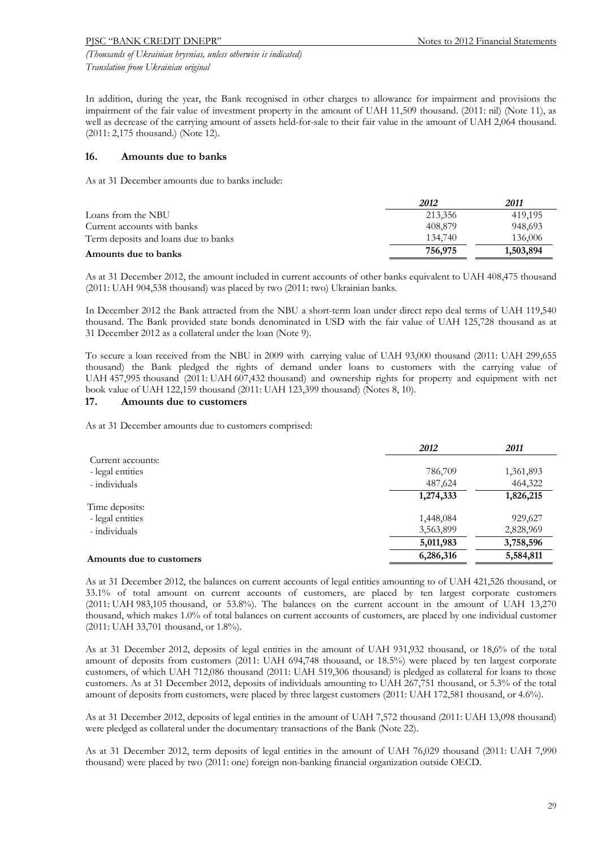In addition, during the year, the Bank recognised in other charges to allowance for impairment and provisions the impairment of the fair value of investment property in the amount of UAH 11,509 thousand. (2011: nil) (Note 11), as well as decrease of the carrying amount of assets held-for-sale to their fair value in the amount of UAH 2,064 thousand. (2011: 2,175 thousand.) (Note 12).

#### **16. Amounts due to banks**

As at 31 December amounts due to banks include:

|                                      | 2012    | 2011      |
|--------------------------------------|---------|-----------|
| Loans from the NBU                   | 213,356 | 419.195   |
| Current accounts with banks          | 408,879 | 948,693   |
| Term deposits and loans due to banks | 134,740 | 136,006   |
| Amounts due to banks                 | 756,975 | 1,503,894 |

As at 31 December 2012, the amount included in current accounts of other banks equivalent to UAH 408,475 thousand (2011: UAH 904,538 thousand) was placed by two (2011: two) Ukrainian banks.

In December 2012 the Bank attracted from the NBU a short-term loan under direct repo deal terms of UAH 119,540 thousand. The Bank provided state bonds denominated in USD with the fair value of UAH 125,728 thousand as at 31 December 2012 as a collateral under the loan (Note 9).

To secure a loan received from the NBU in 2009 with carrying value of UAH 93,000 thousand (2011: UAH 299,655 thousand) the Bank pledged the rights of demand under loans to customers with the carrying value of UAH 457,995 thousand (2011: UAH 607,432 thousand) and ownership rights for property and equipment with net book value of UAH 122,159 thousand (2011: UAH 123,399 thousand) (Notes 8, 10).

#### **17. Amounts due to customers**

As at 31 December amounts due to customers comprised:

|                          | 2012      | 2011      |
|--------------------------|-----------|-----------|
| Current accounts:        |           |           |
| - legal entities         | 786,709   | 1,361,893 |
| - individuals            | 487,624   | 464,322   |
|                          | 1,274,333 | 1,826,215 |
| Time deposits:           |           |           |
| - legal entities         | 1,448,084 | 929,627   |
| - individuals            | 3,563,899 | 2,828,969 |
|                          | 5,011,983 | 3,758,596 |
| Amounts due to customers | 6,286,316 | 5,584,811 |
|                          |           |           |

As at 31 December 2012, the balances on current accounts of legal entities amounting to of UAH 421,526 thousand, or 33.1% of total amount on current accounts of customers, are placed by ten largest corporate customers (2011: UAH 983,105 thousand, or 53.8%). The balances on the current account in the amount of UAH 13,270 thousand, which makes 1.0% of total balances on current accounts of customers, are placed by one individual customer (2011: UAH 33,701 thousand, or 1.8%).

As at 31 December 2012, deposits of legal entities in the amount of UAH 931,932 thousand, or 18,6% of the total amount of deposits from customers (2011: UAH 694,748 thousand, or 18.5%) were placed by ten largest corporate customers, of which UAH 712,086 thousand (2011: UAH 519,306 thousand) is pledged as collateral for loans to those customers. As at 31 December 2012, deposits of individuals amounting to UAH 267,751 thousand, or 5.3% of the total amount of deposits from customers, were placed by three largest customers (2011: UAH 172,581 thousand, or 4.6%).

As at 31 December 2012, deposits of legal entities in the amount of UAH 7,572 thousand (2011: UAH 13,098 thousand) were pledged as collateral under the documentary transactions of the Bank (Note 22).

As at 31 December 2012, term deposits of legal entities in the amount of UAH 76,029 thousand (2011: UAH 7,990 thousand) were placed by two (2011: one) foreign non-banking financial organization outside OECD.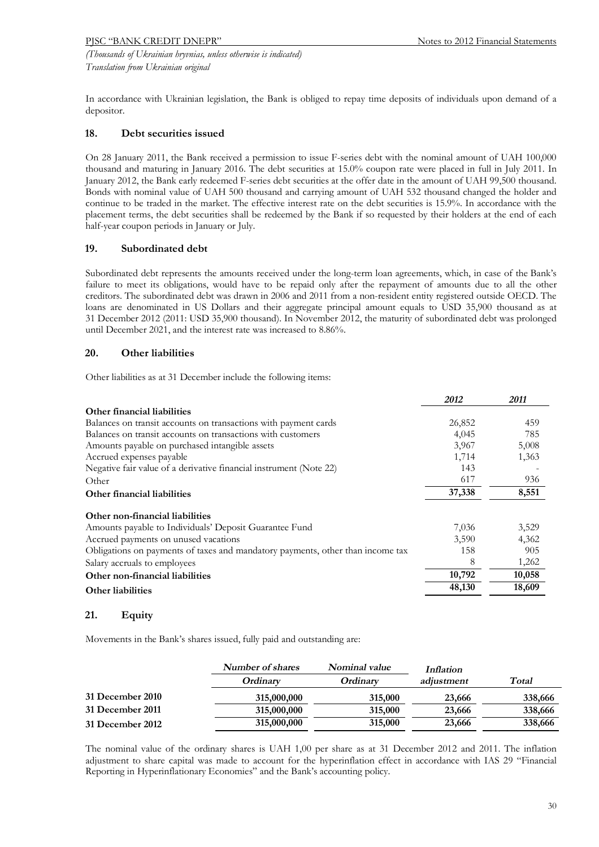In accordance with Ukrainian legislation, the Bank is obliged to repay time deposits of individuals upon demand of a depositor.

#### **18. Debt securities issued**

On 28 January 2011, the Bank received a permission to issue F-series debt with the nominal amount of UAH 100,000 thousand and maturing in January 2016. The debt securities at 15.0% coupon rate were placed in full in July 2011. In January 2012, the Bank early redeemed F-series debt securities at the offer date in the amount of UAH 99,500 thousand. Bonds with nominal value of UAH 500 thousand and carrying amount of UAH 532 thousand changed the holder and continue to be traded in the market. The effective interest rate on the debt securities is 15.9%. In accordance with the placement terms, the debt securities shall be redeemed by the Bank if so requested by their holders at the end of each half-year coupon periods in January or July.

#### **19. Subordinated debt**

Subordinated debt represents the amounts received under the long-term loan agreements, which, in case of the Bank's failure to meet its obligations, would have to be repaid only after the repayment of amounts due to all the other creditors. The subordinated debt was drawn in 2006 and 2011 from a non-resident entity registered outside OECD. The loans are denominated in US Dollars and their aggregate principal amount equals to USD 35,900 thousand as at 31 December 2012 (2011: USD 35,900 thousand). In November 2012, the maturity of subordinated debt was prolonged until December 2021, and the interest rate was increased to 8.86%.

#### **20. Other liabilities**

Other liabilities as at 31 December include the following items:

|                                                                                | 2012   | 2011   |
|--------------------------------------------------------------------------------|--------|--------|
| Other financial liabilities                                                    |        |        |
| Balances on transit accounts on transactions with payment cards                | 26,852 | 459    |
| Balances on transit accounts on transactions with customers                    | 4,045  | 785    |
| Amounts payable on purchased intangible assets                                 | 3,967  | 5,008  |
| Accrued expenses payable                                                       | 1,714  | 1,363  |
| Negative fair value of a derivative financial instrument (Note 22)             | 143    |        |
| Other                                                                          | 617    | 936    |
| Other financial liabilities                                                    | 37,338 | 8,551  |
| Other non-financial liabilities                                                |        |        |
| Amounts payable to Individuals' Deposit Guarantee Fund                         | 7,036  | 3,529  |
| Accrued payments on unused vacations                                           | 3,590  | 4,362  |
| Obligations on payments of taxes and mandatory payments, other than income tax | 158    | 905    |
| Salary accruals to employees                                                   | 8      | 1,262  |
| Other non-financial liabilities                                                | 10,792 | 10,058 |
| <b>Other liabilities</b>                                                       | 48,130 | 18,609 |
|                                                                                |        |        |

## **21. Equity**

Movements in the Bank's shares issued, fully paid and outstanding are:

|                  | Number of shares | Nominal value | Inflation  |         |
|------------------|------------------|---------------|------------|---------|
|                  | Ordinary         | Ordinarv      | adjustment | Total   |
| 31 December 2010 | 315,000,000      | 315,000       | 23,666     | 338,666 |
| 31 December 2011 | 315,000,000      | 315,000       | 23,666     | 338,666 |
| 31 December 2012 | 315,000,000      | 315,000       | 23,666     | 338,666 |

The nominal value of the ordinary shares is UAH 1,00 per share as at 31 December 2012 and 2011. The inflation adjustment to share capital was made to account for the hyperinflation effect in accordance with IAS 29 "Financial Reporting in Hyperinflationary Economies" and the Bank's accounting policy.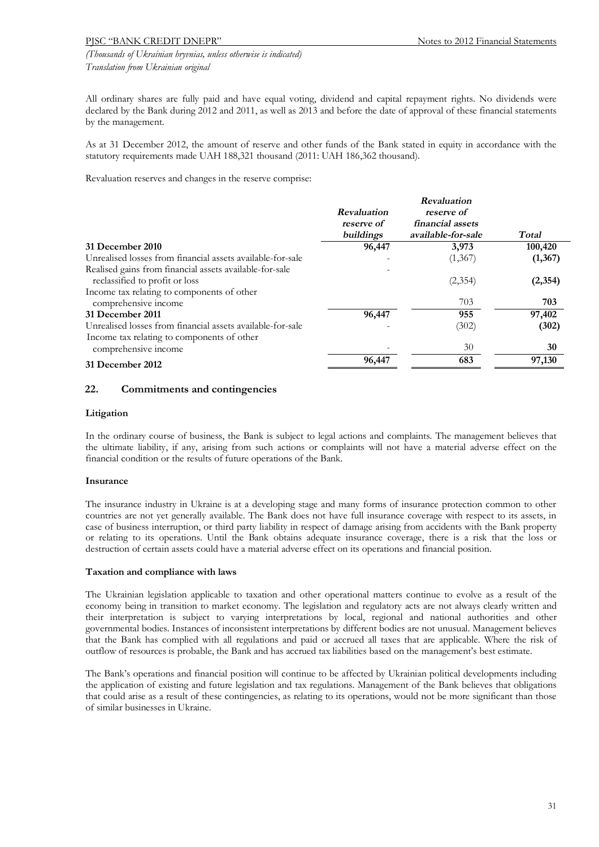*(Thousands of Ukrainian hryvnias, unless otherwise is indicated) Translation from Ukrainian original* 

All ordinary shares are fully paid and have equal voting, dividend and capital repayment rights. No dividends were declared by the Bank during 2012 and 2011, as well as 2013 and before the date of approval of these financial statements by the management.

As at 31 December 2012, the amount of reserve and other funds of the Bank stated in equity in accordance with the statutory requirements made UAH 188,321 thousand (2011: UAH 186,362 thousand).

Revaluation reserves and changes in the reserve comprise:

|                                                                                           | Revaluation<br>reserve of<br>buildings | reserve of<br>financial assets<br>available-for-sale | Total    |
|-------------------------------------------------------------------------------------------|----------------------------------------|------------------------------------------------------|----------|
| 31 December 2010                                                                          | 96,447                                 | 3,973                                                | 100,420  |
| Unrealised losses from financial assets available-for-sale                                |                                        | (1,367)                                              | (1, 367) |
| Realised gains from financial assets available-for-sale<br>reclassified to profit or loss |                                        | (2,354)                                              | (2,354)  |
| Income tax relating to components of other<br>comprehensive income                        |                                        | 703                                                  | 703      |
| 31 December 2011                                                                          | 96,447                                 | 955                                                  | 97,402   |
| Unrealised losses from financial assets available-for-sale                                |                                        | (302)                                                | (302)    |
| Income tax relating to components of other<br>comprehensive income                        |                                        | 30                                                   | 30       |
| 31 December 2012                                                                          | 96,447                                 | 683                                                  | 97,130   |

#### **22. Commitments and contingencies**

#### **Litigation**

In the ordinary course of business, the Bank is subject to legal actions and complaints. The management believes that the ultimate liability, if any, arising from such actions or complaints will not have a material adverse effect on the financial condition or the results of future operations of the Bank.

#### **Insurance**

The insurance industry in Ukraine is at a developing stage and many forms of insurance protection common to other countries are not yet generally available. The Bank does not have full insurance coverage with respect to its assets, in case of business interruption, or third party liability in respect of damage arising from accidents with the Bank property or relating to its operations. Until the Bank obtains adequate insurance coverage, there is a risk that the loss or destruction of certain assets could have a material adverse effect on its operations and financial position.

#### **Taxation and compliance with laws**

The Ukrainian legislation applicable to taxation and other operational matters continue to evolve as a result of the economy being in transition to market economy. The legislation and regulatory acts are not always clearly written and their interpretation is subject to varying interpretations by local, regional and national authorities and other governmental bodies. Instances of inconsistent interpretations by different bodies are not unusual. Management believes that the Bank has complied with all regulations and paid or accrued all taxes that are applicable. Where the risk of outflow of resources is probable, the Bank and has accrued tax liabilities based on the management's best estimate.

The Bank's operations and financial position will continue to be affected by Ukrainian political developments including the application of existing and future legislation and tax regulations. Management of the Bank believes that obligations that could arise as a result of these contingencies, as relating to its operations, would not be more significant than those of similar businesses in Ukraine.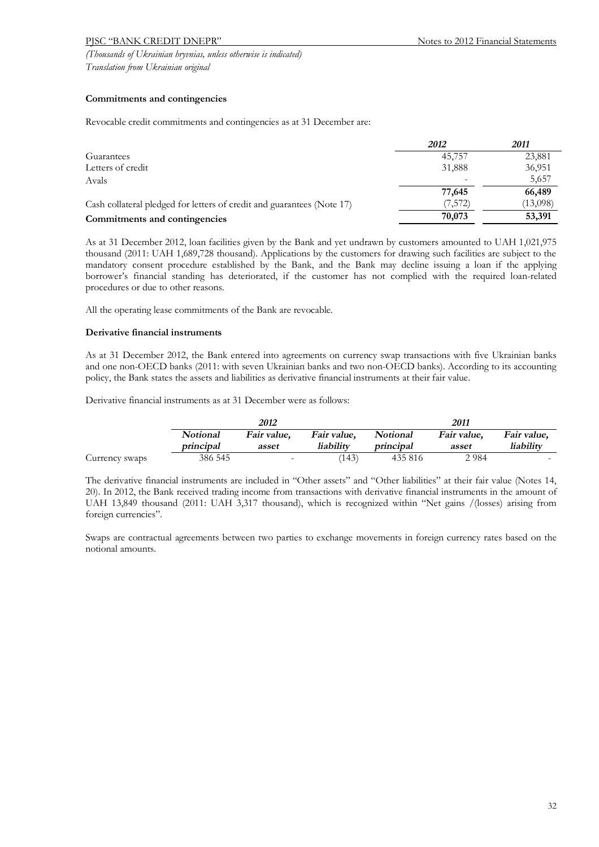*(Thousands of Ukrainian hryvnias, unless otherwise is indicated) Translation from Ukrainian original* 

#### **Commitments and contingencies**

Revocable credit commitments and contingencies as at 31 December are:

|                                                                        | 2012    | 2011     |
|------------------------------------------------------------------------|---------|----------|
| Guarantees                                                             | 45.757  | 23,881   |
| Letters of credit                                                      | 31,888  | 36,951   |
| Avals                                                                  |         | 5,657    |
|                                                                        | 77,645  | 66,489   |
| Cash collateral pledged for letters of credit and guarantees (Note 17) | (7,572) | (13,098) |
| Commitments and contingencies                                          | 70,073  | 53,391   |

As at 31 December 2012, loan facilities given by the Bank and yet undrawn by customers amounted to UAH 1,021,975 thousand (2011: UAH 1,689,728 thousand). Applications by the customers for drawing such facilities are subject to the mandatory consent procedure established by the Bank, and the Bank may decline issuing a loan if the applying borrower's financial standing has deteriorated, if the customer has not complied with the required loan-related procedures or due to other reasons.

All the operating lease commitments of the Bank are revocable.

#### **Derivative financial instruments**

As at 31 December 2012, the Bank entered into agreements on currency swap transactions with five Ukrainian banks and one non-OECD banks (2011: with seven Ukrainian banks and two non-OECD banks). According to its accounting policy, the Bank states the assets and liabilities as derivative financial instruments at their fair value.

Derivative financial instruments as at 31 December were as follows:

|                | 2012                         |                      |                          | 2011                         |                      |                                 |  |
|----------------|------------------------------|----------------------|--------------------------|------------------------------|----------------------|---------------------------------|--|
|                | <b>Notional</b><br>principal | Fair value,<br>asset | Fair value.<br>liability | <b>Notional</b><br>principal | Fair value,<br>asset | <i>Fair value.</i><br>liability |  |
| Currency swaps | 386 545                      | $\overline{a}$       | (143)                    | 435 816                      | 2 984                | $\sim$                          |  |

The derivative financial instruments are included in "Other assets" and "Other liabilities" at their fair value (Notes 14, 20). In 2012, the Bank received trading income from transactions with derivative financial instruments in the amount of UAH 13,849 thousand (2011: UAH 3,317 thousand), which is recognized within "Net gains /(losses) arising from foreign currencies".

Swaps are contractual agreements between two parties to exchange movements in foreign currency rates based on the notional amounts.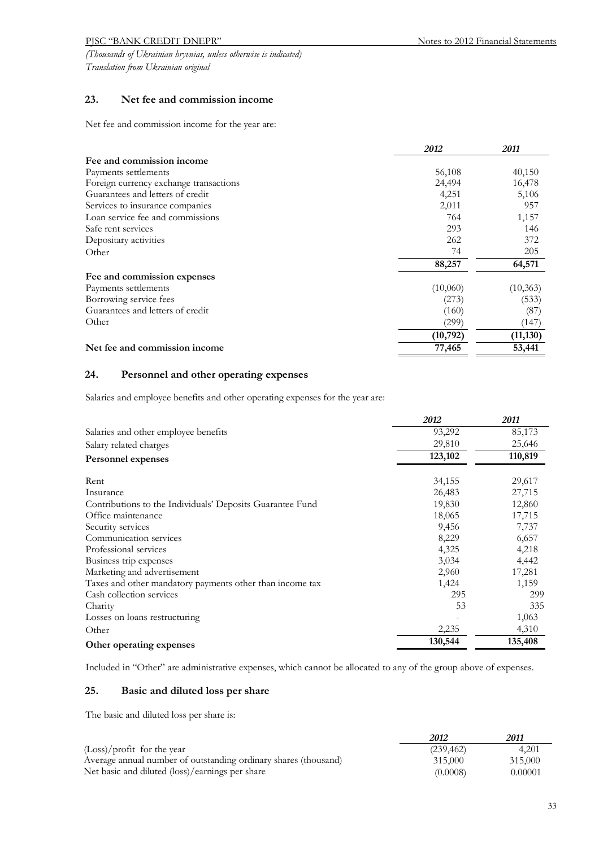# **23. Net fee and commission income**

Net fee and commission income for the year are:

|                                        | 2012     | 2011      |
|----------------------------------------|----------|-----------|
| Fee and commission income              |          |           |
| Payments settlements                   | 56,108   | 40,150    |
| Foreign currency exchange transactions | 24,494   | 16,478    |
| Guarantees and letters of credit       | 4,251    | 5,106     |
| Services to insurance companies        | 2,011    | 957       |
| Loan service fee and commissions       | 764      | 1,157     |
| Safe rent services                     | 293      | 146       |
| Depositary activities                  | 262      | 372       |
| Other                                  | 74       | 205       |
|                                        | 88,257   | 64,571    |
| Fee and commission expenses            |          |           |
| Payments settlements                   | (10,060) | (10, 363) |
| Borrowing service fees                 | (273)    | (533)     |
| Guarantees and letters of credit       | (160)    | (87)      |
| Other                                  | (299)    | (147)     |
|                                        | (10,792) | (11, 130) |
| Net fee and commission income          | 77,465   | 53,441    |

# **24. Personnel and other operating expenses**

Salaries and employee benefits and other operating expenses for the year are:

|                                                           | 2012    | 2011    |
|-----------------------------------------------------------|---------|---------|
| Salaries and other employee benefits                      | 93,292  | 85,173  |
| Salary related charges                                    | 29,810  | 25,646  |
| <b>Personnel expenses</b>                                 | 123,102 | 110,819 |
| Rent                                                      | 34,155  | 29,617  |
| Insurance                                                 | 26,483  | 27,715  |
| Contributions to the Individuals' Deposits Guarantee Fund | 19,830  | 12,860  |
| Office maintenance                                        | 18,065  | 17,715  |
| Security services                                         | 9,456   | 7,737   |
| Communication services                                    | 8,229   | 6,657   |
| Professional services                                     | 4,325   | 4,218   |
| Business trip expenses                                    | 3,034   | 4,442   |
| Marketing and advertisement                               | 2,960   | 17,281  |
| Taxes and other mandatory payments other than income tax  | 1,424   | 1,159   |
| Cash collection services                                  | 295     | 299     |
| Charity                                                   | 53      | 335     |
| Losses on loans restructuring                             |         | 1,063   |
| Other                                                     | 2,235   | 4,310   |
| Other operating expenses                                  | 130,544 | 135,408 |

Included in "Other" are administrative expenses, which cannot be allocated to any of the group above of expenses.

### **25. Basic and diluted loss per share**

The basic and diluted loss per share is:

|                                                                 | 2012      | 2011    |
|-----------------------------------------------------------------|-----------|---------|
| $(Loss)/profit$ for the year                                    | (239.462) | 4.201   |
| Average annual number of outstanding ordinary shares (thousand) | 315,000   | 315,000 |
| Net basic and diluted (loss)/earnings per share                 | (0.0008)  | 0.00001 |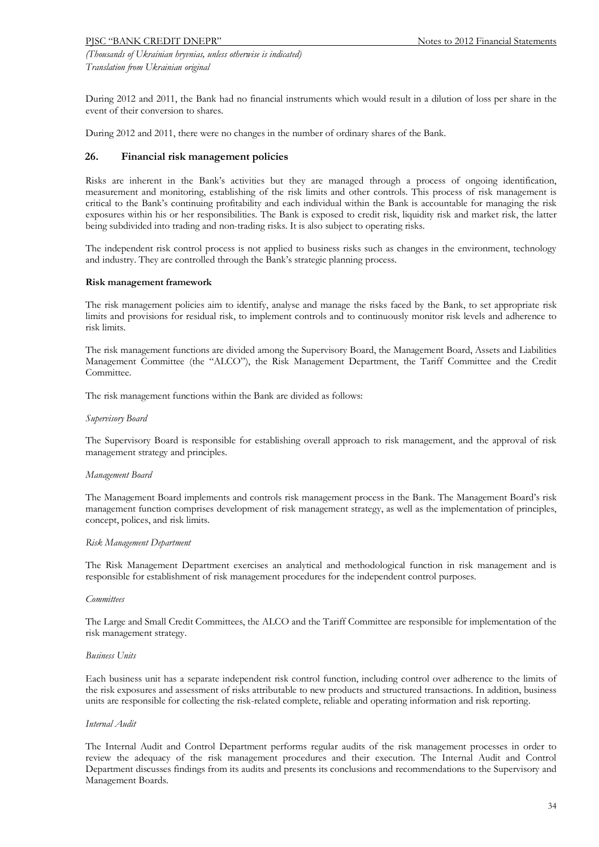During 2012 and 2011, the Bank had no financial instruments which would result in a dilution of loss per share in the event of their conversion to shares.

During 2012 and 2011, there were no changes in the number of ordinary shares of the Bank.

#### **26. Financial risk management policies**

Risks are inherent in the Bank's activities but they are managed through a process of ongoing identification, measurement and monitoring, establishing of the risk limits and other controls. This process of risk management is critical to the Bank's continuing profitability and each individual within the Bank is accountable for managing the risk exposures within his or her responsibilities. The Bank is exposed to credit risk, liquidity risk and market risk, the latter being subdivided into trading and non-trading risks. It is also subject to operating risks.

The independent risk control process is not applied to business risks such as changes in the environment, technology and industry. They are controlled through the Bank's strategic planning process.

#### **Risk management framework**

The risk management policies aim to identify, analyse and manage the risks faced by the Bank, to set appropriate risk limits and provisions for residual risk, to implement controls and to continuously monitor risk levels and adherence to risk limits.

The risk management functions are divided among the Supervisory Board, the Management Board, Assets and Liabilities Management Committee (the "ALCO"), the Risk Management Department, the Tariff Committee and the Credit Committee.

The risk management functions within the Bank are divided as follows:

#### *Supervisory Board*

The Supervisory Board is responsible for establishing overall approach to risk management, and the approval of risk management strategy and principles.

#### *Management Board*

The Management Board implements and controls risk management process in the Bank. The Management Board's risk management function comprises development of risk management strategy, as well as the implementation of principles, concept, polices, and risk limits.

#### *Risk Management Department*

The Risk Management Department exercises an analytical and methodological function in risk management and is responsible for establishment of risk management procedures for the independent control purposes.

#### *Committees*

The Large and Small Credit Committees, the ALCO and the Tariff Committee are responsible for implementation of the risk management strategy.

#### *Business Units*

Each business unit has a separate independent risk control function, including control over adherence to the limits of the risk exposures and assessment of risks attributable to new products and structured transactions. In addition, business units are responsible for collecting the risk-related complete, reliable and operating information and risk reporting.

#### *Internal Audit*

The Internal Audit and Control Department performs regular audits of the risk management processes in order to review the adequacy of the risk management procedures and their execution. The Internal Audit and Control Department discusses findings from its audits and presents its conclusions and recommendations to the Supervisory and Management Boards.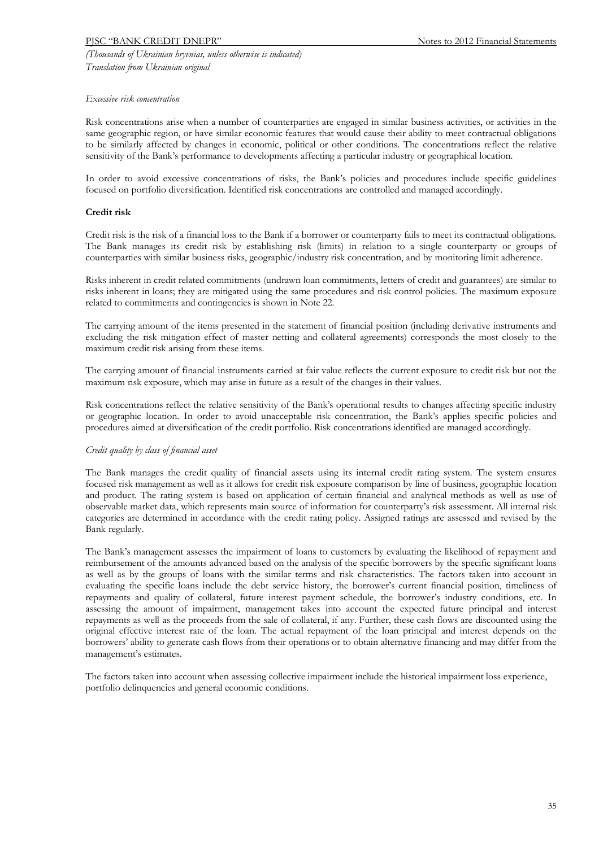#### *Excessive risk concentration*

Risk concentrations arise when a number of counterparties are engaged in similar business activities, or activities in the same geographic region, or have similar economic features that would cause their ability to meet contractual obligations to be similarly affected by changes in economic, political or other conditions. The concentrations reflect the relative sensitivity of the Bank's performance to developments affecting a particular industry or geographical location.

In order to avoid excessive concentrations of risks, the Bank's policies and procedures include specific guidelines focused on portfolio diversification. Identified risk concentrations are controlled and managed accordingly.

#### **Credit risk**

Credit risk is the risk of a financial loss to the Bank if a borrower or counterparty fails to meet its contractual obligations. The Bank manages its credit risk by establishing risk (limits) in relation to a single counterparty or groups of counterparties with similar business risks, geographic/industry risk concentration, and by monitoring limit adherence.

Risks inherent in credit related commitments (undrawn loan commitments, letters of credit and guarantees) are similar to risks inherent in loans; they are mitigated using the same procedures and risk control policies. The maximum exposure related to commitments and contingencies is shown in Note 22.

The carrying amount of the items presented in the statement of financial position (including derivative instruments and excluding the risk mitigation effect of master netting and collateral agreements) corresponds the most closely to the maximum credit risk arising from these items.

The carrying amount of financial instruments carried at fair value reflects the current exposure to credit risk but not the maximum risk exposure, which may arise in future as a result of the changes in their values.

Risk concentrations reflect the relative sensitivity of the Bank's operational results to changes affecting specific industry or geographic location. In order to avoid unacceptable risk concentration, the Bank's applies specific policies and procedures aimed at diversification of the credit portfolio. Risk concentrations identified are managed accordingly.

#### *Credit quality by class of financial asset*

The Bank manages the credit quality of financial assets using its internal credit rating system. The system ensures focused risk management as well as it allows for credit risk exposure comparison by line of business, geographic location and product. The rating system is based on application of certain financial and analytical methods as well as use of observable market data, which represents main source of information for counterparty's risk assessment. All internal risk categories are determined in accordance with the credit rating policy. Assigned ratings are assessed and revised by the Bank regularly.

The Bank's management assesses the impairment of loans to customers by evaluating the likelihood of repayment and reimbursement of the amounts advanced based on the analysis of the specific borrowers by the specific significant loans as well as by the groups of loans with the similar terms and risk characteristics. The factors taken into account in evaluating the specific loans include the debt service history, the borrower's current financial position, timeliness of repayments and quality of collateral, future interest payment schedule, the borrower's industry conditions, etc. In assessing the amount of impairment, management takes into account the expected future principal and interest repayments as well as the proceeds from the sale of collateral, if any. Further, these cash flows are discounted using the original effective interest rate of the loan. The actual repayment of the loan principal and interest depends on the borrowers' ability to generate cash flows from their operations or to obtain alternative financing and may differ from the management's estimates.

The factors taken into account when assessing collective impairment include the historical impairment loss experience, portfolio delinquencies and general economic conditions.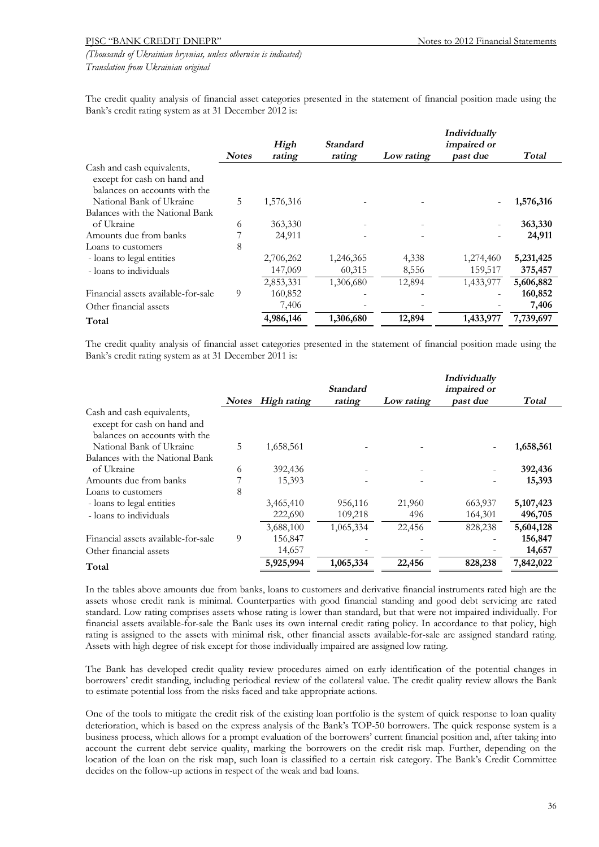The credit quality analysis of financial asset categories presented in the statement of financial position made using the Bank's credit rating system as at 31 December 2012 is:

|                                                           |              | High      | <b>Standard</b> |            | Individually<br>impaired or |           |
|-----------------------------------------------------------|--------------|-----------|-----------------|------------|-----------------------------|-----------|
|                                                           | <b>Notes</b> | rating    | rating          | Low rating | past due                    | Total     |
| Cash and cash equivalents,<br>except for cash on hand and |              |           |                 |            |                             |           |
| balances on accounts with the                             |              |           |                 |            |                             |           |
| National Bank of Ukraine                                  | 5            | 1,576,316 |                 |            |                             | 1,576,316 |
| Balances with the National Bank                           |              |           |                 |            |                             |           |
| of Ukraine                                                | 6            | 363,330   |                 |            |                             | 363,330   |
| Amounts due from banks                                    |              | 24,911    |                 |            |                             | 24,911    |
| Loans to customers                                        | 8            |           |                 |            |                             |           |
| - loans to legal entities                                 |              | 2,706,262 | 1,246,365       | 4,338      | 1,274,460                   | 5,231,425 |
| - loans to individuals                                    |              | 147,069   | 60,315          | 8,556      | 159,517                     | 375,457   |
|                                                           |              | 2,853,331 | 1,306,680       | 12,894     | 1,433,977                   | 5,606,882 |
| Financial assets available-for-sale                       | 9            | 160,852   |                 |            |                             | 160,852   |
| Other financial assets                                    |              | 7,406     |                 |            |                             | 7,406     |
| Total                                                     |              | 4,986,146 | 1,306,680       | 12,894     | 1,433,977                   | 7,739,697 |

The credit quality analysis of financial asset categories presented in the statement of financial position made using the Bank's credit rating system as at 31 December 2011 is:

|                                     |              |             |                 |            | Individually       |             |
|-------------------------------------|--------------|-------------|-----------------|------------|--------------------|-------------|
|                                     |              |             | <b>Standard</b> |            | <i>impaired or</i> |             |
|                                     | <b>Notes</b> | High rating | rating          | Low rating | past due           | Total       |
| Cash and cash equivalents,          |              |             |                 |            |                    |             |
| except for cash on hand and         |              |             |                 |            |                    |             |
| balances on accounts with the       |              |             |                 |            |                    |             |
| National Bank of Ukraine            | 5            | 1,658,561   |                 |            |                    | 1,658,561   |
| Balances with the National Bank     |              |             |                 |            |                    |             |
| of Ukraine                          | 6            | 392,436     |                 |            |                    | 392,436     |
| Amounts due from banks              | 7            | 15,393      |                 |            |                    | 15,393      |
| Loans to customers                  | 8            |             |                 |            |                    |             |
| - loans to legal entities           |              | 3,465,410   | 956,116         | 21,960     | 663,937            | 5, 107, 423 |
| - loans to individuals              |              | 222,690     | 109,218         | 496        | 164,301            | 496,705     |
|                                     |              | 3,688,100   | 1,065,334       | 22,456     | 828,238            | 5,604,128   |
| Financial assets available-for-sale | 9            | 156,847     |                 |            |                    | 156,847     |
| Other financial assets              |              | 14,657      |                 |            |                    | 14,657      |
| Total                               |              | 5,925,994   | 1,065,334       | 22,456     | 828,238            | 7,842,022   |

In the tables above amounts due from banks, loans to customers and derivative financial instruments rated high are the assets whose credit rank is minimal. Counterparties with good financial standing and good debt servicing are rated standard. Low rating comprises assets whose rating is lower than standard, but that were not impaired individually. For financial assets available-for-sale the Bank uses its own internal credit rating policy. In accordance to that policy, high rating is assigned to the assets with minimal risk, other financial assets available-for-sale are assigned standard rating. Assets with high degree of risk except for those individually impaired are assigned low rating.

The Bank has developed credit quality review procedures aimed on early identification of the potential changes in borrowers' credit standing, including periodical review of the collateral value. The credit quality review allows the Bank to estimate potential loss from the risks faced and take appropriate actions.

One of the tools to mitigate the credit risk of the existing loan portfolio is the system of quick response to loan quality deterioration, which is based on the express analysis of the Bank's TOP-50 borrowers. The quick response system is a business process, which allows for a prompt evaluation of the borrowers' current financial position and, after taking into account the current debt service quality, marking the borrowers on the credit risk map. Further, depending on the location of the loan on the risk map, such loan is classified to a certain risk category. The Bank's Credit Committee decides on the follow-up actions in respect of the weak and bad loans.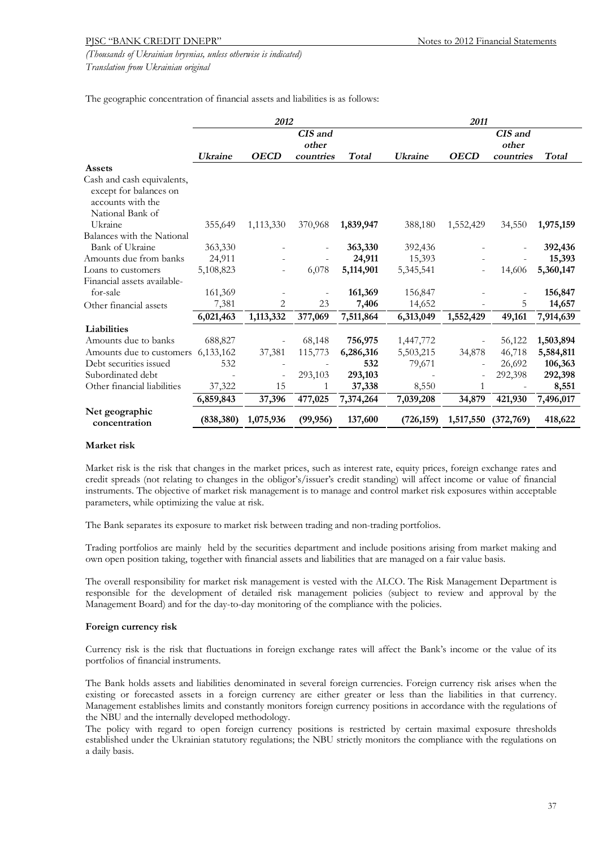*(Thousands of Ukrainian hryvnias, unless otherwise is indicated) Translation from Ukrainian original* 

The geographic concentration of financial assets and liabilities is as follows:

|                                                                           | 2012       |             |           |           | 2011           |             |           |           |  |
|---------------------------------------------------------------------------|------------|-------------|-----------|-----------|----------------|-------------|-----------|-----------|--|
|                                                                           | CIS and    |             |           |           | CIS and        |             |           |           |  |
|                                                                           |            |             | other     |           |                | other       |           |           |  |
|                                                                           | Ukraine    | <b>OECD</b> | countries | Total     | <b>Ukraine</b> | <b>OECD</b> | countries | Total     |  |
| Assets                                                                    |            |             |           |           |                |             |           |           |  |
| Cash and cash equivalents,<br>except for balances on<br>accounts with the |            |             |           |           |                |             |           |           |  |
| National Bank of                                                          |            |             |           |           |                |             |           |           |  |
| Ukraine                                                                   | 355,649    | 1,113,330   | 370,968   | 1,839,947 | 388,180        | 1,552,429   | 34,550    | 1,975,159 |  |
| Balances with the National                                                |            |             |           |           |                |             |           |           |  |
| Bank of Ukraine                                                           | 363,330    |             |           | 363,330   | 392,436        |             |           | 392,436   |  |
| Amounts due from banks                                                    | 24,911     |             |           | 24,911    | 15,393         |             |           | 15,393    |  |
| Loans to customers                                                        | 5,108,823  |             | 6,078     | 5,114,901 | 5,345,541      |             | 14,606    | 5,360,147 |  |
| Financial assets available-                                               |            |             |           |           |                |             |           |           |  |
| for-sale                                                                  | 161,369    |             |           | 161,369   | 156,847        |             |           | 156,847   |  |
| Other financial assets                                                    | 7,381      | 2           | 23        | 7,406     | 14,652         |             | 5         | 14,657    |  |
|                                                                           | 6,021,463  | 1,113,332   | 377,069   | 7,511,864 | 6,313,049      | 1,552,429   | 49,161    | 7,914,639 |  |
| Liabilities                                                               |            |             |           |           |                |             |           |           |  |
| Amounts due to banks                                                      | 688,827    |             | 68,148    | 756,975   | 1,447,772      |             | 56,122    | 1,503,894 |  |
| Amounts due to customers                                                  | 6,133,162  | 37,381      | 115,773   | 6,286,316 | 5,503,215      | 34,878      | 46,718    | 5,584,811 |  |
| Debt securities issued                                                    | 532        |             |           | 532       | 79,671         |             | 26,692    | 106,363   |  |
| Subordinated debt                                                         |            |             | 293,103   | 293,103   |                |             | 292,398   | 292,398   |  |
| Other financial liabilities                                               | 37,322     | 15          | 1         | 37,338    | 8,550          | 1           |           | 8,551     |  |
|                                                                           | 6,859,843  | 37,396      | 477,025   | 7,374,264 | 7,039,208      | 34,879      | 421,930   | 7,496,017 |  |
| Net geographic<br>concentration                                           | (838, 380) | 1,075,936   | (99, 956) | 137,600   | (726, 159)     | 1,517,550   | (372,769) | 418,622   |  |

#### **Market risk**

Market risk is the risk that changes in the market prices, such as interest rate, equity prices, foreign exchange rates and credit spreads (not relating to changes in the obligor's/issuer's credit standing) will affect income or value of financial instruments. The objective of market risk management is to manage and control market risk exposures within acceptable parameters, while optimizing the value at risk.

The Bank separates its exposure to market risk between trading and non-trading portfolios.

Trading portfolios are mainly held by the securities department and include positions arising from market making and own open position taking, together with financial assets and liabilities that are managed on а fair value basis.

The overall responsibility for market risk management is vested with the ALCO. The Risk Management Department is responsible for the development of detailed risk management policies (subject to review and approval by the Management Board) and for the day-to-day monitoring of the compliance with the policies.

#### **Foreign currency risk**

Currency risk is the risk that fluctuations in foreign exchange rates will affect the Bank's income or the value of its portfolios of financial instruments.

The Bank holds assets and liabilities denominated in several foreign currencies. Foreign currency risk arises when the existing or forecasted assets in a foreign currency are either greater or less than the liabilities in that currency. Management establishes limits and constantly monitors foreign currency positions in accordance with the regulations of the NBU and the internally developed methodology.

The policy with regard to open foreign currency positions is restricted by certain maximal exposure thresholds established under the Ukrainian statutory regulations; the NBU strictly monitors the compliance with the regulations on a daily basis.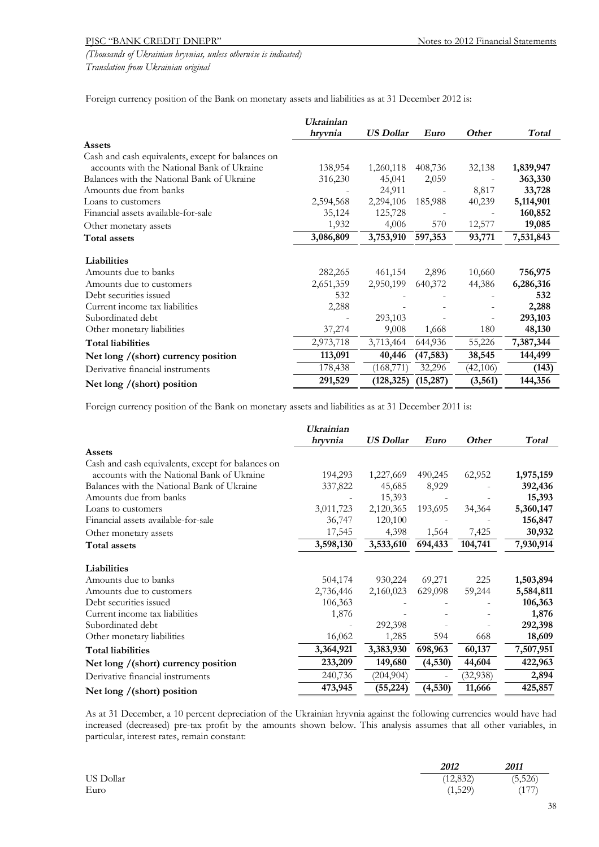*(Thousands of Ukrainian hryvnias, unless otherwise is indicated) Translation from Ukrainian original* 

Foreign currency position of the Bank on monetary assets and liabilities as at 31 December 2012 is:

|                                                   | Ukrainian |                  |           |          |              |
|---------------------------------------------------|-----------|------------------|-----------|----------|--------------|
|                                                   | hryvnia   | <b>US Dollar</b> | Euro      | Other    | <b>Total</b> |
| Assets                                            |           |                  |           |          |              |
| Cash and cash equivalents, except for balances on |           |                  |           |          |              |
| accounts with the National Bank of Ukraine        | 138,954   | 1,260,118        | 408,736   | 32,138   | 1,839,947    |
| Balances with the National Bank of Ukraine        | 316,230   | 45,041           | 2,059     |          | 363,330      |
| Amounts due from banks                            |           | 24,911           |           | 8,817    | 33,728       |
| Loans to customers                                | 2,594,568 | 2,294,106        | 185,988   | 40,239   | 5,114,901    |
| Financial assets available-for-sale               | 35,124    | 125,728          |           |          | 160,852      |
| Other monetary assets                             | 1,932     | 4,006            | 570       | 12,577   | 19,085       |
| Total assets                                      | 3,086,809 | 3,753,910        | 597,353   | 93,771   | 7,531,843    |
| Liabilities                                       |           |                  |           |          |              |
| Amounts due to banks                              | 282,265   | 461,154          | 2,896     | 10,660   | 756,975      |
| Amounts due to customers                          | 2,651,359 | 2,950,199        | 640,372   | 44,386   | 6,286,316    |
| Debt securities issued                            | 532       |                  |           |          | 532          |
| Current income tax liabilities                    | 2,288     |                  |           |          | 2,288        |
| Subordinated debt                                 |           | 293,103          |           |          | 293,103      |
| Other monetary liabilities                        | 37,274    | 9,008            | 1,668     | 180      | 48,130       |
| <b>Total liabilities</b>                          | 2,973,718 | 3,713,464        | 644,936   | 55,226   | 7,387,344    |
| Net long /(short) currency position               | 113,091   | 40,446           | (47, 583) | 38,545   | 144,499      |
| Derivative financial instruments                  | 178,438   | (168, 771)       | 32,296    | (42,106) | (143)        |
| Net long $/$ (short) position                     | 291,529   | (128,325)        | (15, 287) | (3, 561) | 144,356      |

Foreign currency position of the Bank on monetary assets and liabilities as at 31 December 2011 is:

|                                                   | Ukrainian<br>hryvnia | <b>US Dollar</b> | Euro    | Other     | Total     |
|---------------------------------------------------|----------------------|------------------|---------|-----------|-----------|
| Assets                                            |                      |                  |         |           |           |
| Cash and cash equivalents, except for balances on |                      |                  |         |           |           |
| accounts with the National Bank of Ukraine        | 194,293              | 1,227,669        | 490,245 | 62,952    | 1,975,159 |
| Balances with the National Bank of Ukraine        | 337,822              | 45,685           | 8,929   |           | 392,436   |
| Amounts due from banks                            |                      | 15,393           |         |           | 15,393    |
| Loans to customers                                | 3,011,723            | 2,120,365        | 193,695 | 34,364    | 5,360,147 |
| Financial assets available-for-sale               | 36,747               | 120,100          |         |           | 156,847   |
| Other monetary assets                             | 17,545               | 4,398            | 1,564   | 7,425     | 30,932    |
| Total assets                                      | 3,598,130            | 3,533,610        | 694,433 | 104,741   | 7,930,914 |
| Liabilities                                       |                      |                  |         |           |           |
| Amounts due to banks                              | 504,174              | 930,224          | 69,271  | 225       | 1,503,894 |
| Amounts due to customers                          | 2,736,446            | 2,160,023        | 629,098 | 59,244    | 5,584,811 |
| Debt securities issued                            | 106,363              |                  |         |           | 106,363   |
| Current income tax liabilities                    | 1,876                |                  |         |           | 1,876     |
| Subordinated debt                                 |                      | 292,398          |         |           | 292,398   |
| Other monetary liabilities                        | 16,062               | 1,285            | 594     | 668       | 18,609    |
| <b>Total liabilities</b>                          | 3,364,921            | 3,383,930        | 698,963 | 60,137    | 7,507,951 |
| Net long /(short) currency position               | 233,209              | 149,680          | (4,530) | 44,604    | 422,963   |
| Derivative financial instruments                  | 240,736              | (204, 904)       |         | (32, 938) | 2,894     |
| Net long /(short) position                        | 473,945              | (55, 224)        | (4,530) | 11,666    | 425,857   |

As at 31 December, a 10 percent depreciation of the Ukrainian hryvnia against the following currencies would have had increased (decreased) pre-tax profit by the amounts shown below. This analysis assumes that all other variables, in particular, interest rates, remain constant:

|           | 2012      | 2011              |
|-----------|-----------|-------------------|
| US Dollar | (12, 832) | (5, 526)          |
| Euro      | (1,529)   | (177)             |
|           |           | $\mathbf{\Omega}$ |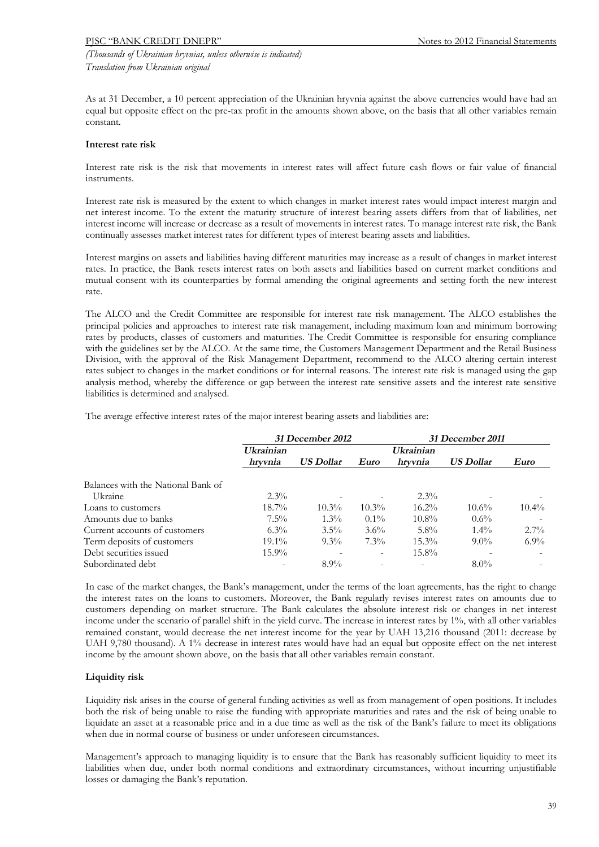As at 31 December, a 10 percent appreciation of the Ukrainian hryvnia against the above currencies would have had an equal but opposite effect on the pre-tax profit in the amounts shown above, on the basis that all other variables remain constant.

#### **Interest rate risk**

Interest rate risk is the risk that movements in interest rates will affect future cash flows or fair value of financial instruments.

Interest rate risk is measured by the extent to which changes in market interest rates would impact interest margin and net interest income. To the extent the maturity structure of interest bearing assets differs from that of liabilities, net interest income will increase or decrease as a result of movements in interest rates. To manage interest rate risk, the Bank continually assesses market interest rates for different types of interest bearing assets and liabilities.

Interest margins on assets and liabilities having different maturities may increase as a result of changes in market interest rates. In practice, the Bank resets interest rates on both assets and liabilities based on current market conditions and mutual consent with its counterparties by formal amending the original agreements and setting forth the new interest rate.

The ALCO and the Credit Committee are responsible for interest rate risk management. The ALCO establishes the principal policies and approaches to interest rate risk management, including maximum loan and minimum borrowing rates by products, classes of customers and maturities. The Credit Committee is responsible for ensuring compliance with the guidelines set by the ALCO. At the same time, the Customers Management Department and the Retail Business Division, with the approval of the Risk Management Department, recommend to the ALCO altering certain interest rates subject to changes in the market conditions or for internal reasons. The interest rate risk is managed using the gap analysis method, whereby the difference or gap between the interest rate sensitive assets and the interest rate sensitive liabilities is determined and analysed.

The average effective interest rates of the major interest bearing assets and liabilities are:

|                                    | 31 December 2012 |                  |                          | 31 December 2011 |                  |          |
|------------------------------------|------------------|------------------|--------------------------|------------------|------------------|----------|
|                                    | Ukrainian        |                  |                          | Ukrainian        |                  |          |
|                                    | hryvnia          | <b>US Dollar</b> | Euro                     | hrvynia          | <b>US Dollar</b> | Euro     |
|                                    |                  |                  |                          |                  |                  |          |
| Balances with the National Bank of |                  |                  |                          |                  |                  |          |
| Ukraine                            | $2.3\%$          |                  |                          | $2.3\%$          |                  |          |
| Loans to customers                 | $18.7\%$         | $10.3\%$         | $10.3\%$                 | $16.2\%$         | $10.6\%$         | $10.4\%$ |
| Amounts due to banks               | $7.5\%$          | $1.3\%$          | $0.1\%$                  | $10.8\%$         | $0.6\%$          |          |
| Current accounts of customers      | $6.3\%$          | $3.5\%$          | $3.6\%$                  | $5.8\%$          | $1.4\%$          | $2.7\%$  |
| Term deposits of customers         | $19.1\%$         | $9.3\%$          | $7.3\%$                  | $15.3\%$         | $9.0\%$          | $6.9\%$  |
| Debt securities issued             | $15.9\%$         |                  | $\overline{\phantom{a}}$ | $15.8\%$         |                  |          |
| Subordinated debt                  |                  | $8.9\%$          |                          |                  | $8.0\%$          |          |

In case of the market changes, the Bank's management, under the terms of the loan agreements, has the right to change the interest rates on the loans to customers. Moreover, the Bank regularly revises interest rates on amounts due to customers depending on market structure. The Bank calculates the absolute interest risk or changes in net interest income under the scenario of parallel shift in the yield curve. The increase in interest rates by 1%, with all other variables remained constant, would decrease the net interest income for the year by UAH 13,216 thousand (2011: decrease by UAH 9,780 thousand). A 1% decrease in interest rates would have had an equal but opposite effect on the net interest income by the amount shown above, on the basis that all other variables remain constant.

#### **Liquidity risk**

Liquidity risk arises in the course of general funding activities as well as from management of open positions. It includes both the risk of being unable to raise the funding with appropriate maturities and rates and the risk of being unable to liquidate an asset at a reasonable price and in a due time as well as the risk of the Bank's failure to meet its obligations when due in normal course of business or under unforeseen circumstances.

Management's approach to managing liquidity is to ensure that the Bank has reasonably sufficient liquidity to meet its liabilities when due, under both normal conditions and extraordinary circumstances, without incurring unjustifiable losses or damaging the Bank's reputation.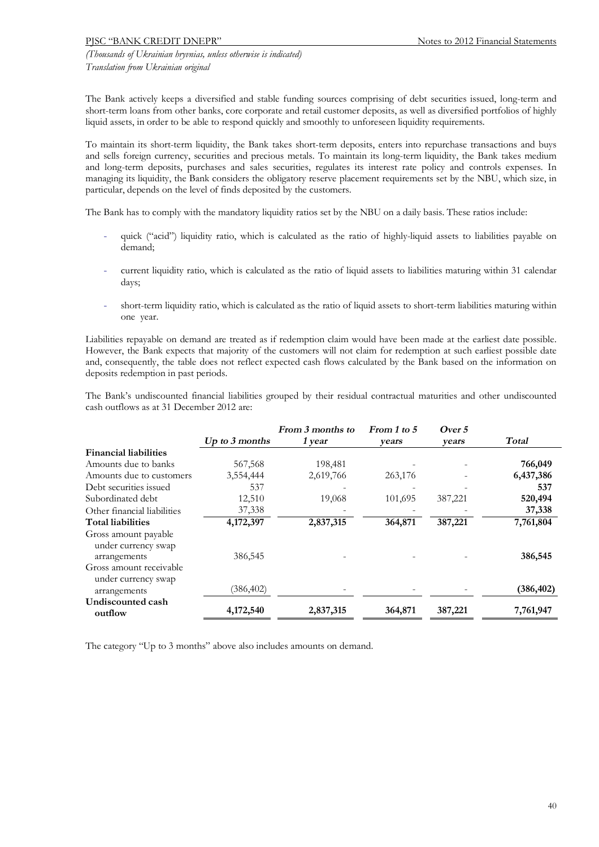The Bank actively keeps a diversified and stable funding sources comprising of debt securities issued, long-term and short-term loans from other banks, core corporate and retail customer deposits, as well as diversified portfolios of highly liquid assets, in order to be able to respond quickly and smoothly to unforeseen liquidity requirements.

To maintain its short-term liquidity, the Bank takes short-term deposits, enters into repurchase transactions and buys and sells foreign currency, securities and precious metals. To maintain its long-term liquidity, the Bank takes medium and long-term deposits, purchases and sales securities, regulates its interest rate policy and controls expenses. In managing its liquidity, the Bank considers the obligatory reserve placement requirements set by the NBU, which size, in particular, depends on the level of finds deposited by the customers.

The Bank has to comply with the mandatory liquidity ratios set by the NBU on a daily basis. These ratios include:

- quick ("acid") liquidity ratio, which is calculated as the ratio of highly-liquid assets to liabilities payable on demand;
- current liquidity ratio, which is calculated as the ratio of liquid assets to liabilities maturing within 31 calendar days;
- short-term liquidity ratio, which is calculated as the ratio of liquid assets to short-term liabilities maturing within one year.

Liabilities repayable on demand are treated as if redemption claim would have been made at the earliest date possible. However, the Bank expects that majority of the customers will not claim for redemption at such earliest possible date and, consequently, the table does not reflect expected cash flows calculated by the Bank based on the information on deposits redemption in past periods.

The Bank's undiscounted financial liabilities grouped by their residual contractual maturities and other undiscounted cash outflows as at 31 December 2012 are:

|                                                                | Up to 3 months | From 3 months to<br>1 year | From 1 to 5<br>vears | Over $5$<br>years | Total      |
|----------------------------------------------------------------|----------------|----------------------------|----------------------|-------------------|------------|
| <b>Financial liabilities</b>                                   |                |                            |                      |                   |            |
| Amounts due to banks                                           | 567,568        | 198,481                    |                      |                   | 766,049    |
| Amounts due to customers                                       | 3,554,444      | 2,619,766                  | 263,176              |                   | 6,437,386  |
| Debt securities issued                                         | 537            |                            |                      |                   | 537        |
| Subordinated debt                                              | 12,510         | 19,068                     | 101,695              | 387,221           | 520,494    |
| Other financial liabilities                                    | 37,338         |                            |                      |                   | 37,338     |
| <b>Total liabilities</b>                                       | 4,172,397      | 2,837,315                  | 364,871              | 387,221           | 7,761,804  |
| Gross amount payable<br>under currency swap<br>arrangements    | 386,545        |                            |                      |                   | 386,545    |
| Gross amount receivable<br>under currency swap<br>arrangements | (386, 402)     |                            |                      |                   | (386, 402) |
| Undiscounted cash<br>outflow                                   | 4,172,540      | 2,837,315                  | 364,871              | 387,221           | 7,761,947  |

The category "Up to 3 months" above also includes amounts on demand.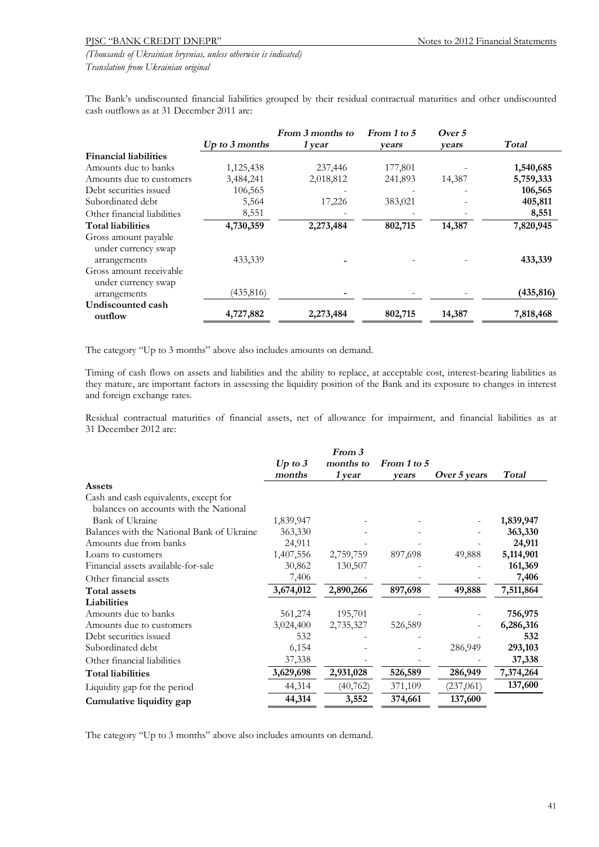*(Thousands of Ukrainian hryvnias, unless otherwise is indicated) Translation from Ukrainian original* 

The Bank's undiscounted financial liabilities grouped by their residual contractual maturities and other undiscounted cash outflows as at 31 December 2011 are:

|                                                                |                | From 3 months to | From 1 to 5 | Over 5 |            |
|----------------------------------------------------------------|----------------|------------------|-------------|--------|------------|
|                                                                | Up to 3 months | 1 year           | years       | years  | Total      |
| <b>Financial liabilities</b>                                   |                |                  |             |        |            |
| Amounts due to banks                                           | 1,125,438      | 237,446          | 177,801     |        | 1,540,685  |
| Amounts due to customers                                       | 3,484,241      | 2,018,812        | 241,893     | 14,387 | 5,759,333  |
| Debt securities issued                                         | 106,565        |                  |             |        | 106,565    |
| Subordinated debt                                              | 5,564          | 17,226           | 383,021     |        | 405,811    |
| Other financial liabilities                                    | 8,551          |                  |             |        | 8,551      |
| <b>Total liabilities</b>                                       | 4,730,359      | 2,273,484        | 802,715     | 14,387 | 7,820,945  |
| Gross amount payable<br>under currency swap<br>arrangements    | 433,339        |                  |             |        | 433,339    |
| Gross amount receivable<br>under currency swap<br>arrangements | (435, 816)     |                  |             |        | (435, 816) |
| Undiscounted cash<br>outflow                                   | 4,727,882      | 2,273,484        | 802,715     | 14,387 | 7,818,468  |

The category "Up to 3 months" above also includes amounts on demand.

Timing of cash flows on assets and liabilities and the ability to replace, at acceptable cost, interest-bearing liabilities as they mature, are important factors in assessing the liquidity position of the Bank and its exposure to changes in interest and foreign exchange rates.

Residual contractual maturities of financial assets, net of allowance for impairment, and financial liabilities as at 31 December 2012 are:

|                                            |           | From 3    |             |              |           |
|--------------------------------------------|-----------|-----------|-------------|--------------|-----------|
|                                            | Up to $3$ | months to | From 1 to 5 |              |           |
|                                            | months    | 1 year    | vears       | Over 5 years | Total     |
| Assets                                     |           |           |             |              |           |
| Cash and cash equivalents, except for      |           |           |             |              |           |
| balances on accounts with the National     |           |           |             |              |           |
| Bank of Ukraine                            | 1,839,947 |           |             |              | 1,839,947 |
| Balances with the National Bank of Ukraine | 363,330   |           |             |              | 363,330   |
| Amounts due from banks                     | 24,911    |           |             |              | 24,911    |
| Loans to customers                         | 1,407,556 | 2,759,759 | 897,698     | 49,888       | 5,114,901 |
| Financial assets available-for-sale        | 30,862    | 130,507   |             |              | 161,369   |
| Other financial assets                     | 7,406     |           |             |              | 7,406     |
| Total assets                               | 3,674,012 | 2,890,266 | 897,698     | 49,888       | 7,511,864 |
| Liabilities                                |           |           |             |              |           |
| Amounts due to banks                       | 561,274   | 195,701   |             |              | 756,975   |
| Amounts due to customers                   | 3,024,400 | 2,735,327 | 526,589     |              | 6,286,316 |
| Debt securities issued                     | 532       |           |             |              | 532       |
| Subordinated debt                          | 6,154     |           |             | 286,949      | 293,103   |
| Other financial liabilities                | 37,338    |           |             |              | 37,338    |
| <b>Total liabilities</b>                   | 3,629,698 | 2,931,028 | 526,589     | 286,949      | 7,374,264 |
| Liquidity gap for the period               | 44,314    | (40, 762) | 371,109     | (237,061)    | 137,600   |
| Cumulative liquidity gap                   | 44,314    | 3,552     | 374,661     | 137,600      |           |

The category "Up to 3 months" above also includes amounts on demand.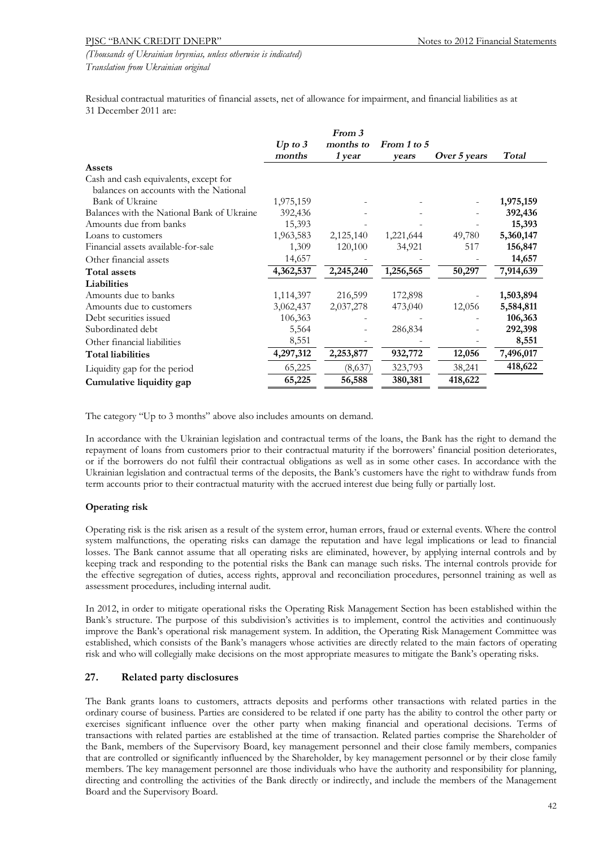Residual contractual maturities of financial assets, net of allowance for impairment, and financial liabilities as at 31 December 2011 are:

|                                            |           | From 3    |             |              |           |
|--------------------------------------------|-----------|-----------|-------------|--------------|-----------|
|                                            | Up to $3$ | months to | From 1 to 5 |              |           |
|                                            | months    | 1 year    | years       | Over 5 years | Total     |
| Assets                                     |           |           |             |              |           |
| Cash and cash equivalents, except for      |           |           |             |              |           |
| balances on accounts with the National     |           |           |             |              |           |
| Bank of Ukraine                            | 1,975,159 |           |             |              | 1,975,159 |
| Balances with the National Bank of Ukraine | 392,436   |           |             |              | 392,436   |
| Amounts due from banks                     | 15,393    |           |             |              | 15,393    |
| Loans to customers                         | 1,963,583 | 2,125,140 | 1,221,644   | 49,780       | 5,360,147 |
| Financial assets available-for-sale        | 1,309     | 120,100   | 34,921      | 517          | 156,847   |
| Other financial assets                     | 14,657    |           |             |              | 14,657    |
| Total assets                               | 4,362,537 | 2,245,240 | 1,256,565   | 50,297       | 7,914,639 |
| Liabilities                                |           |           |             |              |           |
| Amounts due to banks                       | 1,114,397 | 216,599   | 172,898     |              | 1,503,894 |
| Amounts due to customers                   | 3,062,437 | 2,037,278 | 473,040     | 12,056       | 5,584,811 |
| Debt securities issued                     | 106,363   |           |             |              | 106,363   |
| Subordinated debt                          | 5,564     |           | 286,834     |              | 292,398   |
| Other financial liabilities                | 8,551     |           |             |              | 8,551     |
| <b>Total liabilities</b>                   | 4,297,312 | 2,253,877 | 932,772     | 12,056       | 7,496,017 |
| Liquidity gap for the period               | 65,225    | (8,637)   | 323,793     | 38,241       | 418,622   |
| Cumulative liquidity gap                   | 65,225    | 56,588    | 380,381     | 418,622      |           |

The category "Up to 3 months" above also includes amounts on demand.

In accordance with the Ukrainian legislation and contractual terms of the loans, the Bank has the right to demand the repayment of loans from customers prior to their contractual maturity if the borrowers' financial position deteriorates, or if the borrowers do not fulfil their contractual obligations as well as in some other cases. In accordance with the Ukrainian legislation and contractual terms of the deposits, the Bank's customers have the right to withdraw funds from term accounts prior to their contractual maturity with the accrued interest due being fully or partially lost.

#### **Operating risk**

Operating risk is the risk arisen as a result of the system error, human errors, fraud or external events. Where the control system malfunctions, the operating risks can damage the reputation and have legal implications or lead to financial losses. The Bank cannot assume that all operating risks are eliminated, however, by applying internal controls and by keeping track and responding to the potential risks the Bank can manage such risks. The internal controls provide for the effective segregation of duties, access rights, approval and reconciliation procedures, personnel training as well as assessment procedures, including internal audit.

In 2012, in order to mitigate operational risks the Operating Risk Management Section has been established within the Bank's structure. The purpose of this subdivision's activities is to implement, control the activities and continuously improve the Bank's operational risk management system. In addition, the Operating Risk Management Committee was established, which consists of the Bank's managers whose activities are directly related to the main factors of operating risk and who will collegially make decisions on the most appropriate measures to mitigate the Bank's operating risks.

## **27. Related party disclosures**

The Bank grants loans to customers, attracts deposits and performs other transactions with related parties in the ordinary course of business. Parties are considered to be related if one party has the ability to control the other party or exercises significant influence over the other party when making financial and operational decisions. Terms of transactions with related parties are established at the time of transaction. Related parties comprise the Shareholder of the Bank, members of the Supervisory Board, key management personnel and their close family members, companies that are controlled or significantly influenced by the Shareholder, by key management personnel or by their close family members. The key management personnel are those individuals who have the authority and responsibility for planning, directing and controlling the activities of the Bank directly or indirectly, and include the members of the Management Board and the Supervisory Board.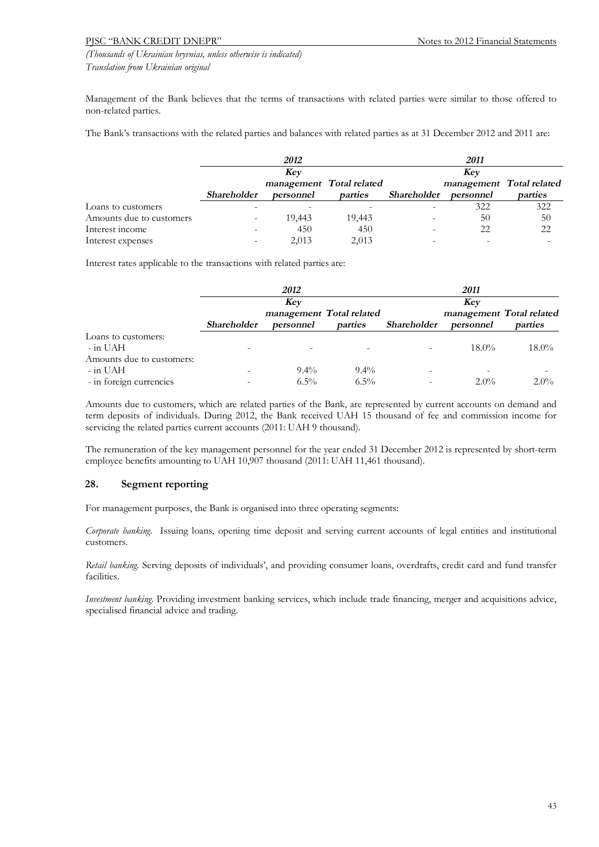Management of the Bank believes that the terms of transactions with related parties were similar to those offered to non-related parties.

The Bank's transactions with the related parties and balances with related parties as at 31 December 2012 and 2011 are:

|                          |                    | 2012                     |         |                    | 2011                     |         |  |
|--------------------------|--------------------|--------------------------|---------|--------------------|--------------------------|---------|--|
|                          |                    | Key                      |         |                    | Key                      |         |  |
|                          |                    | management Total related |         |                    | management Total related |         |  |
|                          | <b>Shareholder</b> | personnel                | parties | <b>Shareholder</b> | personnel                | parties |  |
| Loans to customers       |                    |                          |         |                    | 322                      | 322     |  |
| Amounts due to customers |                    | 19.443                   | 19,443  |                    | 50                       | 50      |  |
| Interest income          |                    | 450                      | 450     |                    | 22                       | 22      |  |
| Interest expenses        |                    | 2,013                    | 2,013   |                    |                          |         |  |

Interest rates applicable to the transactions with related parties are:

|                           |                    | 2012                     |                |                          | 2011                     |          |  |
|---------------------------|--------------------|--------------------------|----------------|--------------------------|--------------------------|----------|--|
|                           |                    | Key                      |                |                          | Key                      |          |  |
|                           |                    | management Total related |                |                          | management Total related |          |  |
|                           | <b>Shareholder</b> | personnel                | <i>parties</i> | <b>Shareholder</b>       | personnel                | parties  |  |
| Loans to customers:       |                    |                          |                |                          |                          |          |  |
| - in UAH                  |                    |                          |                |                          | $18.0\%$                 | $18.0\%$ |  |
| Amounts due to customers: |                    |                          |                |                          |                          |          |  |
| - in UAH                  |                    | $9.4\%$                  | $9.4\%$        | $\overline{\phantom{0}}$ |                          |          |  |
| - in foreign currencies   |                    | $6.5\%$                  | $6.5\%$        |                          | $2.0\%$                  | $2.0\%$  |  |

Amounts due to customers, which are related parties of the Bank, are represented by current accounts on demand and term deposits of individuals. During 2012, the Bank received UAH 15 thousand of fee and commission income for servicing the related parties current accounts (2011: UAH 9 thousand).

The remuneration of the key management personnel for the year ended 31 December 2012 is represented by short-term employee benefits amounting to UAH 10,907 thousand (2011: UAH 11,461 thousand).

## **28. Segment reporting**

For management purposes, the Bank is organised into three operating segments:

*Corporate banking.* Issuing loans, opening time deposit and serving current accounts of legal entities and institutional customers.

*Retail banking.* Serving deposits of individuals', and providing consumer loans, overdrafts, credit card and fund transfer facilities.

*Investment banking.* Providing investment banking services, which include trade financing, merger and acquisitions advice, specialised financial advice and trading.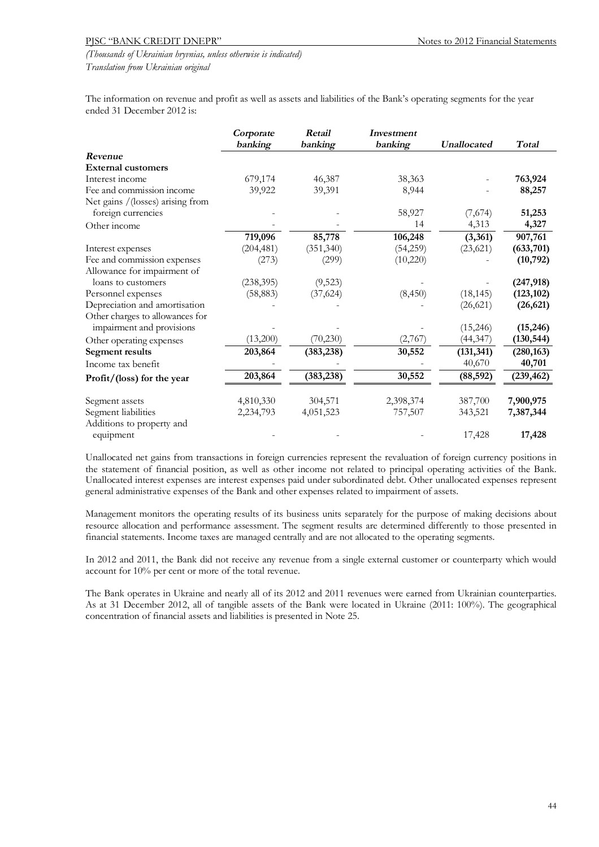*(Thousands of Ukrainian hryvnias, unless otherwise is indicated) Translation from Ukrainian original* 

The information on revenue and profit as well as assets and liabilities of the Bank's operating segments for the year ended 31 December 2012 is:

|                                   | Corporate<br>banking | Retail<br>banking | Investment<br>banking | <b>Unallocated</b> | <b>Total</b> |
|-----------------------------------|----------------------|-------------------|-----------------------|--------------------|--------------|
| Revenue                           |                      |                   |                       |                    |              |
| <b>External customers</b>         |                      |                   |                       |                    |              |
| Interest income                   | 679,174              | 46,387            | 38,363                |                    | 763,924      |
| Fee and commission income         | 39,922               | 39,391            | 8,944                 |                    | 88,257       |
| Net gains / (losses) arising from |                      |                   |                       |                    |              |
| foreign currencies                |                      |                   | 58,927                | (7,674)            | 51,253       |
| Other income                      |                      |                   | 14                    | 4,313              | 4,327        |
|                                   | 719,096              | 85,778            | 106,248               | (3,361)            | 907,761      |
| Interest expenses                 | (204, 481)           | (351, 340)        | (54,259)              | (23, 621)          | (633, 701)   |
| Fee and commission expenses       | (273)                | (299)             | (10, 220)             |                    | (10,792)     |
| Allowance for impairment of       |                      |                   |                       |                    |              |
| loans to customers                | (238, 395)           | (9,523)           |                       |                    | (247, 918)   |
| Personnel expenses                | (58, 883)            | (37, 624)         | (8,450)               | (18, 145)          | (123, 102)   |
| Depreciation and amortisation     |                      |                   |                       | (26, 621)          | (26, 621)    |
| Other charges to allowances for   |                      |                   |                       |                    |              |
| impairment and provisions         |                      |                   |                       | (15,246)           | (15,246)     |
| Other operating expenses          | (13,200)             | (70, 230)         | (2,767)               | (44, 347)          | (130, 544)   |
| <b>Segment results</b>            | 203,864              | (383, 238)        | 30,552                | (131, 341)         | (280, 163)   |
| Income tax benefit                |                      |                   |                       | 40,670             | 40,701       |
| Profit/(loss) for the year        | 203,864              | (383, 238)        | 30,552                | (88, 592)          | (239, 462)   |
| Segment assets                    | 4,810,330            | 304,571           | 2,398,374             | 387,700            | 7,900,975    |
| Segment liabilities               | 2,234,793            | 4,051,523         | 757,507               | 343,521            | 7,387,344    |
| Additions to property and         |                      |                   |                       |                    |              |
| equipment                         |                      |                   |                       | 17,428             | 17,428       |

Unallocated net gains from transactions in foreign currencies represent the revaluation of foreign currency positions in the statement of financial position, as well as other income not related to principal operating activities of the Bank. Unallocated interest expenses are interest expenses paid under subordinated debt. Other unallocated expenses represent general administrative expenses of the Bank and other expenses related to impairment of assets.

Management monitors the operating results of its business units separately for the purpose of making decisions about resource allocation and performance assessment. The segment results are determined differently to those presented in financial statements. Income taxes are managed centrally and are not allocated to the operating segments.

In 2012 and 2011, the Bank did not receive any revenue from a single external customer or counterparty which would account for 10% per cent or more of the total revenue.

The Bank operates in Ukraine and nearly all of its 2012 and 2011 revenues were earned from Ukrainian counterparties. As at 31 December 2012, all of tangible assets of the Bank were located in Ukraine (2011: 100%). The geographical concentration of financial assets and liabilities is presented in Note 25.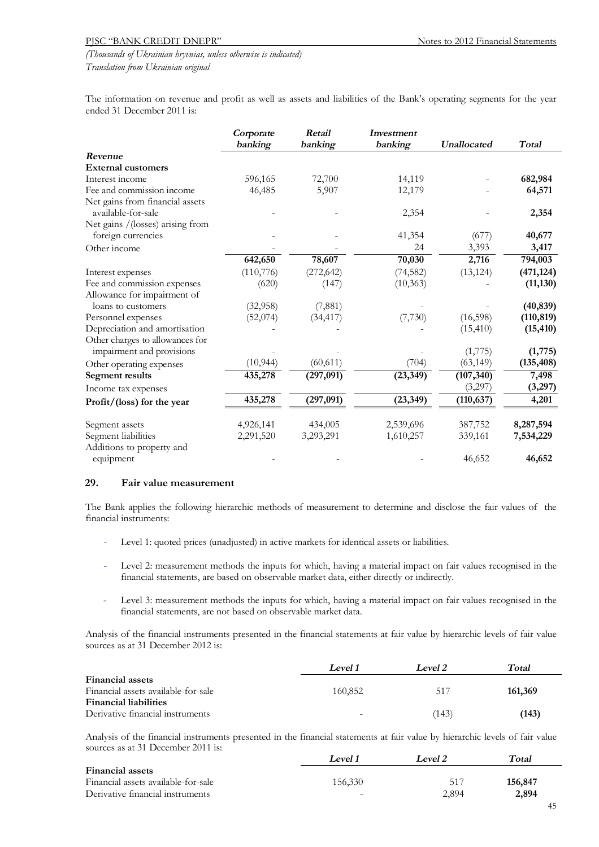*(Thousands of Ukrainian hryvnias, unless otherwise is indicated) Translation from Ukrainian original* 

The information on revenue and profit as well as assets and liabilities of the Bank's operating segments for the year ended 31 December 2011 is:

|                                        | Corporate<br>banking | Retail<br>banking | Investment<br>banking | <b>Unallocated</b> | Total      |
|----------------------------------------|----------------------|-------------------|-----------------------|--------------------|------------|
| Revenue                                |                      |                   |                       |                    |            |
| <b>External customers</b>              |                      |                   |                       |                    |            |
| Interest income                        | 596,165              | 72,700            | 14,119                |                    | 682,984    |
| Fee and commission income              | 46,485               | 5,907             | 12,179                |                    | 64,571     |
| Net gains from financial assets        |                      |                   |                       |                    |            |
| available-for-sale                     |                      |                   | 2,354                 |                    | 2,354      |
| Net gains / (losses) arising from      |                      |                   |                       |                    |            |
| foreign currencies                     |                      |                   | 41,354                | (677)              | 40,677     |
| Other income                           |                      |                   | 24                    | 3,393              | 3,417      |
|                                        | 642,650              | 78,607            | 70,030                | 2,716              | 794,003    |
| Interest expenses                      | (110,776)            | (272, 642)        | (74, 582)             | (13, 124)          | (471, 124) |
| Fee and commission expenses            | (620)                | (147)             | (10, 363)             |                    | (11, 130)  |
| Allowance for impairment of            |                      |                   |                       |                    |            |
| loans to customers                     | (32,958)             | (7,881)           |                       |                    | (40, 839)  |
| Personnel expenses                     | (52,074)             | (34, 417)         | (7,730)               | (16,598)           | (110, 819) |
| Depreciation and amortisation          |                      |                   |                       | (15, 410)          | (15, 410)  |
| Other charges to allowances for        |                      |                   |                       |                    |            |
| impairment and provisions              |                      |                   |                       | (1,775)            | (1,775)    |
| Other operating expenses               | (10, 944)            | (60, 611)         | (704)                 | (63, 149)          | (135, 408) |
| Segment results                        | 435,278              | (297,091)         | (23, 349)             | (107, 340)         | 7,498      |
| Income tax expenses                    |                      |                   |                       | (3,297)            | (3,297)    |
| Profit/(loss) for the year             | 435,278              | (297, 091)        | (23, 349)             | (110, 637)         | 4,201      |
| Segment assets                         | 4,926,141            | 434,005           | 2,539,696             | 387,752            | 8,287,594  |
| Segment liabilities                    | 2,291,520            | 3,293,291         | 1,610,257             | 339,161            | 7,534,229  |
| Additions to property and<br>equipment |                      |                   |                       | 46,652             | 46,652     |

#### **29. Fair value measurement**

The Bank applies the following hierarchic methods of measurement to determine and disclose the fair values of the financial instruments:

- Level 1: quoted prices (unadjusted) in active markets for identical assets or liabilities.
- Level 2: measurement methods the inputs for which, having a material impact on fair values recognised in the financial statements, are based on observable market data, either directly or indirectly.
- Level 3: measurement methods the inputs for which, having a material impact on fair values recognised in the financial statements, are not based on observable market data.

Analysis of the financial instruments presented in the financial statements at fair value by hierarchic levels of fair value sources as at 31 December 2012 is:

|                                     | Level 1                  | Level 2 | Total   |
|-------------------------------------|--------------------------|---------|---------|
| <b>Financial assets</b>             |                          |         |         |
| Financial assets available-for-sale | 160,852                  | 517     | 161,369 |
| <b>Financial liabilities</b>        |                          |         |         |
| Derivative financial instruments    | $\overline{\phantom{0}}$ | (143)   | (143)   |

Analysis of the financial instruments presented in the financial statements at fair value by hierarchic levels of fair value sources as at 31 December 2011 is:

|                                     | Level 1                  | Level 2 | <b>Total</b> |
|-------------------------------------|--------------------------|---------|--------------|
| <b>Financial assets</b>             |                          |         |              |
| Financial assets available-for-sale | 156,330                  | 517     | 156,847      |
| Derivative financial instruments    | $\overline{\phantom{a}}$ | 2,894   | 2,894        |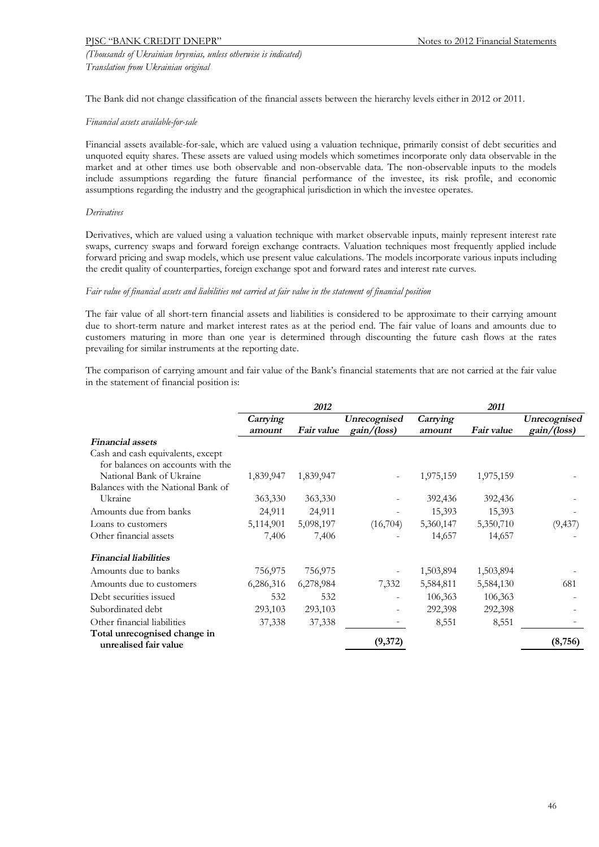The Bank did not change classification of the financial assets between the hierarchy levels either in 2012 or 2011.

#### *Financial assets available-for-sale*

Financial assets available-for-sale, which are valued using a valuation technique, primarily consist of debt securities and unquoted equity shares. These assets are valued using models which sometimes incorporate only data observable in the market and at other times use both observable and non-observable data. The non-observable inputs to the models include assumptions regarding the future financial performance of the investee, its risk profile, and economic assumptions regarding the industry and the geographical jurisdiction in which the investee operates.

#### *Derivatives*

Derivatives, which are valued using a valuation technique with market observable inputs, mainly represent interest rate swaps, currency swaps and forward foreign exchange contracts. Valuation techniques most frequently applied include forward pricing and swap models, which use present value calculations. The models incorporate various inputs including the credit quality of counterparties, foreign exchange spot and forward rates and interest rate curves.

#### *Fair value of financial assets and liabilities not carried at fair value in the statement of financial position*

The fair value of all short-tern financial assets and liabilities is considered to be approximate to their carrying amount due to short-term nature and market interest rates as at the period end. The fair value of loans and amounts due to customers maturing in more than one year is determined through discounting the future cash flows at the rates prevailing for similar instruments at the reporting date.

The comparison of carrying amount and fair value of the Bank's financial statements that are not carried at the fair value in the statement of financial position is:

|                                                       | 2012      |            |              | 2011      |            |              |
|-------------------------------------------------------|-----------|------------|--------------|-----------|------------|--------------|
|                                                       | Carrying  |            | Unrecognised | Carrying  |            | Unrecognised |
|                                                       | amount    | Fair value | gain/(loss)  | amount    | Fair value | gain/(loss)  |
| <b>Financial</b> assets                               |           |            |              |           |            |              |
| Cash and cash equivalents, except                     |           |            |              |           |            |              |
| for balances on accounts with the                     |           |            |              |           |            |              |
| National Bank of Ukraine                              | 1,839,947 | 1,839,947  |              | 1,975,159 | 1,975,159  |              |
| Balances with the National Bank of                    |           |            |              |           |            |              |
| Ukraine                                               | 363,330   | 363,330    |              | 392,436   | 392,436    |              |
| Amounts due from banks                                | 24,911    | 24,911     |              | 15,393    | 15,393     |              |
| Loans to customers                                    | 5,114,901 | 5,098,197  | (16,704)     | 5,360,147 | 5,350,710  | (9, 437)     |
| Other financial assets                                | 7,406     | 7,406      |              | 14,657    | 14,657     |              |
| <b>Financial liabilities</b>                          |           |            |              |           |            |              |
| Amounts due to banks                                  | 756,975   | 756,975    |              | 1,503,894 | 1,503,894  |              |
| Amounts due to customers                              | 6,286,316 | 6,278,984  | 7,332        | 5,584,811 | 5,584,130  | 681          |
| Debt securities issued                                | 532       | 532        |              | 106,363   | 106,363    |              |
| Subordinated debt                                     | 293,103   | 293,103    |              | 292,398   | 292,398    |              |
| Other financial liabilities                           | 37,338    | 37,338     |              | 8,551     | 8,551      |              |
| Total unrecognised change in<br>unrealised fair value |           |            | (9,372)      |           |            | (8,756)      |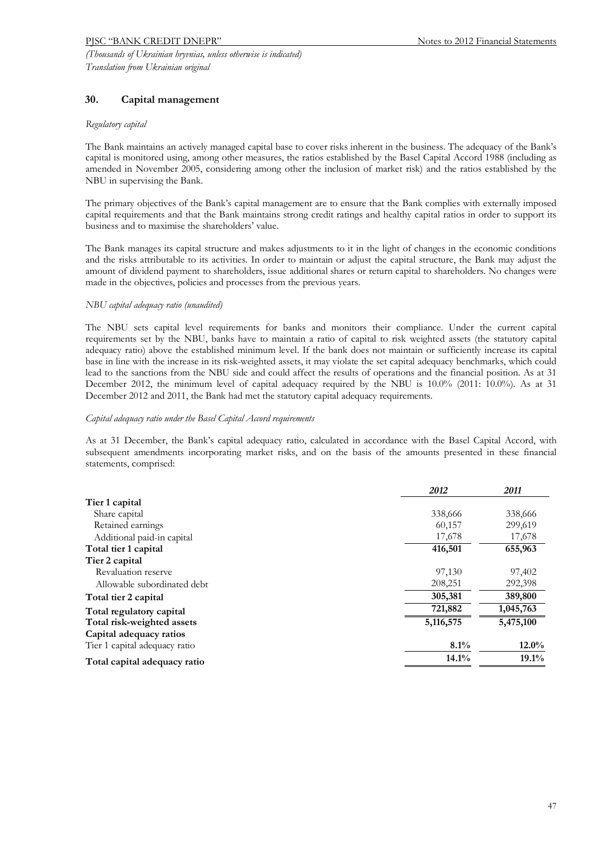#### **30. Capital management**

#### *Regulatory capital*

The Bank maintains an actively managed capital base to cover risks inherent in the business. The adequacy of the Bank's capital is monitored using, among other measures, the ratios established by the Basel Capital Accord 1988 (including as amended in November 2005, considering among other the inclusion of market risk) and the ratios established by the NBU in supervising the Bank.

The primary objectives of the Bank's capital management are to ensure that the Bank complies with externally imposed capital requirements and that the Bank maintains strong credit ratings and healthy capital ratios in order to support its business and to maximise the shareholders' value.

The Bank manages its capital structure and makes adjustments to it in the light of changes in the economic conditions and the risks attributable to its activities. In order to maintain or adjust the capital structure, the Bank may adjust the amount of dividend payment to shareholders, issue additional shares or return capital to shareholders. No changes were made in the objectives, policies and processes from the previous years.

#### *NBU capital adequacy ratio (unaudited)*

The NBU sets capital level requirements for banks and monitors their compliance. Under the current capital requirements set by the NBU, banks have to maintain a ratio of capital to risk weighted assets (the statutory capital adequacy ratio) above the established minimum level. If the bank does not maintain or sufficiently increase its capital base in line with the increase in its risk-weighted assets, it may violate the set capital adequacy benchmarks, which could lead to the sanctions from the NBU side and could affect the results of operations and the financial position. As at 31 December 2012, the minimum level of capital adequacy required by the NBU is 10.0% (2011: 10.0%). As at 31 December 2012 and 2011, the Bank had met the statutory capital adequacy requirements.

#### *Capital adequacy ratio under the Basel Capital Accord requirements*

As at 31 December, the Bank's capital adequacy ratio, calculated in accordance with the Basel Capital Accord, with subsequent amendments incorporating market risks, and on the basis of the amounts presented in these financial statements, comprised:

|                               | 2012        | 2011      |
|-------------------------------|-------------|-----------|
| Tier 1 capital                |             |           |
| Share capital                 | 338,666     | 338,666   |
| Retained earnings             | 60,157      | 299,619   |
| Additional paid-in capital    | 17,678      | 17,678    |
| Total tier 1 capital          | 416,501     | 655,963   |
| Tier 2 capital                |             |           |
| Revaluation reserve           | 97,130      | 97,402    |
| Allowable subordinated debt   | 208,251     | 292,398   |
| Total tier 2 capital          | 305,381     | 389,800   |
| Total regulatory capital      | 721,882     | 1,045,763 |
| Total risk-weighted assets    | 5, 116, 575 | 5,475,100 |
| Capital adequacy ratios       |             |           |
| Tier 1 capital adequacy ratio | 8.1%        | $12.0\%$  |
| Total capital adequacy ratio  | $14.1\%$    | 19.1%     |